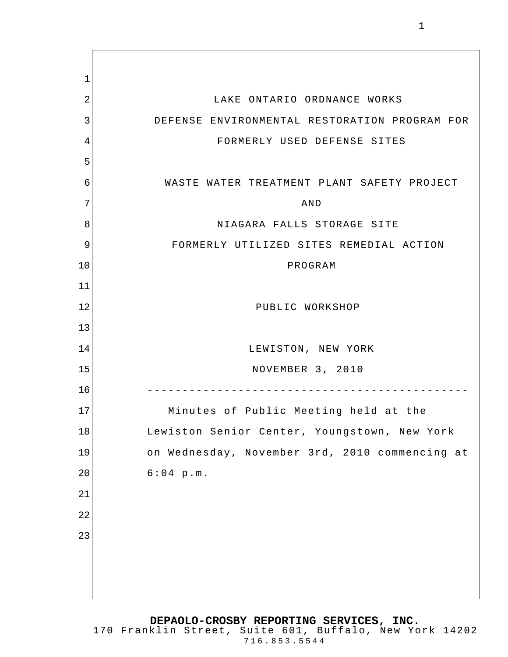1 2 3 4 5 6 7 8 9 10 11 12 13 14 15 16 17 18 19 20 21 22 23 LAKE ONTARIO ORDNANCE WORKS DEFENSE ENVIRONMENTAL RESTORATION PROGRAM FOR FORMERLY USED DEFENSE SITES WASTE WATER TREATMENT PLANT SAFETY PROJECT AND NIAGARA FALLS STORAGE SITE FORMERLY UTILIZED SITES REMEDIAL ACTION PROGRAM PUBLIC WORKSHOP LEWISTON, NEW YORK NOVEMBER 3, 2010 ---------------------------------------------- Minutes of Public Meeting held at the Lewiston Senior Center, Youngstown, New York on Wednesday, November 3rd, 2010 commencing at 6:04 p.m.

**DEPAOLO-CROSBY REPORTING SERVICES, INC.**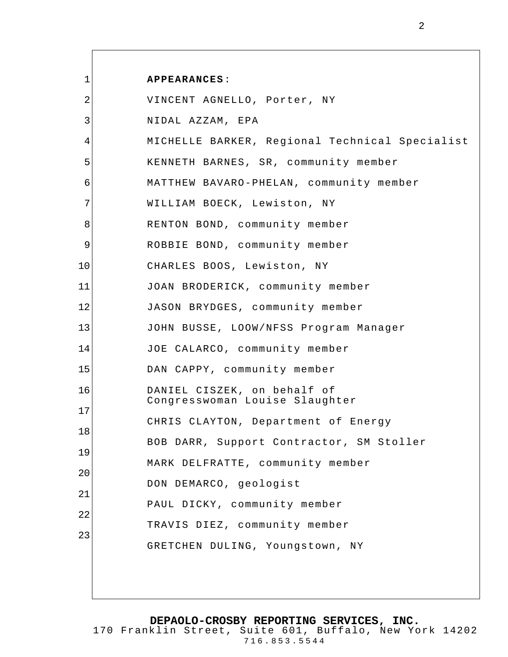| 1  | <b>APPEARANCES:</b>                                           |
|----|---------------------------------------------------------------|
| 2  | VINCENT AGNELLO, Porter, NY                                   |
| 3  | NIDAL AZZAM, EPA                                              |
| 4  | MICHELLE BARKER, Regional Technical Specialist                |
| 5  | KENNETH BARNES, SR, community member                          |
| 6  | MATTHEW BAVARO-PHELAN, community member                       |
| 7  | WILLIAM BOECK, Lewiston, NY                                   |
| 8  | RENTON BOND, community member                                 |
| 9  | ROBBIE BOND, community member                                 |
| 10 | CHARLES BOOS, Lewiston, NY                                    |
| 11 | JOAN BRODERICK, community member                              |
| 12 | JASON BRYDGES, community member                               |
| 13 | JOHN BUSSE, LOOW/NFSS Program Manager                         |
| 14 | JOE CALARCO, community member                                 |
| 15 | DAN CAPPY, community member                                   |
| 16 | DANIEL CISZEK, on behalf of<br>Congresswoman Louise Slaughter |
| 17 | CHRIS CLAYTON, Department of Energy                           |
| 18 | BOB DARR, Support Contractor, SM Stoller                      |
| 19 | MARK DELFRATTE, community member                              |
| 20 |                                                               |
| 21 | DON DEMARCO, geologist                                        |
| 22 | PAUL DICKY, community member                                  |
| 23 | TRAVIS DIEZ, community member                                 |
|    | GRETCHEN DULING, Youngstown, NY                               |
|    |                                                               |
|    |                                                               |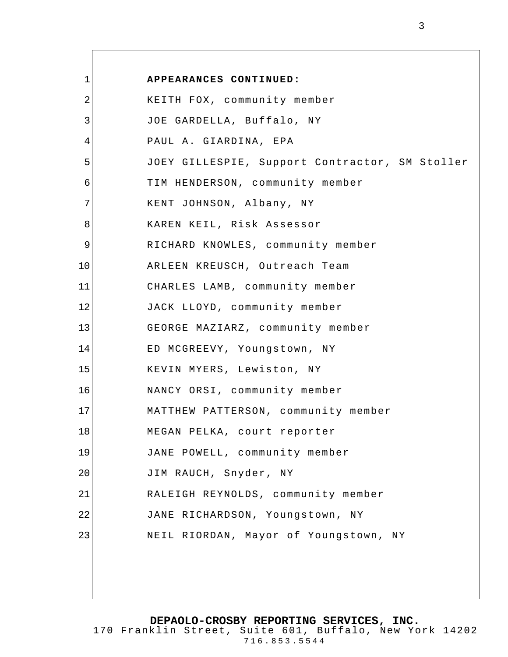| $\mathbf 1$ | APPEARANCES CONTINUED:                         |
|-------------|------------------------------------------------|
| 2           | KEITH FOX, community member                    |
| 3           | JOE GARDELLA, Buffalo, NY                      |
| 4           | PAUL A. GIARDINA, EPA                          |
| 5           | JOEY GILLESPIE, Support Contractor, SM Stoller |
| 6           | TIM HENDERSON, community member                |
| 7           | KENT JOHNSON, Albany, NY                       |
| 8           | KAREN KEIL, Risk Assessor                      |
| $\mathsf 9$ | RICHARD KNOWLES, community member              |
| 10          | ARLEEN KREUSCH, Outreach Team                  |
| 11          | CHARLES LAMB, community member                 |
| 12          | JACK LLOYD, community member                   |
| 13          | GEORGE MAZIARZ, community member               |
| 14          | ED MCGREEVY, Youngstown, NY                    |
| 15          | KEVIN MYERS, Lewiston, NY                      |
| 16          | NANCY ORSI, community member                   |
| 17          | MATTHEW PATTERSON, community member            |
| 18          | MEGAN PELKA, court reporter                    |
| 19          | JANE POWELL, community member                  |
| 20          | JIM RAUCH, Snyder, NY                          |
| 21          | RALEIGH REYNOLDS, community member             |
| 22          | JANE RICHARDSON, Youngstown, NY                |
| 23          | NEIL RIORDAN, Mayor of Youngstown, NY          |
|             |                                                |
|             |                                                |

 $\overline{\phantom{a}}$ 

**DEPAOLO-CROSBY REPORTING SERVICES, INC.**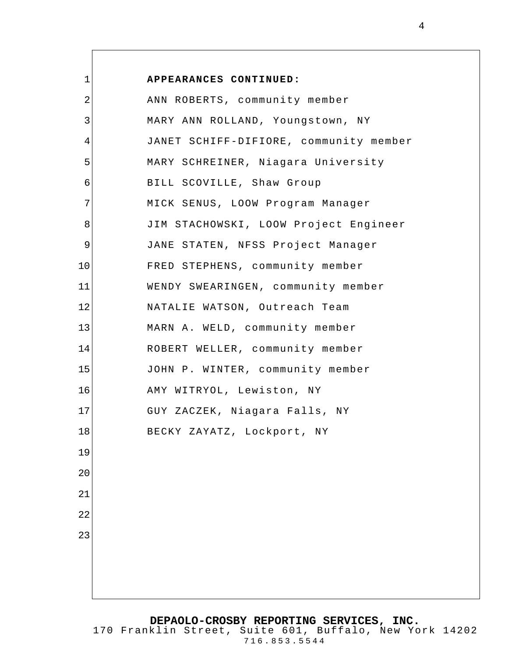| 1  | APPEARANCES CONTINUED:                 |
|----|----------------------------------------|
| 2  | ANN ROBERTS, community member          |
| 3  | MARY ANN ROLLAND, Youngstown, NY       |
| 4  | JANET SCHIFF-DIFIORE, community member |
| 5  | MARY SCHREINER, Niagara University     |
| 6  | BILL SCOVILLE, Shaw Group              |
| 7  | MICK SENUS, LOOW Program Manager       |
| 8  | JIM STACHOWSKI, LOOW Project Engineer  |
| 9  | JANE STATEN, NFSS Project Manager      |
| 10 | FRED STEPHENS, community member        |
| 11 | WENDY SWEARINGEN, community member     |
| 12 | NATALIE WATSON, Outreach Team          |
| 13 | MARN A. WELD, community member         |
| 14 | ROBERT WELLER, community member        |
| 15 | JOHN P. WINTER, community member       |
| 16 | AMY WITRYOL, Lewiston, NY              |
| 17 | GUY ZACZEK, Niagara Falls, NY          |
| 18 | BECKY ZAYATZ, Lockport, NY             |
| 19 |                                        |
| 20 |                                        |
| 21 |                                        |
| 22 |                                        |
| 23 |                                        |
|    |                                        |
|    |                                        |
|    |                                        |

**DEPAOLO-CROSBY REPORTING SERVICES, INC.** 170 Franklin Street, Suite 601, Buffalo, New York 14202 716.853.5544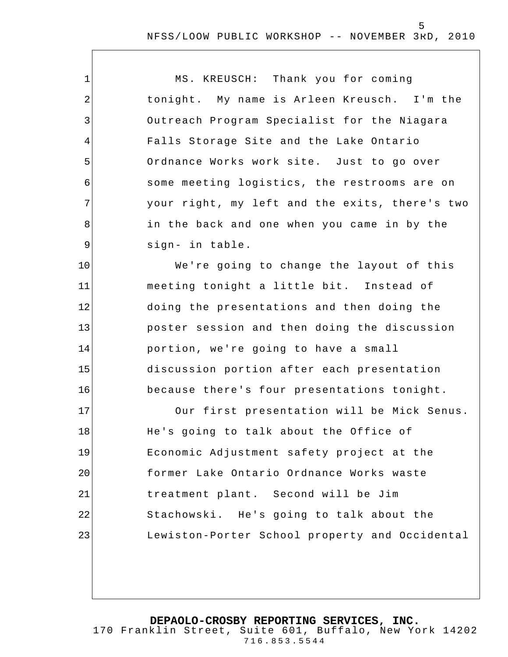MS. KREUSCH: Thank you for coming tonight. My name is Arleen Kreusch. I'm the Outreach Program Specialist for the Niagara Falls Storage Site and the Lake Ontario Ordnance Works work site. Just to go over some meeting logistics, the restrooms are on your right, my left and the exits, there's two in the back and one when you came in by the sign- in table.

1

2

3

4

5

6

7

8

9

10

11

12

13

14

15

16

We're going to change the layout of this meeting tonight a little bit. Instead of doing the presentations and then doing the poster session and then doing the discussion portion, we're going to have a small discussion portion after each presentation because there's four presentations tonight.

17 18 19 20 21 22 23 Our first presentation will be Mick Senus. He's going to talk about the Office of Economic Adjustment safety project at the former Lake Ontario Ordnance Works waste treatment plant. Second will be Jim Stachowski. He's going to talk about the Lewiston-Porter School property and Occidental

**DEPAOLO-CROSBY REPORTING SERVICES, INC.**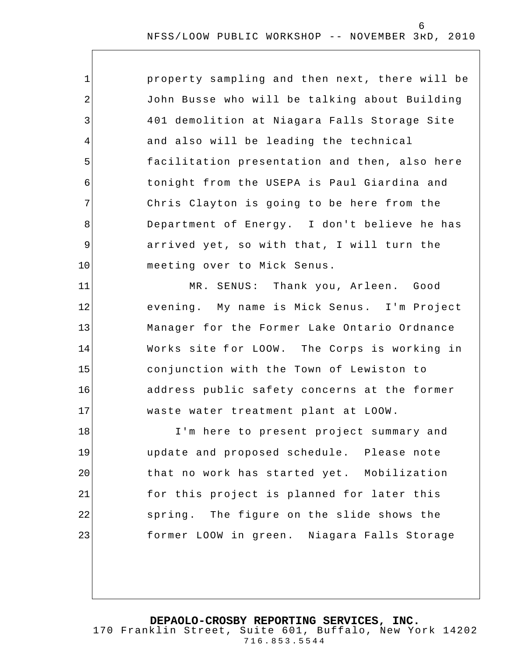| $\mathbf 1$    | property sampling and then next, there will be |
|----------------|------------------------------------------------|
| 2              | John Busse who will be talking about Building  |
| 3              | 401 demolition at Niagara Falls Storage Site   |
| $\overline{4}$ | and also will be leading the technical         |
| 5              | facilitation presentation and then, also here  |
| 6              | tonight from the USEPA is Paul Giardina and    |
| 7              | Chris Clayton is going to be here from the     |
| 8              | Department of Energy. I don't believe he has   |
| 9              | arrived yet, so with that, I will turn the     |
| 10             | meeting over to Mick Senus.                    |
| 11             | MR. SENUS: Thank you, Arleen. Good             |
| 12             | evening. My name is Mick Senus. I'm Project    |
| 13             | Manager for the Former Lake Ontario Ordnance   |
| 14             | Works site for LOOW. The Corps is working in   |
| 15             | conjunction with the Town of Lewiston to       |
| 16             | address public safety concerns at the former   |
| 17             | waste water treatment plant at LOOW.           |
| 18             | I'm here to present project summary and        |
| 19             | update and proposed schedule. Please note      |
| 20             | that no work has started yet. Mobilization     |
| 21             | for this project is planned for later this     |
| 22             | spring. The figure on the slide shows the      |
| 23             | former LOOW in green. Niagara Falls Storage    |

**DEPAOLO-CROSBY REPORTING SERVICES, INC.**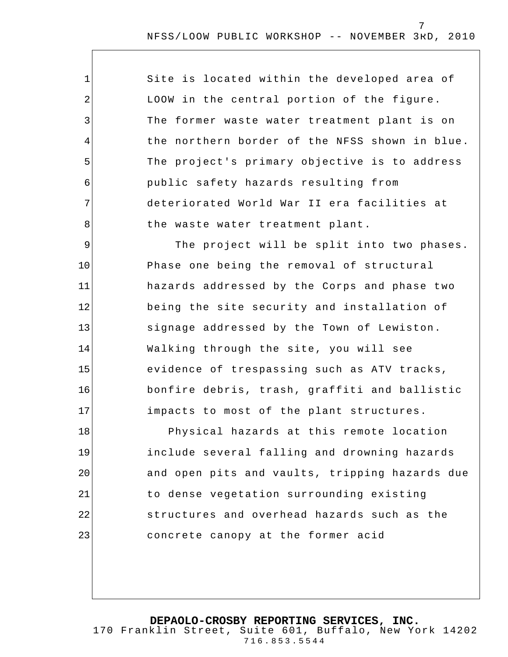| $\mathbf{1}$    | Site is located within the developed area of   |
|-----------------|------------------------------------------------|
| $\overline{2}$  | LOOW in the central portion of the figure.     |
| 3               | The former waste water treatment plant is on   |
| $\overline{4}$  | the northern border of the NFSS shown in blue. |
| 5               | The project's primary objective is to address  |
| $6\phantom{1}6$ | public safety hazards resulting from           |
| 7               | deteriorated World War II era facilities at    |
| 8               | the waste water treatment plant.               |
| 9               | The project will be split into two phases.     |
| 10              | Phase one being the removal of structural      |
| 11              | hazards addressed by the Corps and phase two   |
| 12              | being the site security and installation of    |
| 13              | signage addressed by the Town of Lewiston.     |
| 14              | Walking through the site, you will see         |
| 15              | evidence of trespassing such as ATV tracks,    |

bonfire debris, trash, graffiti and ballistic impacts to most of the plant structures.

16

17

18 19 20 21 22 23 Physical hazards at this remote location include several falling and drowning hazards and open pits and vaults, tripping hazards due to dense vegetation surrounding existing structures and overhead hazards such as the concrete canopy at the former acid

**DEPAOLO-CROSBY REPORTING SERVICES, INC.**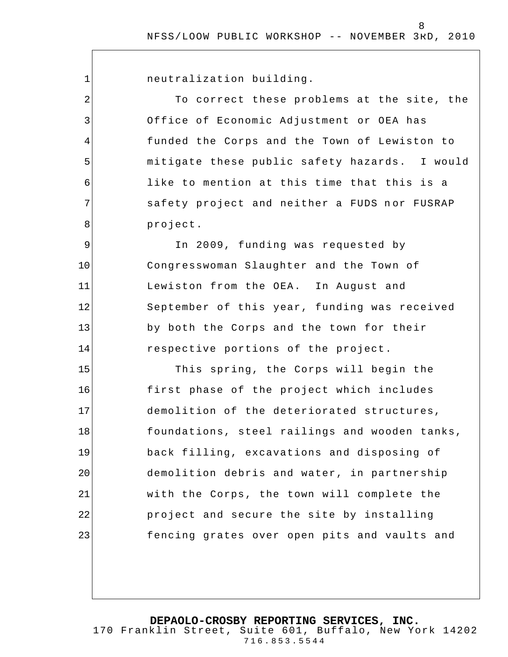1

2

3

4

5

6

7

8

neutralization building.

To correct these problems at the site, the Office of Economic Adjustment or OEA has funded the Corps and the Town of Lewiston to mitigate these public safety hazards. I would like to mention at this time that this is a safety project and neither a FUDS nor FUSRAP project.

9 10 11 12 13 14 In 2009, funding was requested by Congresswoman Slaughter and the Town of Lewiston from the OEA. In August and September of this year, funding was received by both the Corps and the town for their respective portions of the project.

15 16 17 18 19 20 21 22 23 This spring, the Corps will begin the first phase of the project which includes demolition of the deteriorated structures, foundations, steel railings and wooden tanks, back filling, excavations and disposing of demolition debris and water, in partnership with the Corps, the town will complete the project and secure the site by installing fencing grates over open pits and vaults and

**DEPAOLO-CROSBY REPORTING SERVICES, INC.**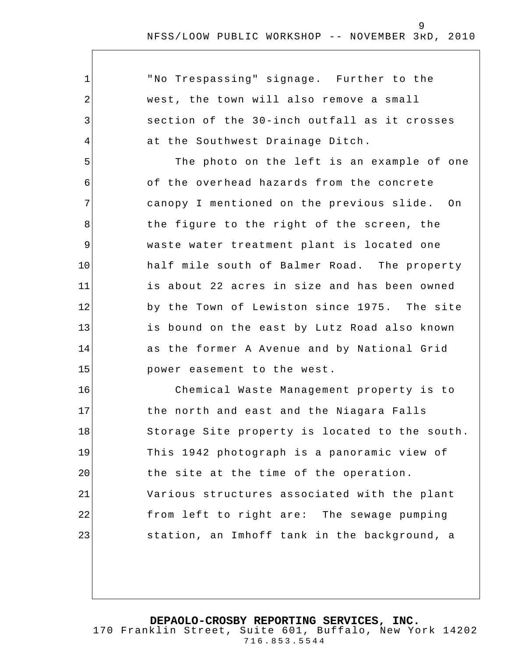1 2 3 4 5 6 7 8 9 10 11 12 13 14 15 16 17 18 19 20 21 22 23 "No Trespassing" signage. Further to the west, the town will also remove a small section of the 30-inch outfall as it crosses at the Southwest Drainage Ditch. The photo on the left is an example of one of the overhead hazards from the concrete canopy I mentioned on the previous slide. On the figure to the right of the screen, the waste water treatment plant is located one half mile south of Balmer Road. The property is about 22 acres in size and has been owned by the Town of Lewiston since 1975. The site is bound on the east by Lutz Road also known as the former A Avenue and by National Grid power easement to the west. Chemical Waste Management property is to the north and east and the Niagara Falls Storage Site property is located to the south. This 1942 photograph is a panoramic view of the site at the time of the operation. Various structures associated with the plant from left to right are: The sewage pumping station, an Imhoff tank in the background, a

**DEPAOLO-CROSBY REPORTING SERVICES, INC.**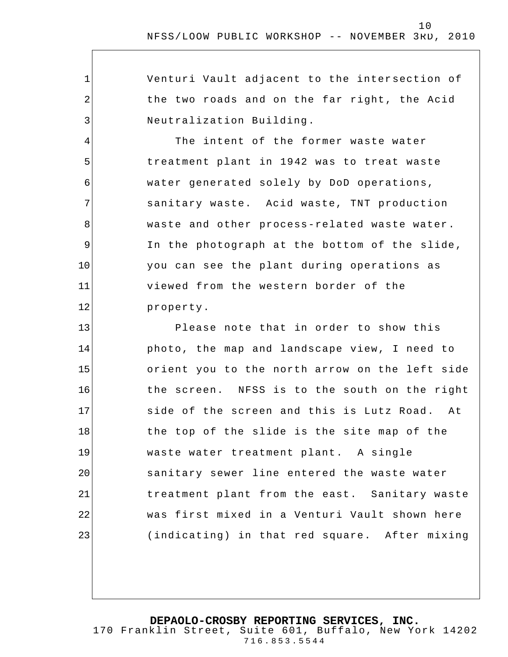| Venturi Vault adjacent to the intersection of |
|-----------------------------------------------|
| the two roads and on the far right, the Acid  |
| Neutralization Building.                      |
| The intent of the former waste water          |
| treatment plant in 1942 was to treat waste    |
| water generated solely by DoD operations,     |
| sanitary waste. Acid waste, TNT production    |

1

2

3

4

5

6

7

8

9

10

11

12

waste and other process-related waste water. In the photograph at the bottom of the slide, you can see the plant during operations as viewed from the western border of the property.

13 14 15 16 17 18 19 20 21 22 23 Please note that in order to show this photo, the map and landscape view, I need to orient you to the north arrow on the left side the screen. NFSS is to the south on the right side of the screen and this is Lutz Road. At the top of the slide is the site map of the waste water treatment plant. A single sanitary sewer line entered the waste water treatment plant from the east. Sanitary waste was first mixed in a Venturi Vault shown here (indicating) in that red square. After mixing

**DEPAOLO-CROSBY REPORTING SERVICES, INC.**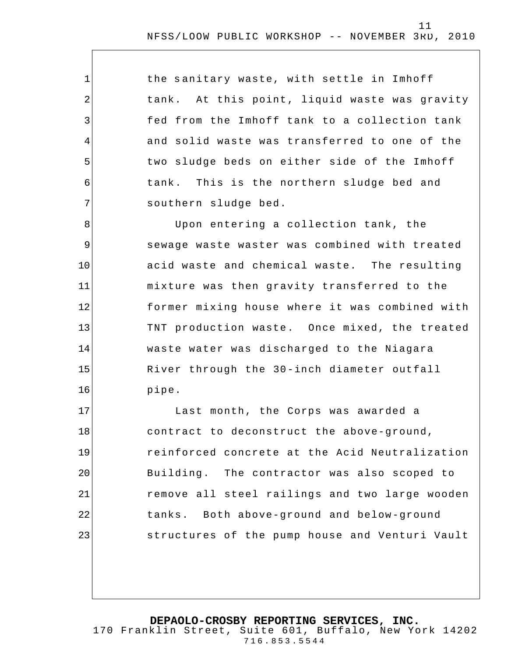the sanitary waste, with settle in Imhoff tank. At this point, liquid waste was gravity fed from the Imhoff tank to a collection tank and solid waste was transferred to one of the two sludge beds on either side of the Imhoff tank. This is the northern sludge bed and southern sludge bed.

1

2

3

4

5

6

7

8 9 10 11 12 13 14 15 16 Upon entering a collection tank, the sewage waste waster was combined with treated acid waste and chemical waste. The resulting mixture was then gravity transferred to the former mixing house where it was combined with TNT production waste. Once mixed, the treated waste water was discharged to the Niagara River through the 30-inch diameter outfall pipe.

17 18 19 20 21 22 23 Last month, the Corps was awarded a contract to deconstruct the above-ground, reinforced concrete at the Acid Neutralization Building. The contractor was also scoped to remove all steel railings and two large wooden tanks. Both above-ground and below-ground structures of the pump house and Venturi Vault

**DEPAOLO-CROSBY REPORTING SERVICES, INC.**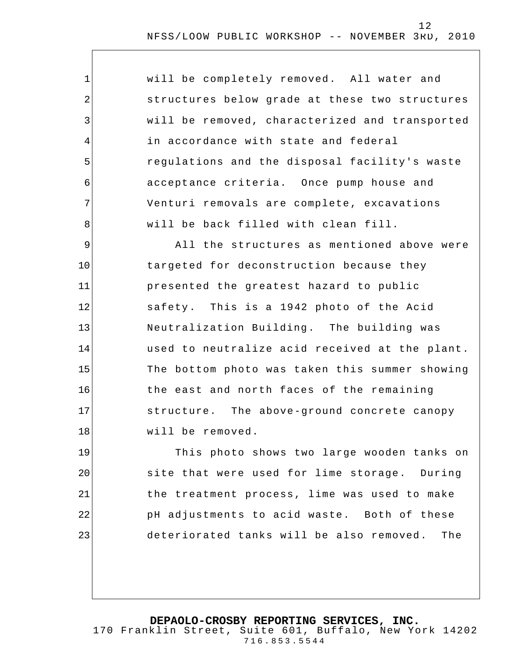| $\mathbf 1$    | will be completely removed. All water and      |
|----------------|------------------------------------------------|
| $\overline{2}$ | structures below grade at these two structures |
| $\mathfrak{Z}$ | will be removed, characterized and transported |
| 4              | in accordance with state and federal           |
| 5              | regulations and the disposal facility's waste  |
| 6              | acceptance criteria. Once pump house and       |
| 7              | Venturi removals are complete, excavations     |
| 8              | will be back filled with clean fill.           |
| 9              | All the structures as mentioned above were     |
| 10             | targeted for deconstruction because they       |
| 11             | presented the greatest hazard to public        |
| 12             | safety. This is a 1942 photo of the Acid       |
| 13             | Neutralization Building. The building was      |
| 14             | used to neutralize acid received at the plant. |
| 15             | The bottom photo was taken this summer showing |
| 16             | the east and north faces of the remaining      |
| 17             | structure. The above-ground concrete canopy    |
| 18             | will be removed.                               |
| 19             | This photo shows two large wooden tanks on     |
| 20             | site that were used for lime storage. During   |
| 21             | the treatment process, lime was used to make   |
| 22             | pH adjustments to acid waste. Both of these    |
| 23             | deteriorated tanks will be also removed. The   |
|                |                                                |

**DEPAOLO-CROSBY REPORTING SERVICES, INC.**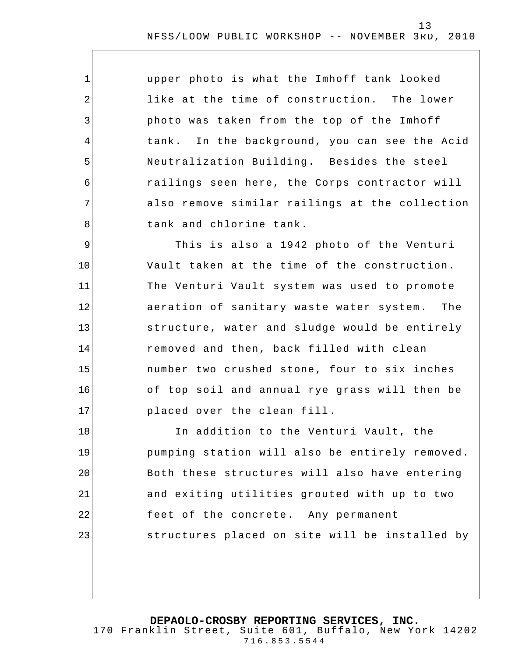upper photo is what the Imhoff tank looked like at the time of construction. The lower photo was taken from the top of the Imhoff tank. In the background, you can see the Acid Neutralization Building. Besides the steel railings seen here, the Corps contractor will also remove similar railings at the collection tank and chlorine tank.

1

2

3

4

5

6

7

8

9 10 11 12 13 14 15 16 17 This is also a 1942 photo of the Venturi Vault taken at the time of the construction. The Venturi Vault system was used to promote aeration of sanitary waste water system. The structure, water and sludge would be entirely removed and then, back filled with clean number two crushed stone, four to six inches of top soil and annual rye grass will then be placed over the clean fill .

18 19 20 21 22 23 In addition to the Venturi Vault, the pumping station will also be entirely removed. Both these structures will also have entering and exiting utilities grouted with up to two feet of the concrete. Any permanent structures placed on site will be installed by

**DEPAOLO-CROSBY REPORTING SERVICES, INC.**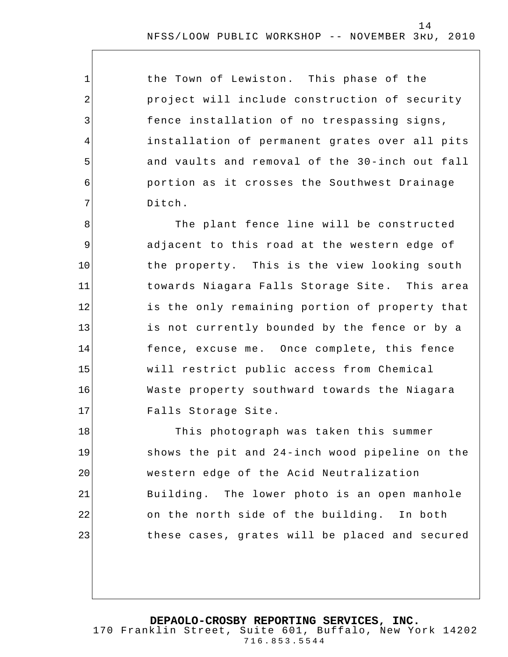the Town of Lewiston. This phase of the project will include construction of security fence installation of no trespassing signs, installation of permanent grates over all pits and vaults and removal of the 30-inch out fall portion as it crosses the Southwest Drainage Ditch.

1

2

3

4

5

6

7

8 9 10 11 12 13 14 15 16 17 The plant fence line will be constructed adjacent to this road at the western edge of the property. This is the view looking south towards Niagara Falls Storage Site. This area is the only remaining portion of property that is not currently bounded by the fence or by a fence, excuse me. Once complete, this fence will restrict public access from Chemical Waste property southward towards the Niagara Falls Storage Site.

18 19 20 21 22 23 This photograph was taken this summer shows the pit and 24-inch wood pipeline on the western edge of the Acid Neutralization Building. The lower photo is an open manhole on the north side of the building. In both these cases, grates will be placed and secured

#### **DEPAOLO-CROSBY REPORTING SERVICES, INC.**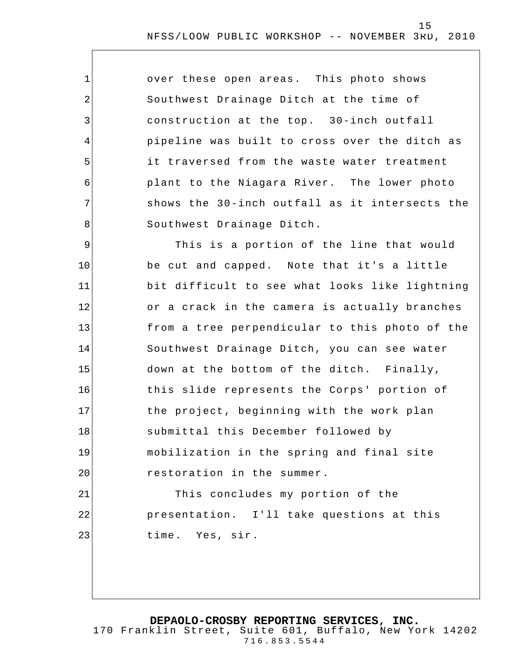| $\mathbf 1$    | over these open areas. This photo shows        |
|----------------|------------------------------------------------|
| $\overline{2}$ | Southwest Drainage Ditch at the time of        |
| 3              | construction at the top. 30-inch outfall       |
| 4              | pipeline was built to cross over the ditch as  |
| 5              | it traversed from the waste water treatment    |
| 6              | plant to the Niagara River. The lower photo    |
| 7              | shows the 30-inch outfall as it intersects the |
| 8              | Southwest Drainage Ditch.                      |
| $\mathsf 9$    | This is a portion of the line that would       |
| 10             | be cut and capped. Note that it's a little     |
| 11             | bit difficult to see what looks like lightning |
| 12             | or a crack in the camera is actually branches  |
| 13             | from a tree perpendicular to this photo of the |
| 14             | Southwest Drainage Ditch, you can see water    |
| 15             | down at the bottom of the ditch. Finally,      |
| 16             | this slide represents the Corps' portion of    |
| 17             | the project, beginning with the work plan      |
| 18             | submittal this December followed by            |
| 19             | mobilization in the spring and final site      |
| 20             | restoration in the summer.                     |
| 21             | This concludes my portion of the               |
| 22             | presentation. I'll take questions at this      |
| 23             | time. Yes, sir.                                |
|                |                                                |

**DEPAOLO-CROSBY REPORTING SERVICES, INC.**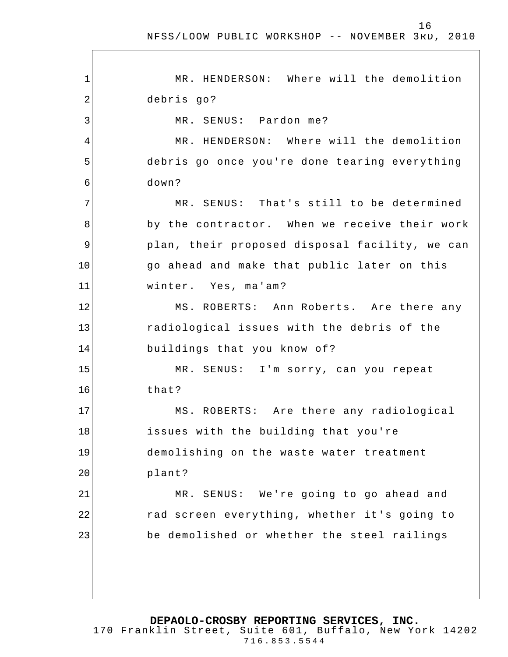16

1 2 3 4 5 6 7 8 9 10 11 12 13 14 15 16 17 18 19 20 21 22 23 MR. HENDERSON: Where will the demolition debris go? MR. SENUS: Pardon me? MR. HENDERSON: Where will the demolition debris go once you're done tearing everything down? MR. SENUS: That's still to be determined by the contractor. When we receive their work plan, their proposed disposal facility, we can go ahead and make that public later on this winter. Yes, ma'am? MS. ROBERTS: Ann Roberts. Are there any radiological issues with the debris of the buildings that you know of? MR. SENUS: I'm sorry, can you repeat that? MS. ROBERTS: Are there any radiological issues with the building that you're demolishing on the waste water treatment plant? MR. SENUS: We're going to go ahead and rad screen everything, whether it's going to be demolished or whether the steel railings

**DEPAOLO-CROSBY REPORTING SERVICES, INC.**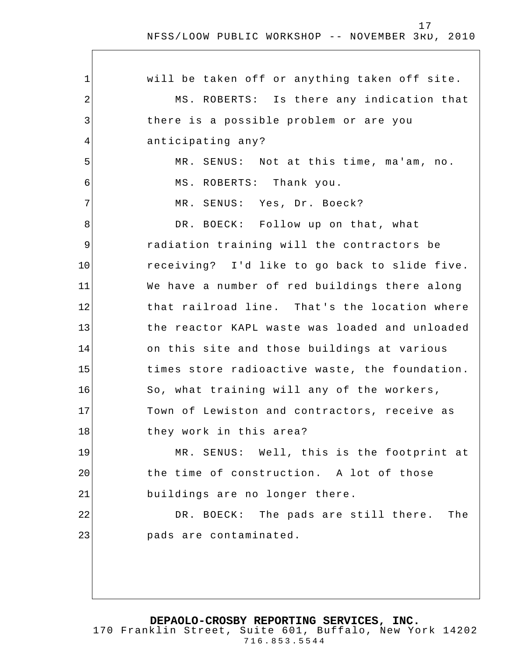$\Gamma$ 

| $\mathbf 1$    | will be taken off or anything taken off site.  |
|----------------|------------------------------------------------|
| $\overline{2}$ | MS. ROBERTS: Is there any indication that      |
| 3              | there is a possible problem or are you         |
| 4              | anticipating any?                              |
| 5              | MR. SENUS: Not at this time, ma'am, no.        |
| 6              | MS. ROBERTS: Thank you.                        |
| 7              | MR. SENUS: Yes, Dr. Boeck?                     |
| 8              | DR. BOECK: Follow up on that, what             |
| 9              | radiation training will the contractors be     |
| 10             | receiving? I'd like to go back to slide five.  |
| 11             | We have a number of red buildings there along  |
| 12             | that railroad line. That's the location where  |
| 13             | the reactor KAPL waste was loaded and unloaded |
| 14             | on this site and those buildings at various    |
| 15             | times store radioactive waste, the foundation. |
| 16             | So, what training will any of the workers,     |
| 17             | Town of Lewiston and contractors, receive as   |
| 18             | they work in this area?                        |
| 19             | MR. SENUS: Well, this is the footprint at      |
| 20             | the time of construction. A lot of those       |
| 21             | buildings are no longer there.                 |
| 22             | DR. BOECK: The pads are still there.<br>The    |
| 23             | pads are contaminated.                         |
|                |                                                |
|                |                                                |

**DEPAOLO-CROSBY REPORTING SERVICES, INC.**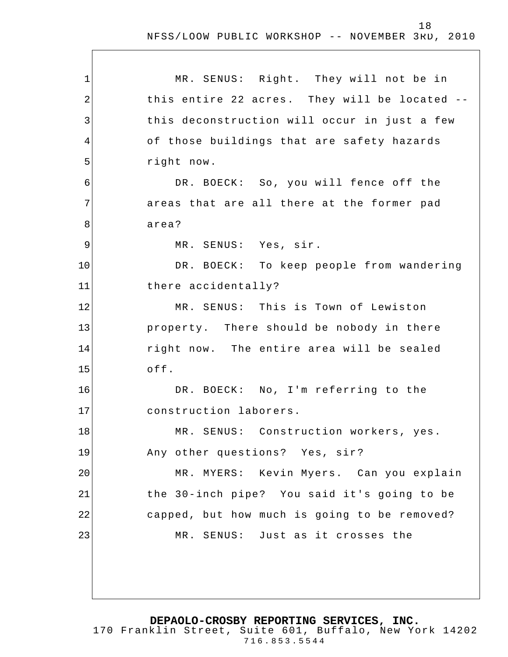$\overline{\phantom{a}}$ 

| $\mathbf 1$ | MR. SENUS: Right. They will not be in         |
|-------------|-----------------------------------------------|
| 2           | this entire 22 acres. They will be located -- |
| 3           | this deconstruction will occur in just a few  |
| 4           | of those buildings that are safety hazards    |
| 5           | right now.                                    |
| 6           | DR. BOECK: So, you will fence off the         |
| 7           | areas that are all there at the former pad    |
| 8           | area?                                         |
| 9           | MR. SENUS: Yes, sir.                          |
| 10          | DR. BOECK: To keep people from wandering      |
| 11          | there accidentally?                           |
| 12          | MR. SENUS: This is Town of Lewiston           |
| 13          | property. There should be nobody in there     |
| 14          | right now. The entire area will be sealed     |
| 15          | off.                                          |
| 16          | DR. BOECK: No, I'm referring to the           |
| 17          | construction laborers.                        |
| 18          | MR. SENUS: Construction workers, yes.         |
| 19          | Any other questions? Yes, sir?                |
| 20          | MR. MYERS: Kevin Myers. Can you explain       |
| 21          | the 30-inch pipe? You said it's going to be   |
| 22          | capped, but how much is going to be removed?  |
| 23          | MR. SENUS: Just as it crosses the             |
|             |                                               |
|             |                                               |
|             |                                               |

**DEPAOLO-CROSBY REPORTING SERVICES, INC.** 170 Franklin Street, Suite 601, Buffalo, New York 14202 716.853.5544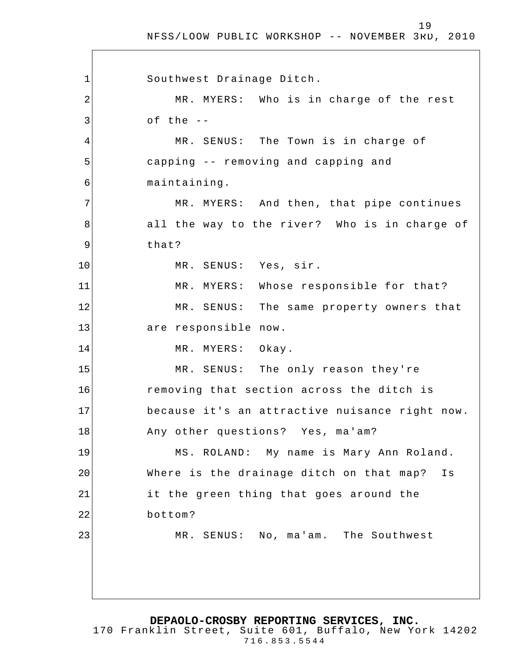19

1 2 3 4 5 6 7 8 9 10 11 12 13 14 15 16 17 18 19 20 21 22 23 Southwest Drainage Ditch. MR. MYERS: Who is in charge of the rest of the  $-$ MR. SENUS: The Town is in charge of capping -- removing and capping and maintaining. MR. MYERS: And then, that pipe continues all the way to the river? Who is in charge of that? MR. SENUS: Yes, sir. MR. MYERS: Whose responsible for that? MR. SENUS: The same property owners that are responsible now. MR. MYERS: Okay. MR. SENUS: The only reason they're removing that section across the ditch is because it's an attractive nuisance right now. Any other questions? Yes, ma'am? MS. ROLAND: My name is Mary Ann Roland. Where is the drainage ditch on that map? Is it the green thing that goes around the bottom? MR. SENUS: No, ma'am. The Southwest

**DEPAOLO-CROSBY REPORTING SERVICES, INC.**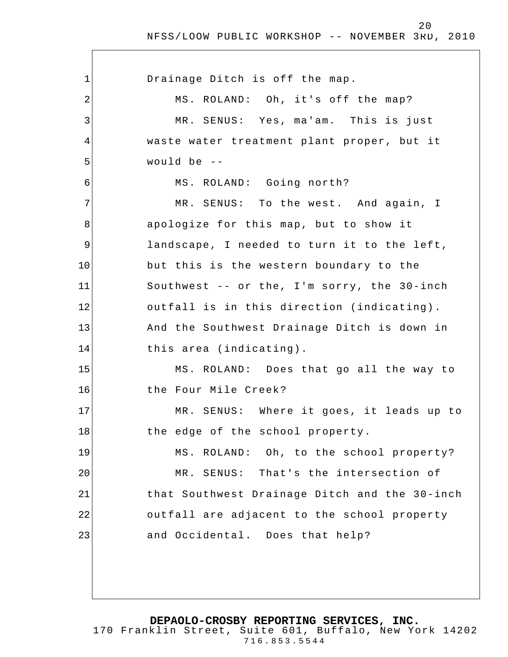1 2 3 4 5 6 7 8 9 10 11 12 13 14 15 16 17 18 19 20 21 22 23 Drainage Ditch is off the map. MS. ROLAND: Oh, it's off the map? MR. SENUS: Yes, ma'am. This is just waste water treatment plant proper, but it would be -- MS. ROLAND: Going north? MR. SENUS: To the west. And again, I apologize for this map, but to show it landscape, I needed to turn it to the left, but this is the western boundary to the Southwest -- or the, I'm sorry, the 30-inch outfall is in this direction (indicating). And the Southwest Drainage Ditch is down in this area (indicating). MS. ROLAND: Does that go all the way to the Four Mile Creek? MR. SENUS: Where it goes, it leads up to the edge of the school property. MS. ROLAND: Oh, to the school property? MR. SENUS: That's the intersection of that Southwest Drainage Ditch and the 30-inch outfall are adjacent to the school property and Occidental. Does that help?

**DEPAOLO-CROSBY REPORTING SERVICES, INC.**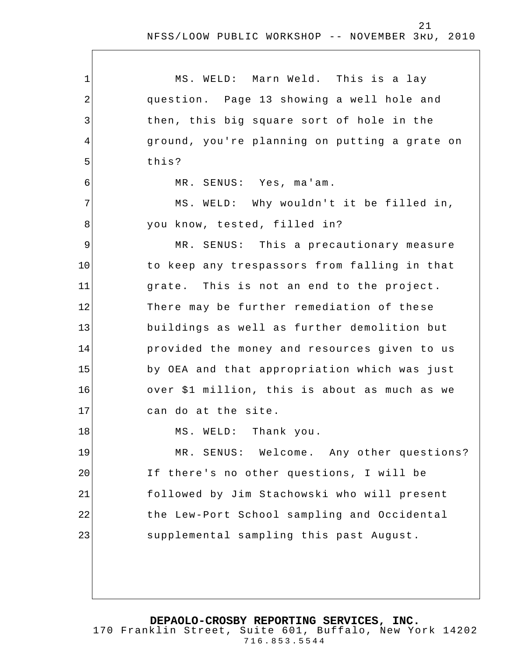1 2 3 4 5 6 7 8 9 10 11 12 13 14 15 16 17 18 19 20 21 22 23 MS. WELD: Marn Weld. This is a lay question. Page 13 showing a well hole and then, this big square sort of hole in the ground, you're planning on putting a grate on this? MR. SENUS: Yes, ma'am. MS. WELD: Why wouldn't it be filled in, you know, tested, filled in? MR. SENUS: This a precautionary measure to keep any trespassors from falling in that grate. This is not an end to the project. There may be further remediation of these buildings as well as further demolition but provided the money and resources given to us by OEA and that appropriation which was just over \$1 million, this is about as much as we can do at the site. MS. WELD: Thank you. MR. SENUS: Welcome. Any other questions? If there's no other questions, I will be followed by Jim Stachowski who will present the Lew-Port School sampling and Occidental supplemental sampling this past August.

**DEPAOLO-CROSBY REPORTING SERVICES, INC.**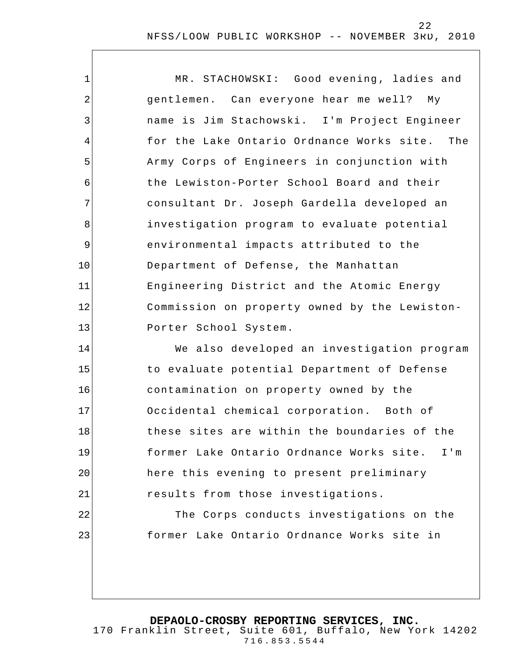| 1  | MR. STACHOWSKI: Good evening, ladies and      |
|----|-----------------------------------------------|
| 2  | gentlemen. Can everyone hear me well?<br>Мy   |
| 3  | name is Jim Stachowski. I'm Project Engineer  |
| 4  | for the Lake Ontario Ordnance Works site. The |
| 5  | Army Corps of Engineers in conjunction with   |
| 6  | the Lewiston-Porter School Board and their    |
| 7  | consultant Dr. Joseph Gardella developed an   |
| 8  | investigation program to evaluate potential   |
| 9  | environmental impacts attributed to the       |
| 10 | Department of Defense, the Manhattan          |
| 11 | Engineering District and the Atomic Energy    |
| 12 | Commission on property owned by the Lewiston- |
| 13 | Porter School System.                         |
| 14 | We also developed an investigation program    |
| 15 | to evaluate potential Department of Defense   |
| 16 | contamination on property owned by the        |
| 17 | Occidental chemical corporation. Both of      |
| 18 | these sites are within the boundaries of the  |
| 19 | former Lake Ontario Ordnance Works site. I'm  |
| 20 | here this evening to present preliminary      |
| 21 | results from those investigations.            |
| 22 | The Corps conducts investigations on the      |
| 23 | former Lake Ontario Ordnance Works site in    |
|    |                                               |

**DEPAOLO-CROSBY REPORTING SERVICES, INC.**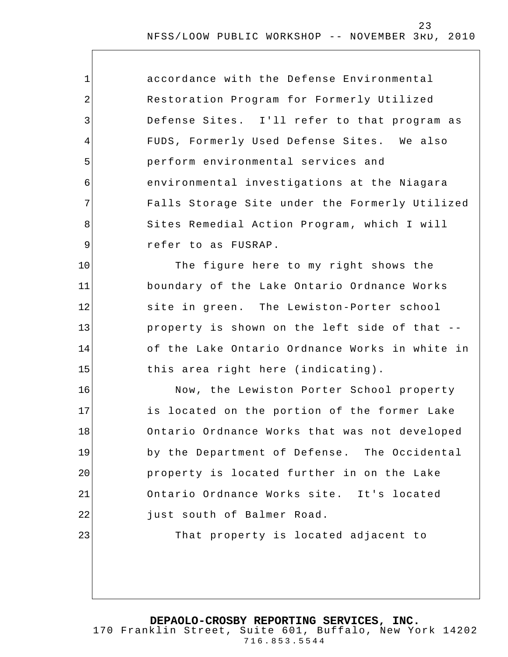| $\mathbf{1}$ | accordance with the Defense Environmental      |
|--------------|------------------------------------------------|
| $\sqrt{2}$   | Restoration Program for Formerly Utilized      |
| 3            | Defense Sites. I'll refer to that program as   |
| 4            | FUDS, Formerly Used Defense Sites. We also     |
| 5            | perform environmental services and             |
| 6            | environmental investigations at the Niagara    |
| 7            | Falls Storage Site under the Formerly Utilized |
| 8            | Sites Remedial Action Program, which I will    |
| $\mathsf 9$  | refer to as FUSRAP.                            |
| 10           | The figure here to my right shows the          |
| 11           | boundary of the Lake Ontario Ordnance Works    |
| 12           | site in green. The Lewiston-Porter school      |
| 13           | property is shown on the left side of that --  |
| 14           | of the Lake Ontario Ordnance Works in white in |
| 15           | this area right here (indicating).             |
| 16           | Now, the Lewiston Porter School property       |
| 17           | is located on the portion of the former Lake   |
| 18           | Ontario Ordnance Works that was not developed  |
| 19           | by the Department of Defense. The Occidental   |
| 20           | property is located further in on the Lake     |
| 21           | Ontario Ordnance Works site. It's located      |
| 22           | just south of Balmer Road.                     |
| 23           | That property is located adjacent to           |
|              |                                                |
|              |                                                |

**DEPAOLO-CROSBY REPORTING SERVICES, INC.**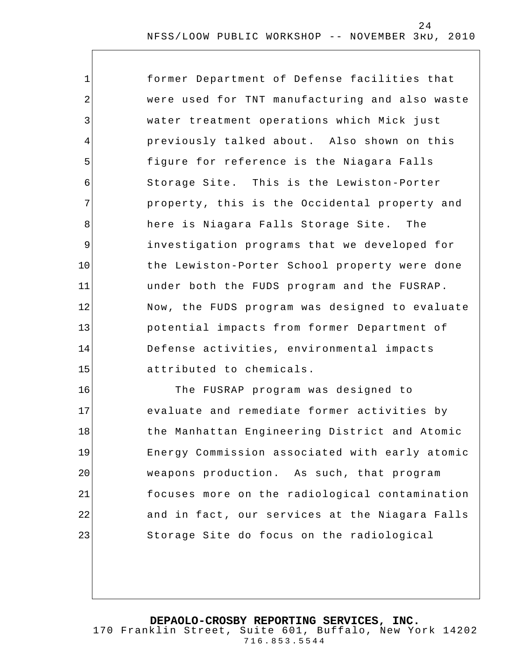| $\mathbf{1}$   | former Department of Defense facilities that   |
|----------------|------------------------------------------------|
| $\overline{2}$ | were used for TNT manufacturing and also waste |
| 3              | water treatment operations which Mick just     |
| $\overline{4}$ | previously talked about. Also shown on this    |
| 5              | figure for reference is the Niagara Falls      |
| 6              | Storage Site. This is the Lewiston-Porter      |
| 7              | property, this is the Occidental property and  |
| 8              | here is Niagara Falls Storage Site. The        |
| 9              | investigation programs that we developed for   |
| 10             | the Lewiston-Porter School property were done  |
| 11             | under both the FUDS program and the FUSRAP.    |
| 12             | Now, the FUDS program was designed to evaluate |
| 13             | potential impacts from former Department of    |
| 14             | Defense activities, environmental impacts      |
| 15             | attributed to chemicals.                       |
| 16             | The FUSRAP program was designed to             |

17 18 19 20 21 22 23 evaluate and remediate former activities by the Manhattan Engineering District and Atomic Energy Commission associated with early atomic weapons production. As such, that program focuses more on the radiological contamination and in fact, our services at the Niagara Falls Storage Site do focus on the radiological

**DEPAOLO-CROSBY REPORTING SERVICES, INC.**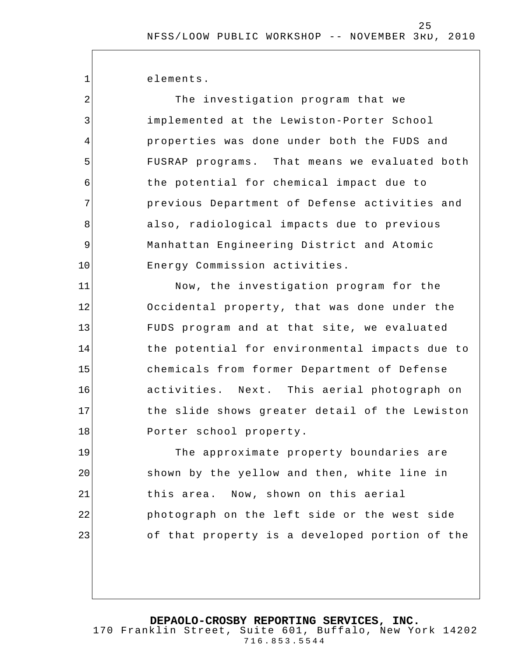25

elements.

1

2

3

4

5

6

7

8

9

10

The investigation program that we implemented at the Lewiston-Porter School properties was done under both the FUDS and FUSRAP programs. That means we evaluated both the potential for chemical impact due to previous Department of Defense activities and also, radiological impacts due to previous Manhattan Engineering District and Atomic Energy Commission activities.

11 12 13 14 15 16 17 18 Now, the investigation program for the Occidental property, that was done under the FUDS program and at that site, we evaluated the potential for environmental impacts due to chemicals from former Department of Defense activities. Next. This aerial photograph on the slide shows greater detail of the Lewiston Porter school property.

19 20 21 22 23 The approximate property boundaries are shown by the yellow and then, white line in this area. Now, shown on this aerial photograph on the left side or the west side of that property is a developed portion of the

**DEPAOLO-CROSBY REPORTING SERVICES, INC.**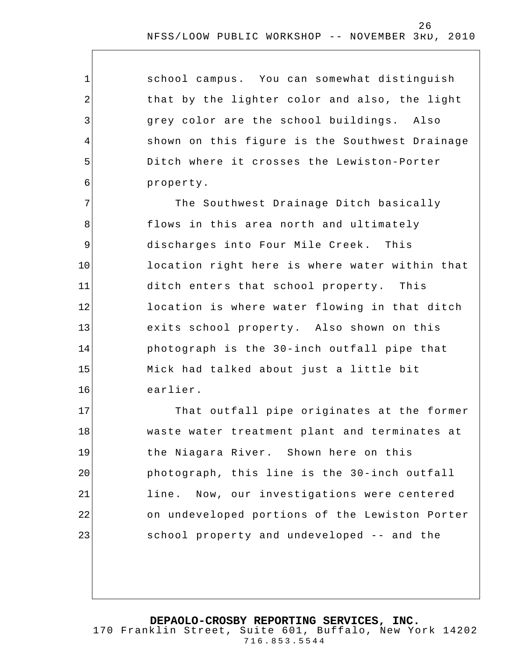1 2 3 4 5 6 7 8 9 10 11 12 13 14 15 16 17 18 19 20 21 school campus. You can somewhat distinguish that by the lighter color and also, the light grey color are the school buildings. Also shown on this figure is the Southwest Drainage Ditch where it crosses the Lewiston-Porter property. The Southwest Drainage Ditch basically flows in this area north and ultimately discharges into Four Mile Creek. This location right here is where water within that ditch enters that school property. This location is where water flowing in that ditch exits school property. Also shown on this photograph is the 30-inch outfall pipe that Mick had talked about just a little bit earlier. That outfall pipe originates at the former waste water treatment plant and terminates at the Niagara River. Shown here on this photograph, this line is the 30-inch outfall

line. Now, our investigations were centered on undeveloped portions of the Lewiston Porter school property and undeveloped -- and the

**DEPAOLO-CROSBY REPORTING SERVICES, INC.**

22

23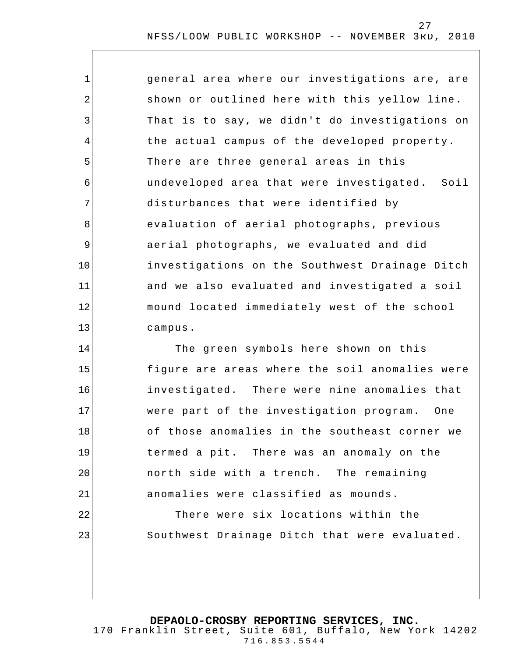1 2 3 4 5 6 7 8 9 10 11 12 13 general area where our investigations are, are shown or outlined here with this yellow line. That is to say, we didn't do investigations on the actual campus of the developed property. There are three general areas in this undeveloped area that were investigated. Soil disturbances that were identified by evaluation of aerial photographs, previous aerial photographs, we evaluated and did investigations on the Southwest Drainage Ditch and we also evaluated and investigated a soil mound located immediately west of the school campus.

14 15 16 17 18 19 20 21 22 The green symbols here shown on this figure are areas where the soil anomalies were investigated. There were nine anomalies that were part of the investigation program. One of those anomalies in the southeast corner we termed a pit. There was an anomaly on the north side with a trench. The remaining anomalies were classified as mounds.

There were six locations within the Southwest Drainage Ditch that were evaluated.

#### **DEPAOLO-CROSBY REPORTING SERVICES, INC.**

23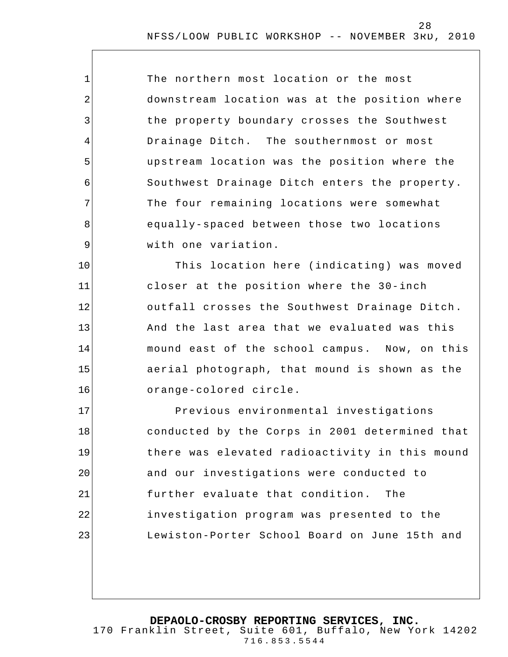| $\mathbf 1$    | The northern most location or the most        |
|----------------|-----------------------------------------------|
| $\overline{2}$ | downstream location was at the position where |
| 3              | the property boundary crosses the Southwest   |
| $\overline{4}$ | Drainage Ditch. The southernmost or most      |
| 5              | upstream location was the position where the  |
| 6              | Southwest Drainage Ditch enters the property. |
| 7              | The four remaining locations were somewhat    |
| 8              | equally-spaced between those two locations    |
| 9              | with one variation.                           |
| 10             | This location here (indicating) was moved     |
| 11             | closer at the position where the 30-inch      |
| 12             | outfall crosses the Southwest Drainage Ditch. |
| 13             | And the last area that we evaluated was this  |
| 14             | mound east of the school campus. Now, on this |
| 15             | aerial photograph, that mound is shown as the |
| 16             | orange-colored circle.                        |

17 18 19 20 21 22 23 Previous environmental investigations conducted by the Corps in 2001 determined that there was elevated radioactivity in this mound and our investigations were conducted to further evaluate that condition. The investigation program was presented to the Lewiston-Porter School Board on June 15th and

**DEPAOLO-CROSBY REPORTING SERVICES, INC.**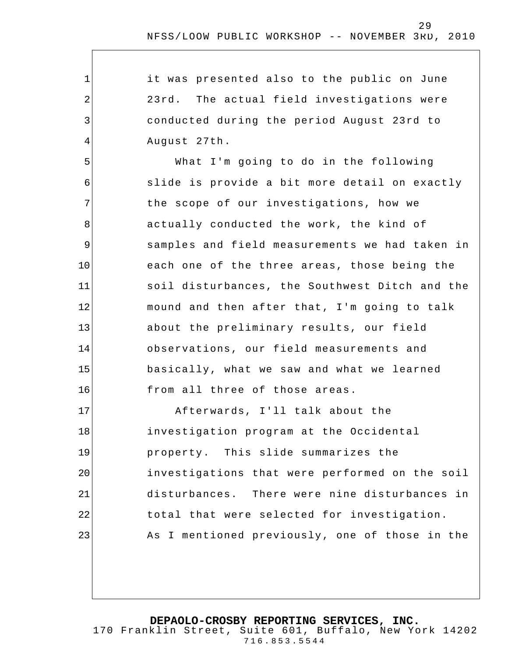it was presented also to the public on June 23rd. The actual field investigations were conducted during the period August 23rd to August 27th.

1

2

3

4

5 6 7 8 9 10 11 12 13 14 15 16 What I'm going to do in the following slide is provide a bit more detail on exactly the scope of our investigations, how we actually conducted the work, the kind of samples and field measurements we had taken in each one of the three areas, those being the soil disturbances, the Southwest Ditch and the mound and then after that, I'm going to talk about the preliminary results, our field observations, our field measurements and basically, what we saw and what we learned from all three of those areas.

17 18 19 20 21 22 23 Afterwards, I'll talk about the investigation program at the Occidental property. This slide summarizes the investigations that were performed on the soil disturbances. There were nine disturbances in total that were selected for investigation. As I mentioned previously, one of those in the

**DEPAOLO-CROSBY REPORTING SERVICES, INC.**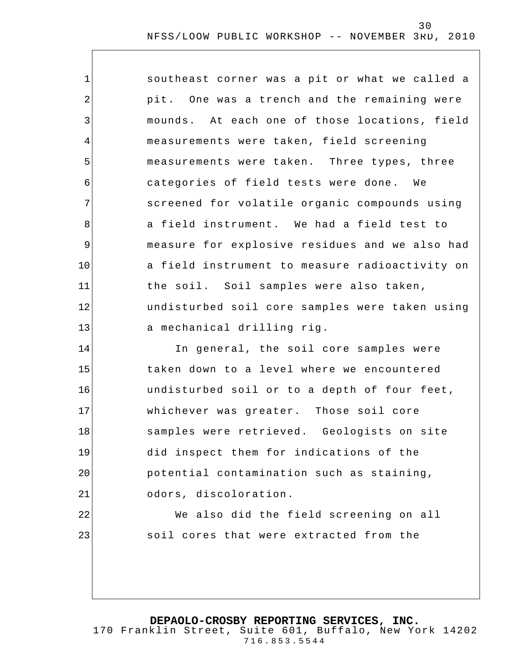| 1  | southeast corner was a pit or what we called a |
|----|------------------------------------------------|
| 2  | pit. One was a trench and the remaining were   |
| 3  | mounds. At each one of those locations, field  |
| 4  | measurements were taken, field screening       |
| 5  | measurements were taken. Three types, three    |
| 6  | categories of field tests were done. We        |
| 7  | screened for volatile organic compounds using  |
| 8  | a field instrument. We had a field test to     |
| 9  | measure for explosive residues and we also had |
| 10 | a field instrument to measure radioactivity on |
| 11 | the soil. Soil samples were also taken,        |
| 12 | undisturbed soil core samples were taken using |
| 13 | a mechanical drilling rig.                     |
| 14 | In general, the soil core samples were         |
| 15 | taken down to a level where we encountered     |
| 16 | undisturbed soil or to a depth of four feet,   |
| 17 | whichever was greater. Those soil core         |
| 18 | samples were retrieved. Geologists on site     |
| 19 | did inspect them for indications of the        |
| 20 | potential contamination such as staining,      |
| 21 | odors, discoloration.                          |
| 22 | We also did the field screening on all         |
| 23 | soil cores that were extracted from the        |
|    |                                                |
|    |                                                |

**DEPAOLO-CROSBY REPORTING SERVICES, INC.**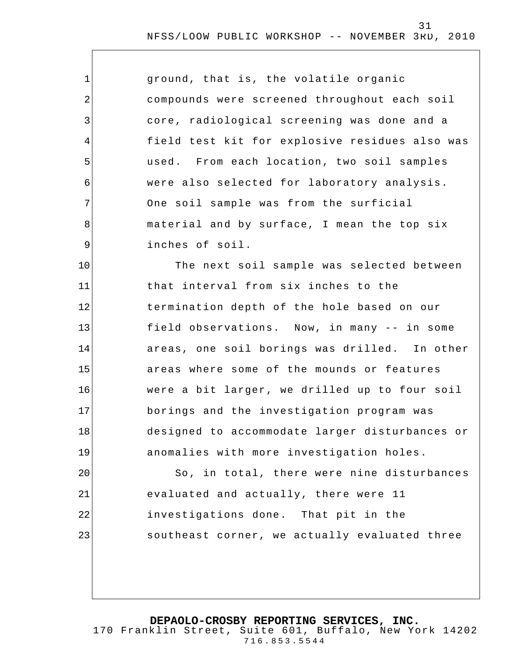| 1              | ground, that is, the volatile organic          |
|----------------|------------------------------------------------|
| $\overline{2}$ | compounds were screened throughout each soil   |
| $\mathfrak{Z}$ | core, radiological screening was done and a    |
| 4              | field test kit for explosive residues also was |
| 5              | used. From each location, two soil samples     |
| 6              | were also selected for laboratory analysis.    |
| 7              | One soil sample was from the surficial         |
| 8              | material and by surface, I mean the top six    |
| $\mathsf 9$    | inches of soil.                                |
| 10             | The next soil sample was selected between      |
| 11             | that interval from six inches to the           |
| 12             | termination depth of the hole based on our     |
| 13             | field observations. Now, in many -- in some    |
| 14             | areas, one soil borings was drilled. In other  |
| 15             | areas where some of the mounds or features     |
| 16             | were a bit larger, we drilled up to four soil  |
| 17             | borings and the investigation program was      |
| 18             | designed to accommodate larger disturbances or |
| 19             | anomalies with more investigation holes.       |
| 20             | So, in total, there were nine disturbances     |
| 21             | evaluated and actually, there were 11          |
| 22             | investigations done. That pit in the           |
| 23             | southeast corner, we actually evaluated three  |
|                |                                                |

**DEPAOLO-CROSBY REPORTING SERVICES, INC.**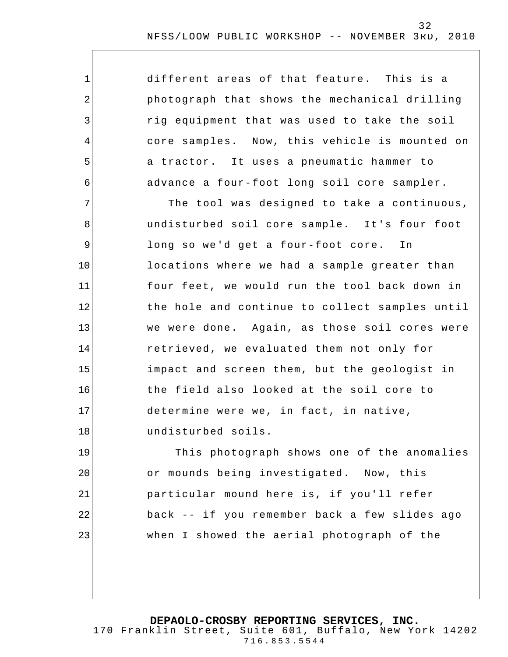| $\mathbf 1$ | different areas of that feature. This is a     |
|-------------|------------------------------------------------|
| 2           | photograph that shows the mechanical drilling  |
| 3           | rig equipment that was used to take the soil   |
| 4           | core samples. Now, this vehicle is mounted on  |
| 5           | a tractor. It uses a pneumatic hammer to       |
| 6           | advance a four-foot long soil core sampler.    |
| 7           | The tool was designed to take a continuous,    |
| 8           | undisturbed soil core sample. It's four foot   |
| $\mathsf 9$ | long so we'd get a four-foot core.<br>In       |
| 10          | locations where we had a sample greater than   |
| 11          | four feet, we would run the tool back down in  |
| 12          | the hole and continue to collect samples until |
| 13          | we were done. Again, as those soil cores were  |
| 14          | retrieved, we evaluated them not only for      |
| 15          | impact and screen them, but the geologist in   |
| 16          | the field also looked at the soil core to      |
| 17          | determine were we, in fact, in native,         |
| 18          | undisturbed soils.                             |
| 19          | This photograph shows one of the anomalies     |
| 20          | or mounds being investigated. Now, this        |
| 21          | particular mound here is, if you'll refer      |
| 22          | back -- if you remember back a few slides ago  |
| 23          | when I showed the aerial photograph of the     |
|             |                                                |
|             |                                                |

**DEPAOLO-CROSBY REPORTING SERVICES, INC.**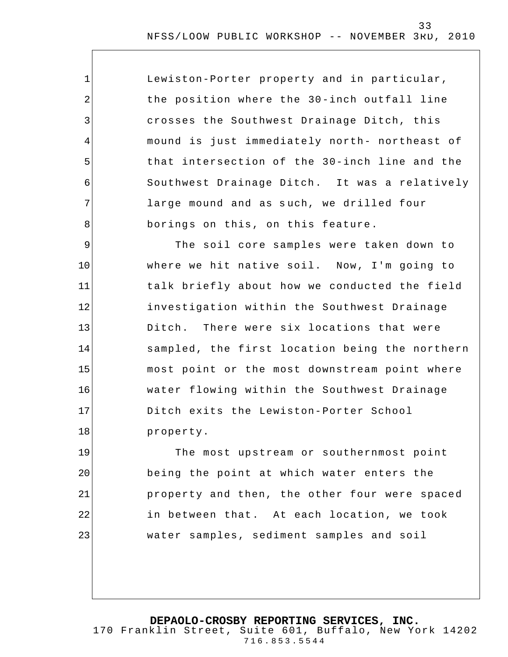| Lewiston-Porter property and in particular,   |
|-----------------------------------------------|
| the position where the 30-inch outfall line   |
| crosses the Southwest Drainage Ditch, this    |
| mound is just immediately north- northeast of |
| that intersection of the 30-inch line and the |
| Southwest Drainage Ditch. It was a relatively |
| large mound and as such, we drilled four      |
| borings on this, on this feature.             |

1

2

3

4

5

6

7

8

9 10 11 12 13 14 15 16 17 18 The soil core samples were taken down to where we hit native soil. Now, I'm going to talk briefly about how we conducted the field investigation within the Southwest Drainage Ditch. There were six locations that were sampled, the first location being the northern most point or the most downstream point where water flowing within the Southwest Drainage Ditch exits the Lewiston-Porter School property.

19 20 21 22 23 The most upstream or southernmost point being the point at which water enters the property and then, the other four were spaced in between that. At each location, we took water samples, sediment samples and soil

**DEPAOLO-CROSBY REPORTING SERVICES, INC.** 170 Franklin Street, Suite 601, Buffalo, New York 14202 716.853.5544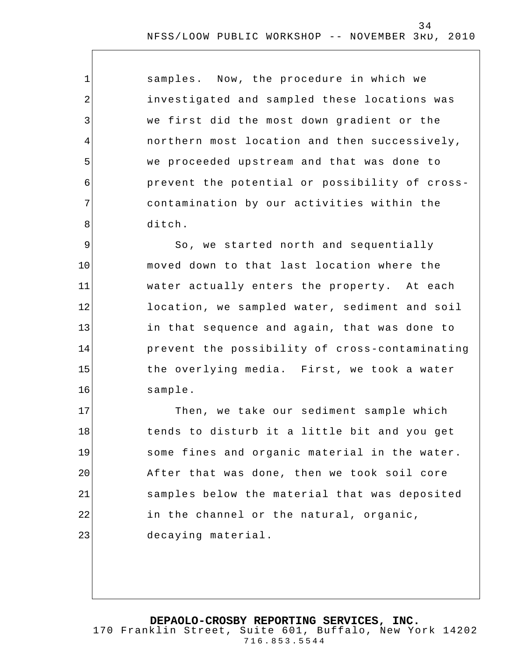samples. Now, the procedure in which we investigated and sampled these locations was we first did the most down gradient or the northern most location and then successively, we proceeded upstream and that was done to prevent the potential or possibility of crosscontamination by our activities within the ditch.

1

2

3

4

5

6

7

8

9 10 11 12 13 14 15 16 So, we started north and sequentially moved down to that last location where the water actually enters the property. At each location, we sampled water, sediment and soil in that sequence and again, that was done to prevent the possibility of cross-contaminating the overlying media. First, we took a water sample.

17 18 19 20 21 22 23 Then, we take our sediment sample which tends to disturb it a little bit and you get some fines and organic material in the water. After that was done, then we took soil core samples below the material that was deposited in the channel or the natural, organic, decaying material.

**DEPAOLO-CROSBY REPORTING SERVICES, INC.** 170 Franklin Street, Suite 601, Buffalo, New York 14202 716.853.5544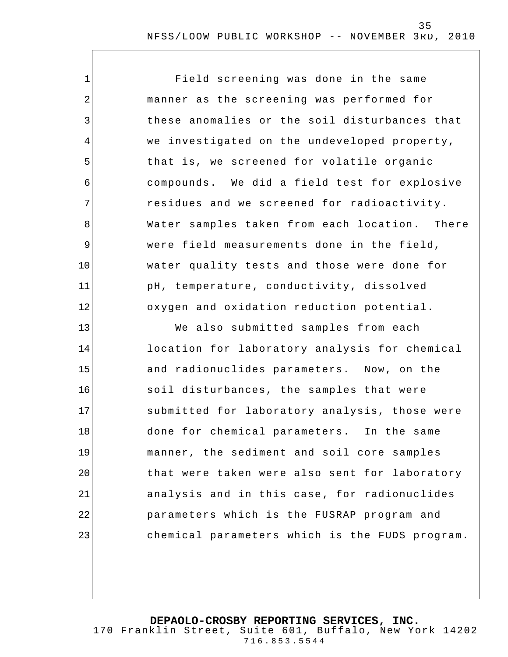1 2 3 4 5 6 7 8 9 10 11 12 13 14 15 16 17 18 19 20 21 22 23 Field screening was done in the same manner as the screening was performed for these anomalies or the soil disturbances that we investigated on the undeveloped property, that is, we screened for volatile organic compounds. We did a field test for explosive residues and we screened for radioactivity. Water samples taken from each location. There were field measurements done in the field, water quality tests and those were done for pH, temperature, conductivity, dissolved oxygen and oxidation reduction potential. We also submitted samples from each location for laboratory analysis for chemical and radionuclides parameters. Now, on the soil disturbances, the samples that were submitted for laboratory analysis, those were done for chemical parameters. In the same manner, the sediment and soil core samples that were taken were also sent for laboratory analysis and in this case , for radionuclides parameters which is the FUSRAP program and chemical parameters which is the FUDS program.

**DEPAOLO-CROSBY REPORTING SERVICES, INC.**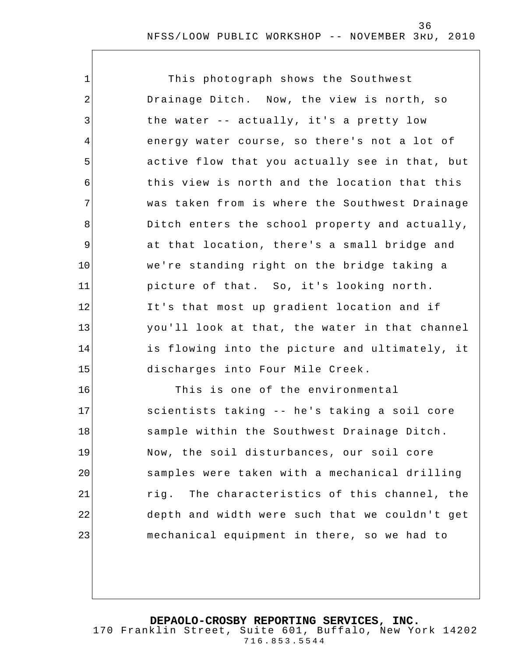| $\mathbf 1$    | This photograph shows the Southwest            |
|----------------|------------------------------------------------|
| $\overline{2}$ | Drainage Ditch. Now, the view is north, so     |
| $\mathbf{3}$   | the water -- actually, it's a pretty low       |
| 4              | energy water course, so there's not a lot of   |
| 5              | active flow that you actually see in that, but |
| 6              | this view is north and the location that this  |
| 7              | was taken from is where the Southwest Drainage |
| 8              | Ditch enters the school property and actually, |
| $\mathsf 9$    | at that location, there's a small bridge and   |
| 10             | we're standing right on the bridge taking a    |
| 11             | picture of that. So, it's looking north.       |
| 12             | It's that most up gradient location and if     |
| 13             | you'll look at that, the water in that channel |
| 14             | is flowing into the picture and ultimately, it |
| 15             | discharges into Four Mile Creek.               |
| 16             | This is one of the environmental               |
| 17             | scientists taking -- he's taking a soil core   |

sample within the Southwest Drainage Ditch. Now, the soil disturbances, our soil core samples were taken with a mechanical drilling rig. The characteristics of this channel, the depth and width were such that we couldn't get mechanical equipment in there, so we had to

18

19

20

21

22

23

**DEPAOLO-CROSBY REPORTING SERVICES, INC.** 170 Franklin Street, Suite 601, Buffalo, New York 14202

716.853.5544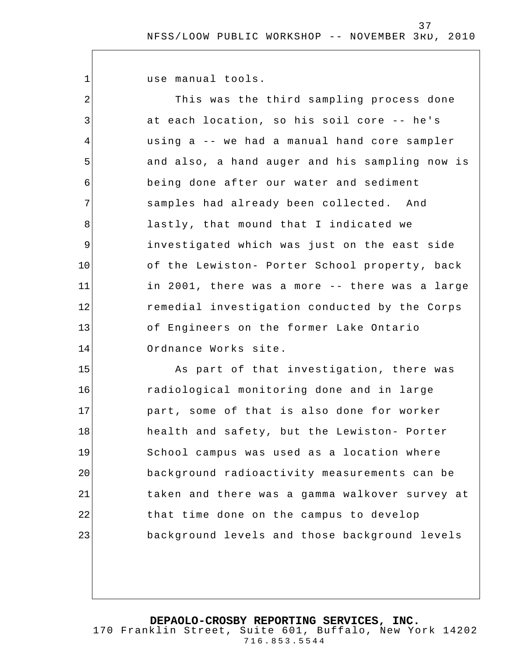37

use manual tools.

1

2 3 4 5 6 7 8 9 10 11 12 13 14 15 16 This was the third sampling process done at each location, so his soil core -- he's using a -- we had a manual hand core sampler and also, a hand auger and his sampling now is being done after our water and sediment samples had already been collected. And lastly, that mound that I indicated we investigated which was just on the east side of the Lewiston- Porter School property, back in 2001, there was a more -- there was a large remedial investigation conducted by the Corps of Engineers on the former Lake Ontario Ordnance Works site. As part of that investigation, there was radiological monitoring done and in large

17 18 19 20 21 22 23 part, some of that is also done for worker health and safety, but the Lewiston- Porter School campus was used as a location where background radioactivity measurements can be taken and there was a gamma walkover survey at that time done on the campus to develop background levels and those background levels

**DEPAOLO-CROSBY REPORTING SERVICES, INC.**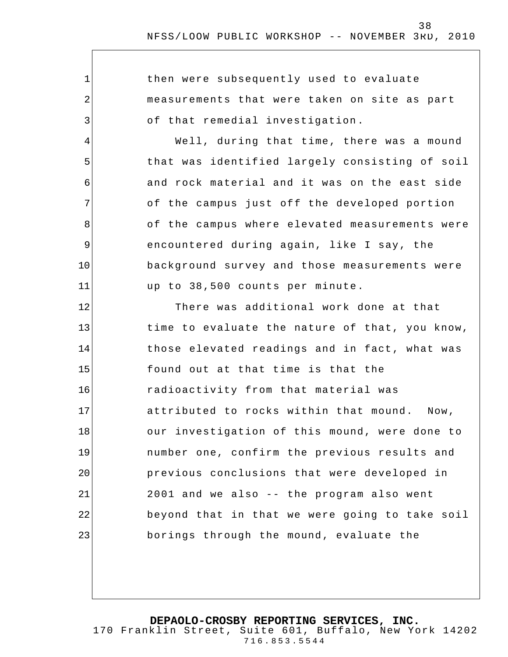| $\mathbf 1$    | then were subsequently used to evaluate        |
|----------------|------------------------------------------------|
| $\overline{2}$ | measurements that were taken on site as part   |
| 3              | of that remedial investigation.                |
| $\overline{4}$ | Well, during that time, there was a mound      |
| 5              | that was identified largely consisting of soil |
| 6              | and rock material and it was on the east side  |
| 7              | of the campus just off the developed portion   |
| 8              | of the campus where elevated measurements were |
| $\mathsf 9$    | encountered during again, like I say, the      |
| 10             | background survey and those measurements were  |
| 11             | up to 38,500 counts per minute.                |
| 12             | There was additional work done at that         |
| 13             | time to evaluate the nature of that, you know, |
| 14             | those elevated readings and in fact, what was  |
| 15             | found out at that time is that the             |
| 16             | radioactivity from that material was           |
| 17             | attributed to rocks within that mound. Now,    |
| 18             | our investigation of this mound, were done to  |
| 19             | number one, confirm the previous results and   |
| 20             | previous conclusions that were developed in    |
| 21             | 2001 and we also -- the program also went      |
| 22             | beyond that in that we were going to take soil |
| 23             | borings through the mound, evaluate the        |
|                |                                                |

**DEPAOLO-CROSBY REPORTING SERVICES, INC.**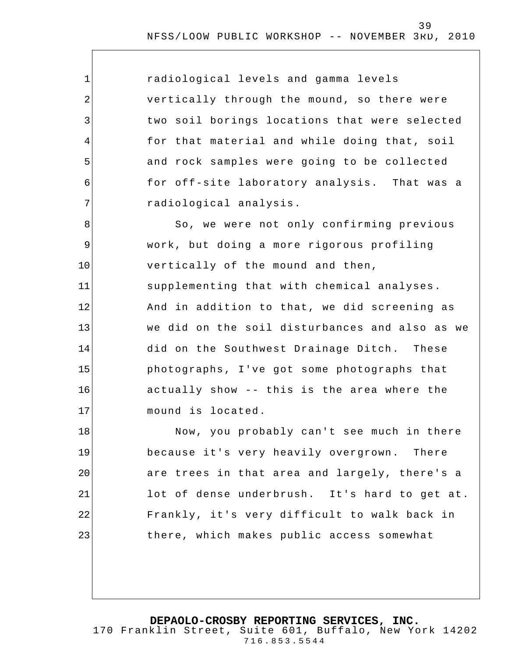| $\mathbf 1$    | radiological levels and gamma levels           |
|----------------|------------------------------------------------|
| 2              | vertically through the mound, so there were    |
| 3              | two soil borings locations that were selected  |
| $\overline{4}$ | for that material and while doing that, soil   |
| 5              | and rock samples were going to be collected    |
| 6              | for off-site laboratory analysis. That was a   |
| 7              | radiological analysis.                         |
| 8              | So, we were not only confirming previous       |
| $\mathsf 9$    | work, but doing a more rigorous profiling      |
| 10             | vertically of the mound and then,              |
| 11             | supplementing that with chemical analyses.     |
| 12             | And in addition to that, we did screening as   |
| 13             | we did on the soil disturbances and also as we |
| 14             | did on the Southwest Drainage Ditch. These     |
| 15             | photographs, I've got some photographs that    |
| 16             | actually show -- this is the area where the    |
| 17             | mound is located.                              |
| 18             | Now, you probably can't see much in there      |
| 19             | because it's very heavily overgrown. There     |
| 20             | are trees in that area and largely, there's a  |
| 21             | lot of dense underbrush. It's hard to get at.  |
| 22             | Frankly, it's very difficult to walk back in   |
| 23             | there, which makes public access somewhat      |
|                |                                                |

**DEPAOLO-CROSBY REPORTING SERVICES, INC.**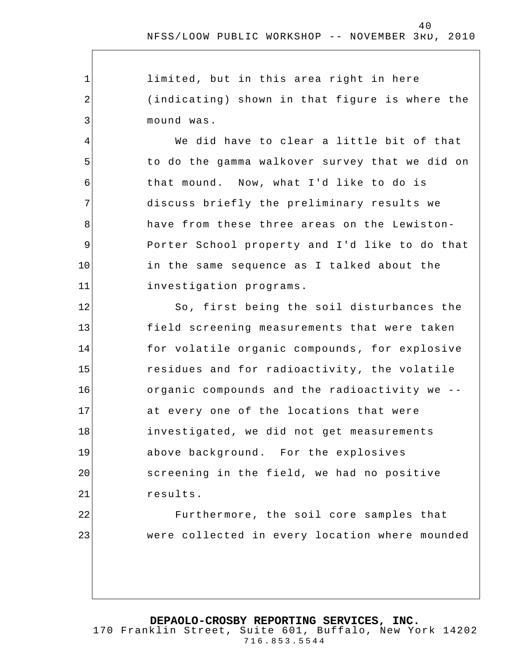limited, but in this area right in here (indicating) shown in that figure is where the mound was.

1

2

3

4

5

6

7

8

9

10

11

22

23

We did have to clear a little bit of that to do the gamma walkover survey that we did on that mound. Now, what I'd like to do is discuss briefly the preliminary results we have from these three areas on the Lewiston-Porter School property and I'd like to do that in the same sequence as I talked about the investigation programs.

12 13 14 15 16 17 18 19 20 21 So, first being the soil disturbances the field screening measurements that were taken for volatile organic compounds , for explosive residues and for radioactivity, the volatile organic compounds and the radioactivity we - at every one of the locations that were investigated, we did not get measurements above background. For the explosives screening in the field, we had no positive results.

> Furthermore, the soil core samples that were collected in every location where mounded

**DEPAOLO-CROSBY REPORTING SERVICES, INC.**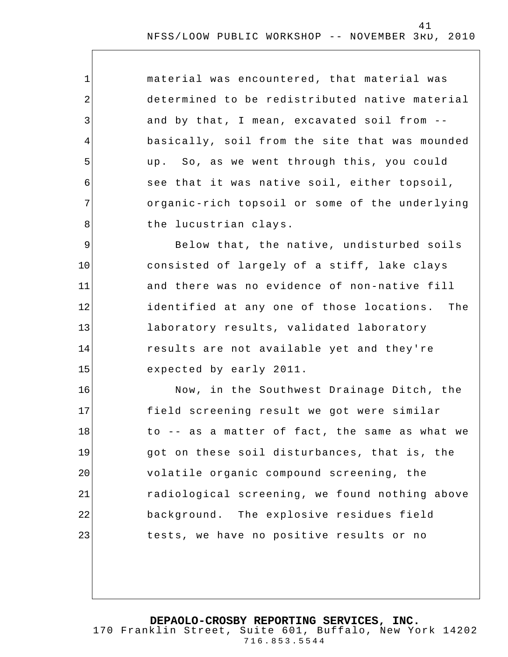| material was encountered, that material was    |
|------------------------------------------------|
| determined to be redistributed native material |
| and by that, I mean, excavated soil from --    |
| basically, soil from the site that was mounded |
| up. So, as we went through this, you could     |
| see that it was native soil, either topsoil,   |
| organic-rich topsoil or some of the underlying |
| the lucustrian clays.                          |
|                                                |

1

2

3

4

5

6

7

8

9 10 11 12 13 14 15 Below that, the native, undisturbed soils consisted of largely of a stiff, lake clays and there was no evidence of non-native fill identified at any one of those locations. The laboratory results, validated laboratory results are not available yet and they're expected by early 2011.

16 17 18 19 20 21 22 23 Now, in the Southwest Drainage Ditch, the field screening result we got were similar to -- as a matter of fact, the same as what we got on these soil disturbances, that is, the volatile organic compound screening, the radiological screening, we found nothing above background. The explosive residues field tests, we have no positive results or no

**DEPAOLO-CROSBY REPORTING SERVICES, INC.**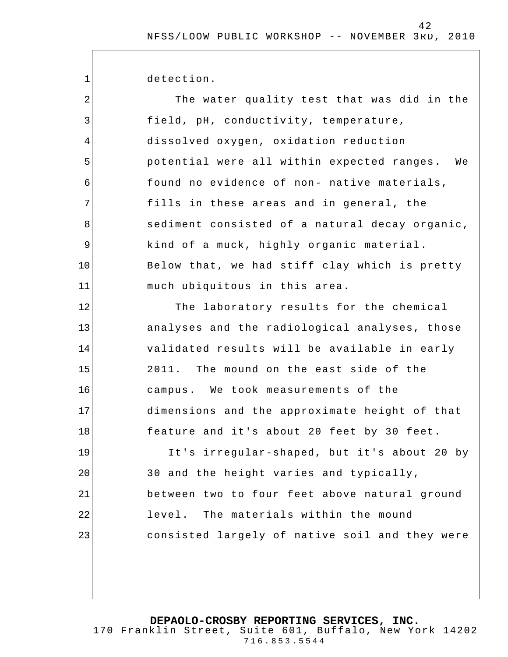detection.

1

| $\sqrt{2}$ | The water quality test that was did in the     |
|------------|------------------------------------------------|
| 3          | field, pH, conductivity, temperature,          |
| 4          | dissolved oxygen, oxidation reduction          |
| 5          | potential were all within expected ranges. We  |
| 6          | found no evidence of non- native materials,    |
| 7          | fills in these areas and in general, the       |
| 8          | sediment consisted of a natural decay organic, |
| 9          | kind of a muck, highly organic material.       |
| 10         | Below that, we had stiff clay which is pretty  |
| 11         | much ubiquitous in this area.                  |
| 12         | The laboratory results for the chemical        |
| 13         | analyses and the radiological analyses, those  |
| 14         | validated results will be available in early   |
| 15         | 2011. The mound on the east side of the        |
| 16         | campus. We took measurements of the            |
| 17         | dimensions and the approximate height of that  |
| 18         | feature and it's about 20 feet by 30 feet.     |
| 19         | It's irregular-shaped, but it's about 20 by    |
| 20         | 30 and the height varies and typically,        |
| 21         | between two to four feet above natural ground  |
| 22         | level. The materials within the mound          |
| 23         | consisted largely of native soil and they were |
|            |                                                |

**DEPAOLO-CROSBY REPORTING SERVICES, INC.**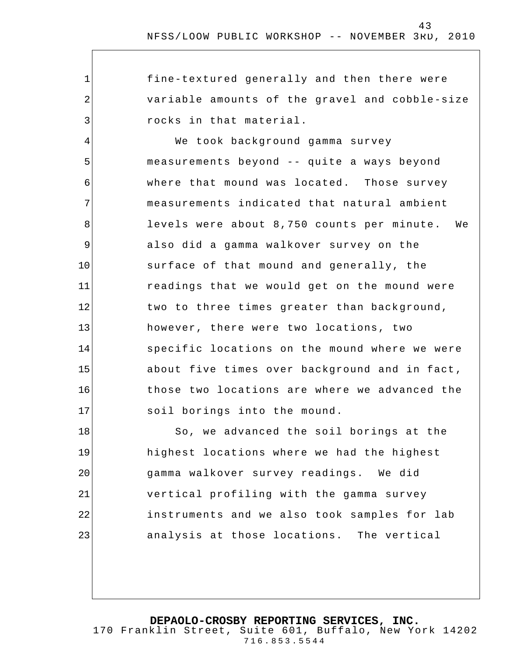fine-textured generally and then there were variable amounts of the gravel and cobble-size rocks in that material.

1

2

3

4 5 6 7 8 9 10 11 12 13 14 15 16 17 We took background gamma survey measurements beyond -- quite a ways beyond where that mound was located. Those survey measurements indicated that natural ambient levels were about 8,750 counts per minute. We also did a gamma walkover survey on the surface of that mound and generally, the readings that we would get on the mound were two to three times greater than background, however, there were two locations, two specific locations on the mound where we were about five times over background and in fact , those two locations are where we advanced the soil borings into the mound.

18 19 20 21 22 23 So, we advanced the soil borings at the highest locations where we had the highest gamma walkover survey readings. We did vertical profiling with the gamma survey instruments and we also took samples for lab analysis at those locations. The vertical

**DEPAOLO-CROSBY REPORTING SERVICES, INC.**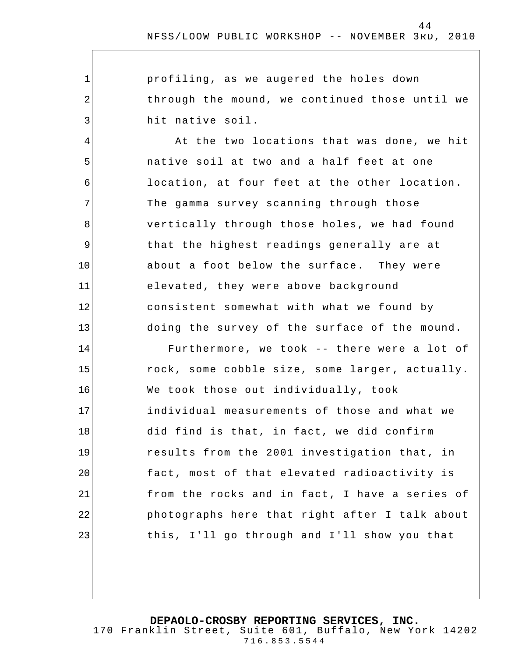profiling, as we augered the holes down through the mound, we continued those until we hit native soil.

1

2

3

4

5

6

7

8

9

10

11

12

13

At the two locations that was done, we hit native soil at two and a half feet at one location, at four feet at the other location. The gamma survey scanning through those vertically through those holes, we had found that the highest readings generally are at about a foot below the surface. They were elevated, they were above background consistent somewhat with what we found by doing the survey of the surface of the mound.

14 15 16 17 18 19 20 21 22 23 Furthermore, we took -- there were a lot of rock, some cobble size, some larger, actually. We took those out individually, took individual measurements of those and what we did find is that, in fact, we did confirm results from the 2001 investigation that, in fact, most of that elevated radioactivity is from the rocks and in fact, I have a series of photographs here that right after I talk about this, I'll go through and I'll show you that

**DEPAOLO-CROSBY REPORTING SERVICES, INC.**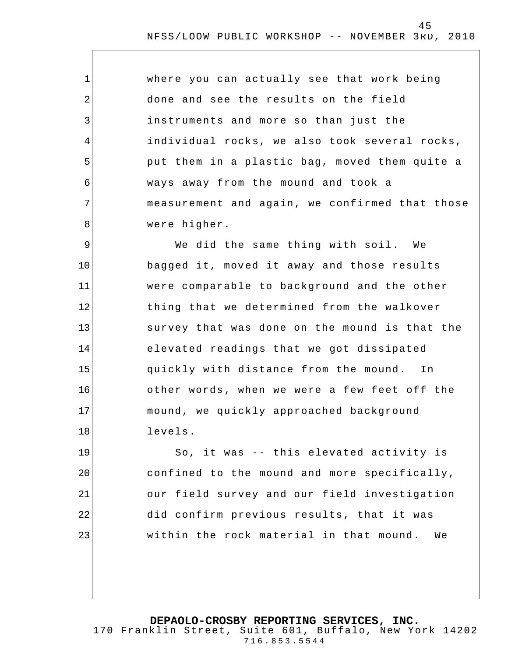where you can actually see that work being done and see the results on the field instruments and more so than just the individual rocks, we also took several rocks, put them in a plastic bag, moved them quite a ways away from the mound and took a measurement and again, we confirmed that those were higher.

1

2

3

4

5

6

7

8

9 10 11 12 13 14 15 16 17 18 We did the same thing with soil. We bagged it, moved it away and those results were comparable to background and the other thing that we determined from the walkover survey that was done on the mound is that the elevated readings that we got dissipated quickly with distance from the mound. In other words , when we were a few feet off the mound, we quickly approached background levels.

19 20 21 22 23 So, it was -- this elevated activity is confined to the mound and more specifically, our field survey and our field investigation did confirm previous results, that it was within the rock material in that mound. We

**DEPAOLO-CROSBY REPORTING SERVICES, INC.**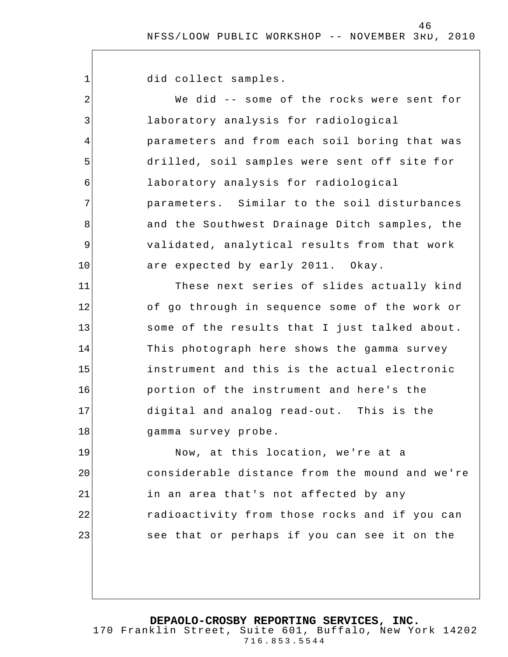46

did collect samples.

1

2 3 4 5 6 7 8 9 10 11 12 13 14 15 16 17 18 19 20 21 22 23 We did -- some of the rocks were sent for laboratory analysis for radiological parameters and from each soil boring that was drilled, soil samples were sent off site for laboratory analysis for radiological parameters. Similar to the soil disturbances and the Southwest Drainage Ditch samples, the validated, analytical results from that work are expected by early 2011. Okay. These next series of slides actually kind of go through in sequence some of the work or some of the results that I just talked about. This photograph here shows the gamma survey instrument and this is the actual electronic portion of the instrument and here's the digital and analog read-out. This is the gamma survey probe. Now, at this location, we're at a considerable distance from the mound and we're in an area that's not affected by any radioactivity from those rocks and if you can see that or perhaps if you can see it on the

**DEPAOLO-CROSBY REPORTING SERVICES, INC.**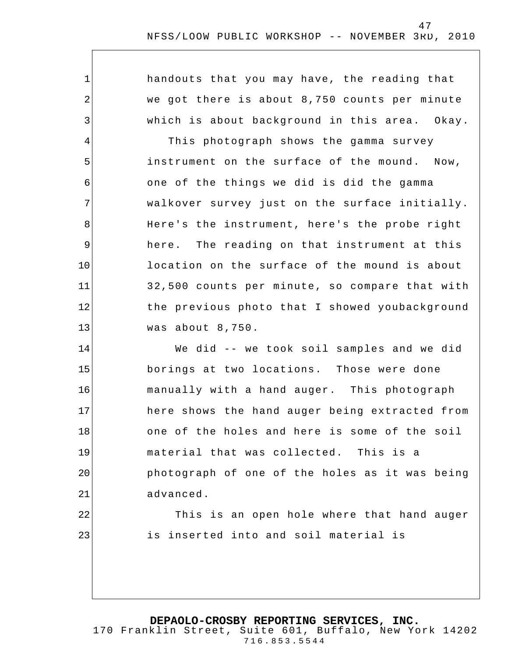handouts that you may have, the reading that we got there is about 8,750 counts per minute which is about background in this area. Okay.

1

2

3

4

5

6

7

8

9

10

11

12

13

22

23

This photograph shows the gamma survey instrument on the surface of the mound. Now, one of the things we did is did the gamma walkover survey just on the surface initially. Here's the instrument, here's the probe right here. The reading on that instrument at this location on the surface of the mound is about 32,500 counts per minute, so compare that with the previous photo that I showed youbackground was about 8,750.

14 15 16 17 18 19 20 21 We did -- we took soil samples and we did borings at two locations. Those were done manually with a hand auger. This photograph here shows the hand auger being extracted from one of the holes and here is some of the soil material that was collected. This is a photograph of one of the holes as it was being advanced.

> This is an open hole where that hand auger is inserted into and soil material is

**DEPAOLO-CROSBY REPORTING SERVICES, INC.**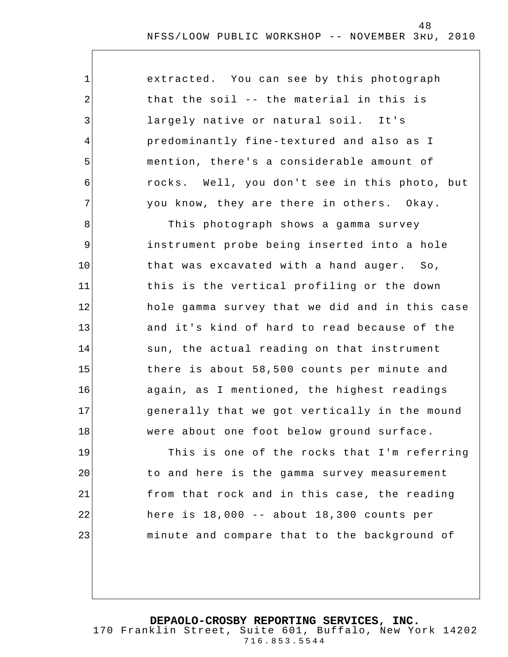| extracted. You can see by this photograph     |  |
|-----------------------------------------------|--|
| that the soil -- the material in this is      |  |
| largely native or natural soil. It's          |  |
| predominantly fine-textured and also as I     |  |
| mention, there's a considerable amount of     |  |
| rocks. Well, you don't see in this photo, but |  |
| you know, they are there in others. Okay.     |  |

1

2

3

4

5

6

7

8 9 10 11 12 13 14 15 16 17 18 This photograph shows a gamma survey instrument probe being inserted into a hole that was excavated with a hand auger. So, this is the vertical profiling or the down hole gamma survey that we did and in this case and it's kind of hard to read because of the sun, the actual reading on that instrument there is about 58,500 counts per minute and again, as I mentioned, the highest readings generally that we got vertically in the mound were about one foot below ground surface.

19 20 21 22 23 This is one of the rocks that I'm referring to and here is the gamma survey measurement from that rock and in this case, the reading here is 18,000 -- about 18,300 counts per minute and compare that to the background of

**DEPAOLO-CROSBY REPORTING SERVICES, INC.**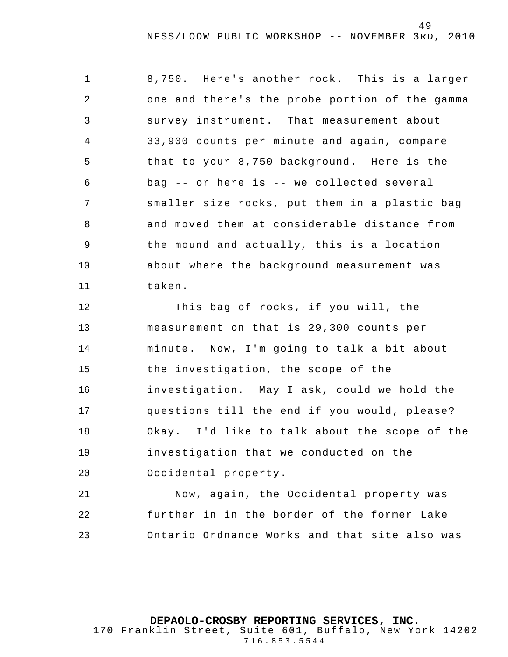| $\mathbf 1$    | 8,750. Here's another rock. This is a larger   |
|----------------|------------------------------------------------|
| $\overline{2}$ | one and there's the probe portion of the gamma |
| 3              | survey instrument. That measurement about      |
| 4              | 33,900 counts per minute and again, compare    |
| 5              | that to your 8,750 background. Here is the     |
| 6              | bag -- or here is -- we collected several      |
| 7              | smaller size rocks, put them in a plastic bag  |
| 8              | and moved them at considerable distance from   |
| 9              | the mound and actually, this is a location     |
| 10             | about where the background measurement was     |
| 11             | taken.                                         |
| 12             | This bag of rocks, if you will, the            |
| 13             | measurement on that is 29,300 counts per       |
| 14             | minute. Now, I'm going to talk a bit about     |
| 15             | the investigation, the scope of the            |
| 16             | investigation. May I ask, could we hold the    |
| 17             | questions till the end if you would, please?   |
| 18             | Okay. I'd like to talk about the scope of the  |
| 19             | investigation that we conducted on the         |
| 20             | Occidental property.                           |
| 21             | Now, again, the Occidental property was        |
| 22             | further in in the border of the former Lake    |
| 23             | Ontario Ordnance Works and that site also was  |
|                |                                                |

**DEPAOLO-CROSBY REPORTING SERVICES, INC.**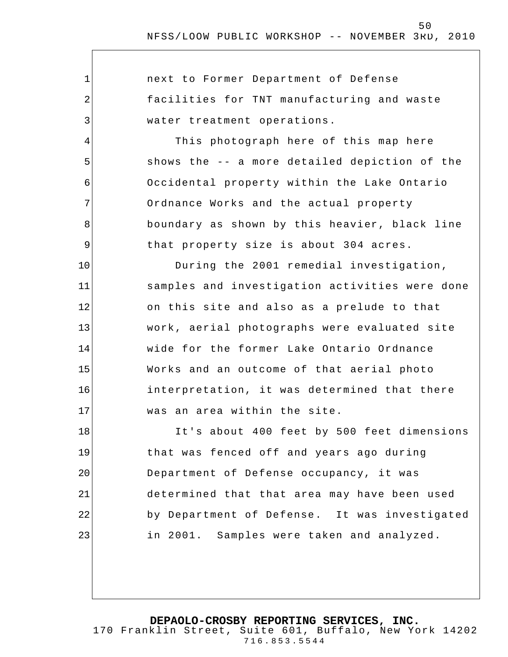$\overline{\phantom{a}}$ 

| $\mathbf{1}$ | next to Former Department of Defense           |
|--------------|------------------------------------------------|
| 2            | facilities for TNT manufacturing and waste     |
| 3            | water treatment operations.                    |
| 4            | This photograph here of this map here          |
| 5            | shows the -- a more detailed depiction of the  |
| 6            | Occidental property within the Lake Ontario    |
| 7            | Ordnance Works and the actual property         |
| 8            | boundary as shown by this heavier, black line  |
| 9            | that property size is about 304 acres.         |
| 10           | During the 2001 remedial investigation,        |
| 11           | samples and investigation activities were done |
| 12           | on this site and also as a prelude to that     |
| 13           | work, aerial photographs were evaluated site   |
| 14           | wide for the former Lake Ontario Ordnance      |
| 15           | Works and an outcome of that aerial photo      |
| 16           | interpretation, it was determined that there   |
| 17           | was an area within the site.                   |
| 18           | It's about 400 feet by 500 feet dimensions     |
| 19           | that was fenced off and years ago during       |
| 20           | Department of Defense occupancy, it was        |
| 21           | determined that that area may have been used   |
| 22           | by Department of Defense. It was investigated  |
| 23           | in 2001. Samples were taken and analyzed.      |
|              |                                                |
|              |                                                |

**DEPAOLO-CROSBY REPORTING SERVICES, INC.**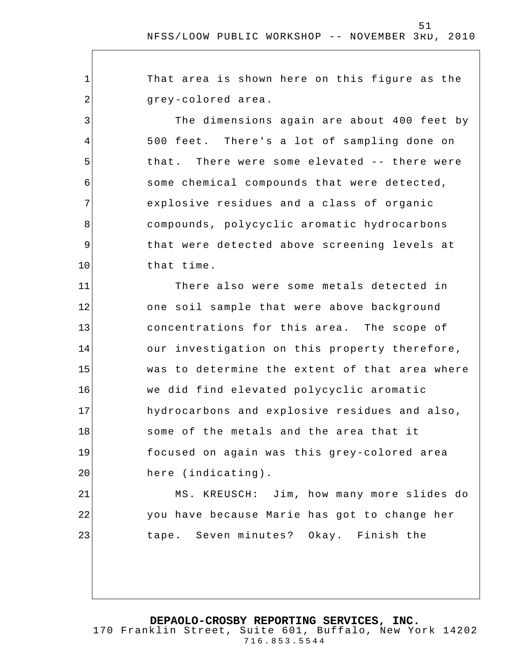That area is shown here on this figure as the grey-colored area.

1

2

3

4

5

6

7

8

9

10

21

22

23

The dimensions again are about 400 feet by 500 feet. There's a lot of sampling done on that. There were some elevated -- there were some chemical compounds that were detected, explosive residues and a class of organic compounds, polycyclic aromatic hydrocarbons that were detected above screening levels at that time.

11 12 13 14 15 16 17 18 19 20 There also were some metals detected in one soil sample that were above background concentrations for this area. The scope of our investigation on this property therefore, was to determine the extent of that area where we did find elevated polycyclic aromatic hydrocarbons and explosive residues and also, some of the metals and the area that it focused on again was this grey-colored area here (indicating).

MS. KREUSCH: Jim, how many more slides do you have because Marie has got to change her tape. Seven minutes? Okay. Finish the

**DEPAOLO-CROSBY REPORTING SERVICES, INC.**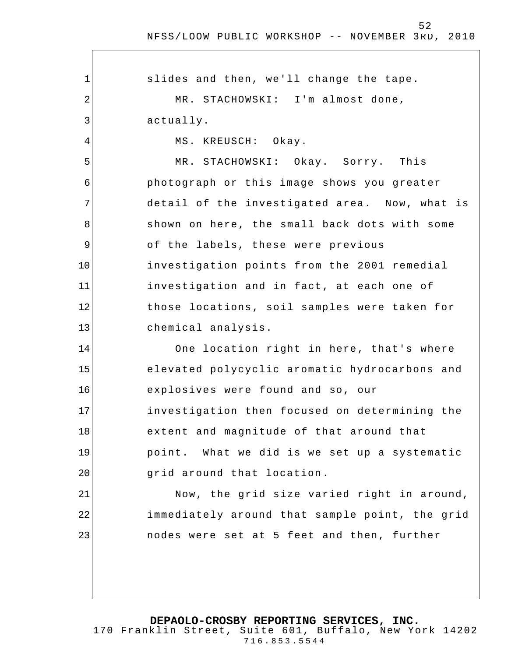1 2 3 4 5 6 7 8 9 10 11 12 13 14 15 16 17 18 19 20 21 22 23 slides and then, we'll change the tape. MR. STACHOWSKI: I'm almost done, actually. MS. KREUSCH: Okay. MR. STACHOWSKI: Okay. Sorry. This photograph or this image shows you greater detail of the investigated area. Now, what is shown on here, the small back dots with some of the labels, these were previous investigation points from the 2001 remedial investigation and in fact, at each one of those locations, soil samples were taken for chemical analysis. One location right in here, that's where elevated polycyclic aromatic hydrocarbons and explosives were found and so, our investigation then focused on determining the extent and magnitude of that around that point. What we did is we set up a systematic grid around that location . Now, the grid size varied right in around, immediately around that sample point, the grid nodes were set at 5 feet and then, further

**DEPAOLO-CROSBY REPORTING SERVICES, INC.**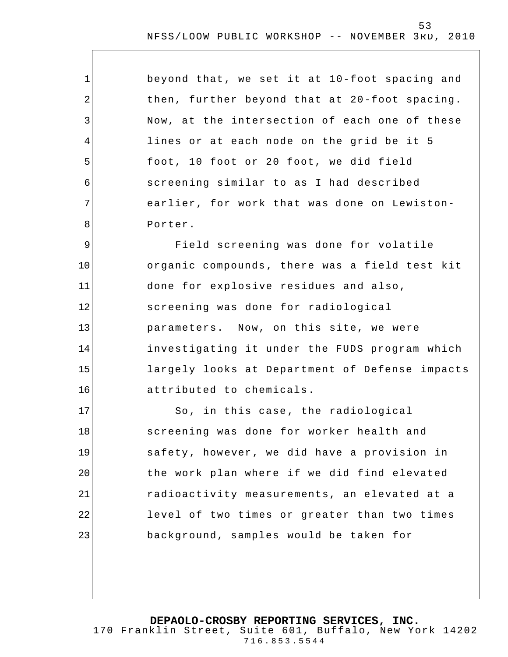| beyond that, we set it at 10-foot spacing and |
|-----------------------------------------------|
| then, further beyond that at 20-foot spacing. |
| Now, at the intersection of each one of these |
| lines or at each node on the grid be it 5     |
| foot, 10 foot or 20 foot, we did field        |
| screening similar to as I had described       |
| earlier, for work that was done on Lewiston-  |
| Porter.                                       |

1

2

3

4

5

6

7

8

9 10 11 12 13 14 15 16 Field screening was done for volatile organic compounds, there was a field test kit done for explosive residues and also, screening was done for radiological parameters. Now, on this site, we were investigating it under the FUDS program which largely looks at Department of Defense impacts attributed to chemicals.

17 18 19 20 21 22 23 So, in this case , the radiological screening was done for worker health and safety, however, we did have a provision in the work plan where if we did find elevated radioactivity measurements, an elevated at a level of two times or greater than two times background, samples would be taken for

**DEPAOLO-CROSBY REPORTING SERVICES, INC.**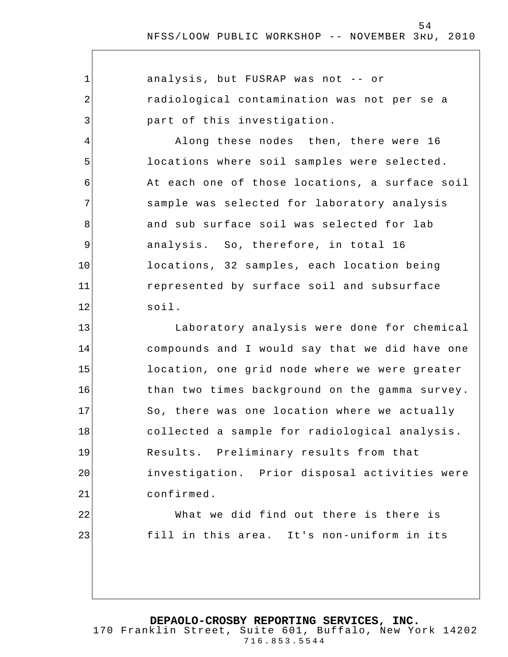| $\mathbf{1}$   | analysis, but FUSRAP was not -- or             |
|----------------|------------------------------------------------|
| 2              | radiological contamination was not per se a    |
| $\mathbf{3}$   | part of this investigation.                    |
| 4              | Along these nodes then, there were 16          |
| 5              | locations where soil samples were selected.    |
| 6              | At each one of those locations, a surface soil |
| 7              | sample was selected for laboratory analysis    |
| 8              | and sub surface soil was selected for lab      |
| $\overline{9}$ | analysis. So, therefore, in total 16           |
| 10             | locations, 32 samples, each location being     |
| 11             | represented by surface soil and subsurface     |
| 12             | $s$ oil.                                       |
| 13             | Laboratory analysis were done for chemical     |
| 14             | compounds and I would say that we did have one |
| 15             | location, one grid node where we were greater  |
| 16             | than two times background on the gamma survey. |
| 17             | So, there was one location where we actually   |
| 18             | collected a sample for radiological analysis.  |
| 19             | Results. Preliminary results from that         |
| 20             | investigation. Prior disposal activities were  |
| 21             | confirmed.                                     |
| 22             | What we did find out there is there is         |
| 23             | fill in this area. It's non-uniform in its     |
|                |                                                |
|                |                                                |
|                |                                                |

**DEPAOLO-CROSBY REPORTING SERVICES, INC.**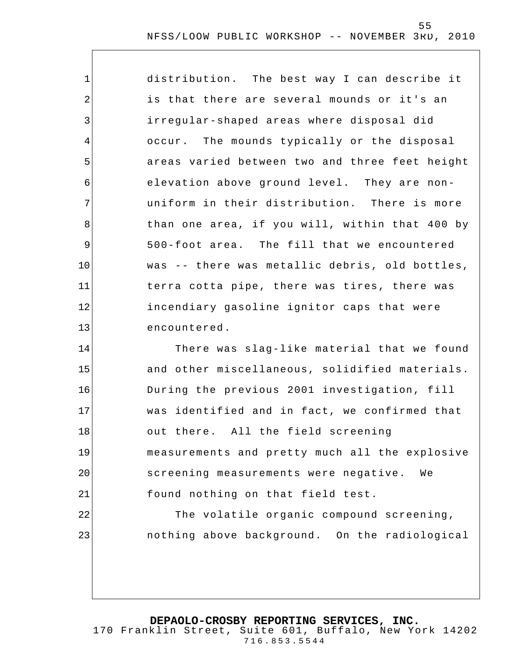1 2 3 4 5 6 7 8 9 10 11 12 13 distribution. The best way I can describe it is that there are several mounds or it's an irregular-shaped areas where disposal did occur. The mounds typically or the disposal areas varied between two and three feet height elevation above ground level. They are nonuniform in their distribution. There is more than one area, if you will, within that 400 by 500-foot area. The fill that we encountered was -- there was metallic debris, old bottles, terra cotta pipe, there was tires, there was incendiary gasoline ignitor caps that were encountered.

14 15 16 17 18 19 20 21 22 23 There was slag-like material that we found and other miscellaneous, solidified materials. During the previous 2001 investigation, fill was identified and in fact, we confirmed that out there. All the field screening measurements and pretty much all the explosive screening measurements were negative. We found nothing on that field test. The volatile organic compound screening, nothing above background. On the radiological

#### **DEPAOLO-CROSBY REPORTING SERVICES, INC.**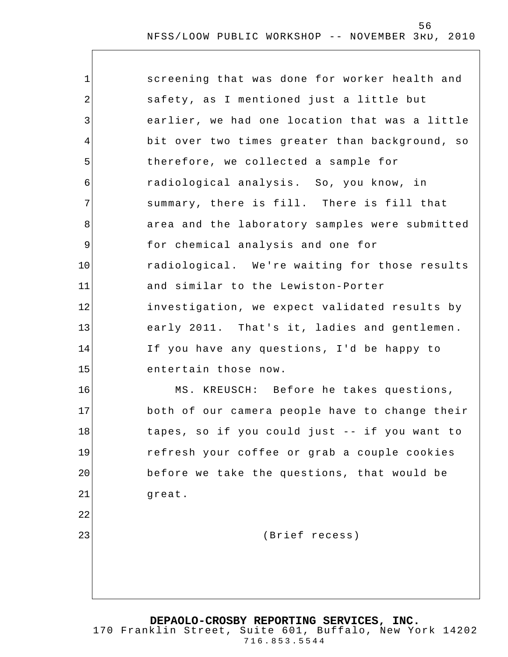| 1       | screening that was done for worker health and  |
|---------|------------------------------------------------|
| 2       | safety, as I mentioned just a little but       |
| 3       | earlier, we had one location that was a little |
| 4       | bit over two times greater than background, so |
| 5       | therefore, we collected a sample for           |
| 6       | radiological analysis. So, you know, in        |
| 7       | summary, there is fill. There is fill that     |
| 8       | area and the laboratory samples were submitted |
| 9       | for chemical analysis and one for              |
| $10 \,$ | radiological. We're waiting for those results  |
| 11      | and similar to the Lewiston-Porter             |
| 12      | investigation, we expect validated results by  |
| 13      | early 2011. That's it, ladies and gentlemen.   |
| 14      | If you have any questions, I'd be happy to     |
| 15      | entertain those now.                           |
| 16      | MS. KREUSCH: Before he takes questions,        |
| 17      | both of our camera people have to change their |
| 18      | tapes, so if you could just -- if you want to  |
| 19      | refresh your coffee or grab a couple cookies   |
| 20      | before we take the questions, that would be    |
| 21      | great.                                         |
| 22      |                                                |
| 23      | (Brief recess)                                 |
|         |                                                |
|         |                                                |
|         |                                                |

**DEPAOLO-CROSBY REPORTING SERVICES, INC.** 170 Franklin Street, Suite 601, Buffalo, New York 14202 716.853.5544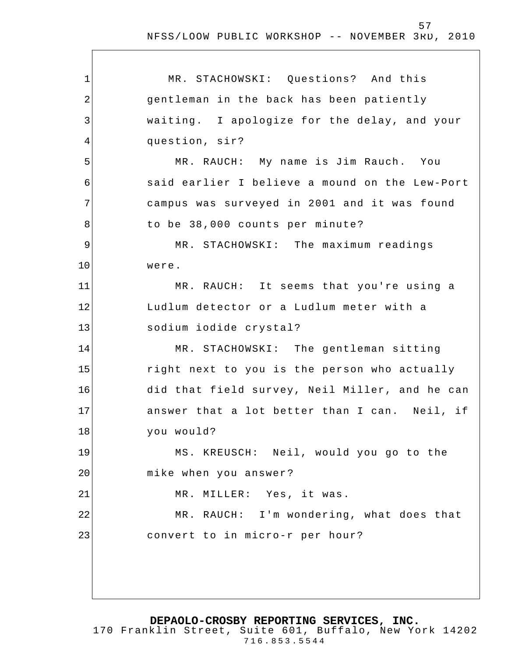1 2 3 4 5 6 7 8 9 10 11 12 13 14 15 16 17 18 19 20 21 22 23 MR. STACHOWSKI: Questions? And this gentleman in the back has been patiently waiting. I apologize for the delay, and your question, sir? MR. RAUCH: My name is Jim Rauch. You said earlier I believe a mound on the Lew-Port campus was surveyed in 2001 and it was found to be 38,000 counts per minute? MR. STACHOWSKI: The maximum readings were. MR. RAUCH: It seems that you're using a Ludlum detector or a Ludlum meter with a sodium iodide crystal? MR. STACHOWSKI: The gentleman sitting right next to you is the person who actually did that field survey, Neil Miller, and he can answer that a lot better than I can. Neil, if you would? MS. KREUSCH: Neil, would you go to the mike when you answer ? MR. MILLER: Yes, it was. MR. RAUCH: I'm wondering, what does that convert to in micro-r per hour?

**DEPAOLO-CROSBY REPORTING SERVICES, INC.**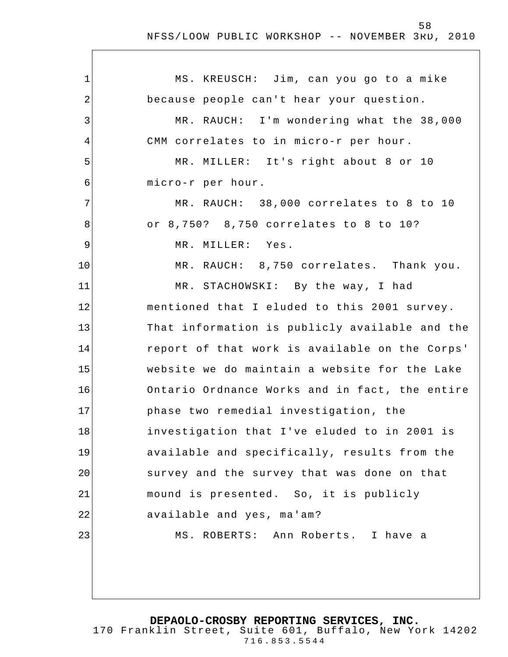$\overline{1}$ 

| $\mathbf 1$ | MS. KREUSCH: Jim, can you go to a mike         |
|-------------|------------------------------------------------|
| 2           | because people can't hear your question.       |
| 3           | MR. RAUCH: I'm wondering what the 38,000       |
| 4           | CMM correlates to in micro-r per hour.         |
| 5           | MR. MILLER: It's right about 8 or 10           |
| 6           | micro-r per hour.                              |
| 7           | MR. RAUCH: 38,000 correlates to 8 to 10        |
| 8           | or 8,750? 8,750 correlates to 8 to 10?         |
| 9           | MR. MILLER: Yes.                               |
| 10          | MR. RAUCH: 8,750 correlates. Thank you.        |
| 11          | MR. STACHOWSKI: By the way, I had              |
| 12          | mentioned that I eluded to this 2001 survey.   |
| 13          | That information is publicly available and the |
| 14          | report of that work is available on the Corps' |
| 15          | website we do maintain a website for the Lake  |
| 16          | Ontario Ordnance Works and in fact, the entire |
| 17          | phase two remedial investigation, the          |
| 18          | investigation that I've eluded to in 2001 is   |
| 19          | available and specifically, results from the   |
| 20          | survey and the survey that was done on that    |
| 21          | mound is presented. So, it is publicly         |
| 22          | available and yes, ma'am?                      |
| 23          | MS. ROBERTS: Ann Roberts. I have a             |
|             |                                                |
|             |                                                |

**DEPAOLO-CROSBY REPORTING SERVICES, INC.**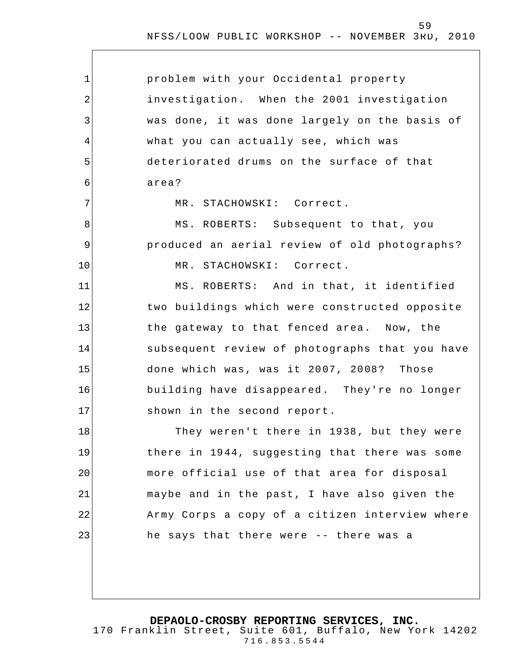| 1           | problem with your Occidental property          |
|-------------|------------------------------------------------|
| 2           | investigation. When the 2001 investigation     |
| 3           | was done, it was done largely on the basis of  |
| 4           | what you can actually see, which was           |
| 5           | deteriorated drums on the surface of that      |
| 6           | area?                                          |
| 7           | MR. STACHOWSKI: Correct.                       |
| 8           | MS. ROBERTS: Subsequent to that, you           |
| $\mathsf 9$ | produced an aerial review of old photographs?  |
| 10          | MR. STACHOWSKI: Correct.                       |
| 11          | MS. ROBERTS: And in that, it identified        |
| 12          | two buildings which were constructed opposite  |
| 13          | the gateway to that fenced area. Now, the      |
| 14          | subsequent review of photographs that you have |
| 15          | done which was, was it 2007, 2008? Those       |
| 16          | building have disappeared. They're no longer   |
| 17          | shown in the second report.                    |
| 18          | They weren't there in 1938, but they were      |
| 19          | there in 1944, suggesting that there was some  |
| 20          | more official use of that area for disposal    |
| 21          | maybe and in the past, I have also given the   |
| 22          | Army Corps a copy of a citizen interview where |
| 23          | he says that there were -- there was a         |
|             |                                                |
|             |                                                |

**DEPAOLO-CROSBY REPORTING SERVICES, INC.**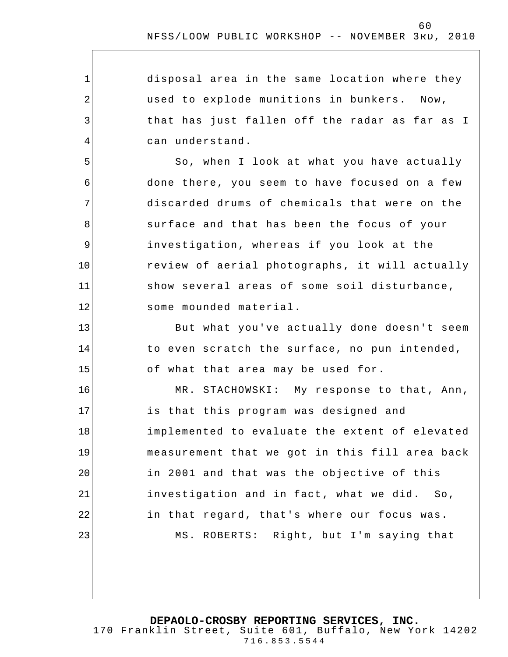disposal area in the same location where they used to explode munitions in bunkers. Now, that has just fallen off the radar as far as I can understand.

1

2

3

4

5

6

7

8

9

10

11

12

13

14

15

So, when I look at what you have actually done there, you seem to have focused on a few discarded drums of chemicals that were on the surface and that has been the focus of your investigation, whereas if you look at the review of aerial photographs, it will actually show several areas of some soil disturbance, some mounded material.

But what you've actually done doesn't seem to even scratch the surface, no pun intended, of what that area may be used for.

16 17 18 19 20 21 22 23 MR. STACHOWSKI: My response to that, Ann, is that this program was designed and implemented to evaluate the extent of elevated measurement that we got in this fill area back in 2001 and that was the objective of this investigation and in fact , what we did. So, in that regard, that's where our focus was. MS. ROBERTS: Right, but I'm saying that

**DEPAOLO-CROSBY REPORTING SERVICES, INC.**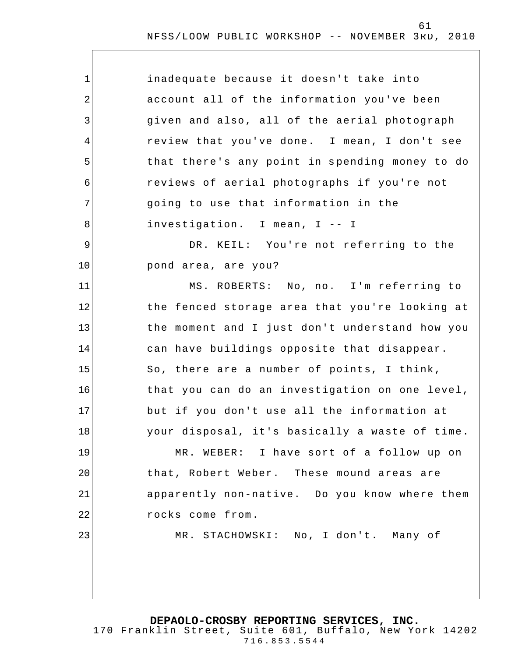| $\mathbf 1$    | inadequate because it doesn't take into        |
|----------------|------------------------------------------------|
| $\overline{2}$ | account all of the information you've been     |
| 3              | given and also, all of the aerial photograph   |
| 4              | review that you've done. I mean, I don't see   |
| 5              | that there's any point in spending money to do |
| 6              | reviews of aerial photographs if you're not    |
| 7              | going to use that information in the           |
| 8              | investigation. I mean, I -- I                  |
| 9              | DR. KEIL: You're not referring to the          |
| 10             | pond area, are you?                            |
| 11             | MS. ROBERTS: No, no. I'm referring to          |
| 12             | the fenced storage area that you're looking at |
| 13             | the moment and I just don't understand how you |
| 14             | can have buildings opposite that disappear.    |
| 15             | So, there are a number of points, I think,     |
| 16             | that you can do an investigation on one level, |
| 17             | but if you don't use all the information at    |
| 18             | your disposal, it's basically a waste of time. |
| 19             | MR. WEBER: I have sort of a follow up on       |
| 20             | that, Robert Weber. These mound areas are      |
| 21             | apparently non-native. Do you know where them  |
| 22             | rocks come from.                               |
| 23             | MR. STACHOWSKI: No, I don't. Many of           |
|                |                                                |
|                |                                                |
|                |                                                |

**DEPAOLO-CROSBY REPORTING SERVICES, INC.**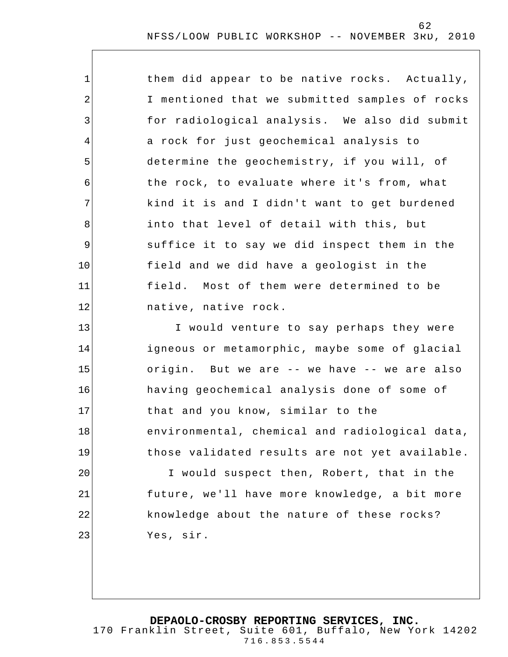| 1           | them did appear to be native rocks. Actually,  |
|-------------|------------------------------------------------|
| 2           | I mentioned that we submitted samples of rocks |
| 3           | for radiological analysis. We also did submit  |
| 4           | a rock for just geochemical analysis to        |
| 5           | determine the geochemistry, if you will, of    |
| 6           | the rock, to evaluate where it's from, what    |
| 7           | kind it is and I didn't want to get burdened   |
| 8           | into that level of detail with this, but       |
| $\mathsf 9$ | suffice it to say we did inspect them in the   |
| 10          | field and we did have a geologist in the       |
| 11          | field. Most of them were determined to be      |
| 12          | native, native rock.                           |
| 13          | I would venture to say perhaps they were       |
| 14          | igneous or metamorphic, maybe some of glacial  |
| 15          | origin. But we are -- we have -- we are also   |
| 16          | having geochemical analysis done of some of    |
| 17          | that and you know, similar to the              |
| 18          | environmental, chemical and radiological data, |
| 19          | those validated results are not yet available. |
| 20          | I would suspect then, Robert, that in the      |
| 21          | future, we'll have more knowledge, a bit more  |
| 22          | knowledge about the nature of these rocks?     |
| 23          | Yes, sir.                                      |
|             |                                                |

**DEPAOLO-CROSBY REPORTING SERVICES, INC.** 170 Franklin Street, Suite 601, Buffalo, New York 14202 716.853.5544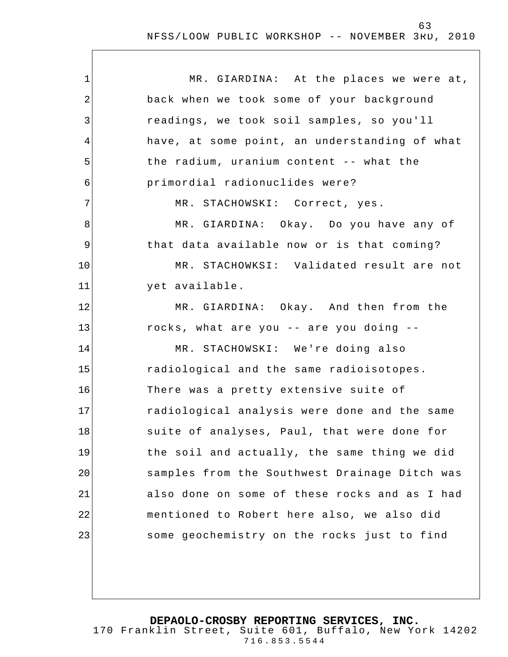| $\mathbf 1$    | MR. GIARDINA: At the places we were at,       |
|----------------|-----------------------------------------------|
| $\overline{2}$ | back when we took some of your background     |
| 3              | readings, we took soil samples, so you'll     |
| 4              | have, at some point, an understanding of what |
| 5              | the radium, uranium content -- what the       |
| 6              | primordial radionuclides were?                |
| 7              | MR. STACHOWSKI: Correct, yes.                 |
| 8              | MR. GIARDINA: Okay. Do you have any of        |
| 9              | that data available now or is that coming?    |
| 10             | MR. STACHOWKSI: Validated result are not      |
| 11             | yet available.                                |
| 12             | MR. GIARDINA: Okay. And then from the         |
| 13             | rocks, what are you -- are you doing --       |
| 14             | MR. STACHOWSKI: We're doing also              |
| 15             | radiological and the same radioisotopes.      |
| 16             | There was a pretty extensive suite of         |
| 17             | radiological analysis were done and the same  |
| 18             | suite of analyses, Paul, that were done for   |
| 19             | the soil and actually, the same thing we did  |
| 20             | samples from the Southwest Drainage Ditch was |
| 21             | also done on some of these rocks and as I had |
| 22             | mentioned to Robert here also, we also did    |
| 23             | some geochemistry on the rocks just to find   |
|                |                                               |

**DEPAOLO-CROSBY REPORTING SERVICES, INC.**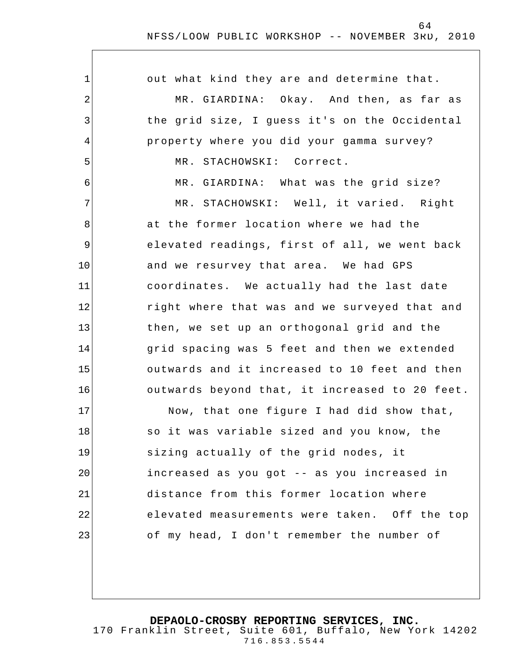| 1              | out what kind they are and determine that.     |
|----------------|------------------------------------------------|
| $\overline{2}$ | MR. GIARDINA: Okay. And then, as far as        |
| 3              | the grid size, I guess it's on the Occidental  |
| 4              | property where you did your gamma survey?      |
| 5              | MR. STACHOWSKI: Correct.                       |
| 6              | MR. GIARDINA: What was the grid size?          |
| 7              | MR. STACHOWSKI: Well, it varied. Right         |
| 8              | at the former location where we had the        |
| 9              | elevated readings, first of all, we went back  |
| 10             | and we resurvey that area. We had GPS          |
| 11             | coordinates. We actually had the last date     |
| 12             | right where that was and we surveyed that and  |
| 13             | then, we set up an orthogonal grid and the     |
| 14             | grid spacing was 5 feet and then we extended   |
| 15             | outwards and it increased to 10 feet and then  |
| 16             | outwards beyond that, it increased to 20 feet. |
| 17             | Now, that one figure I had did show that,      |
| 18             | so it was variable sized and you know, the     |
| 19             | sizing actually of the grid nodes, it          |
| 20             | increased as you got -- as you increased in    |
| 21             | distance from this former location where       |
| 22             | elevated measurements were taken. Off the top  |
| 23             | of my head, I don't remember the number of     |
|                |                                                |

**DEPAOLO-CROSBY REPORTING SERVICES, INC.**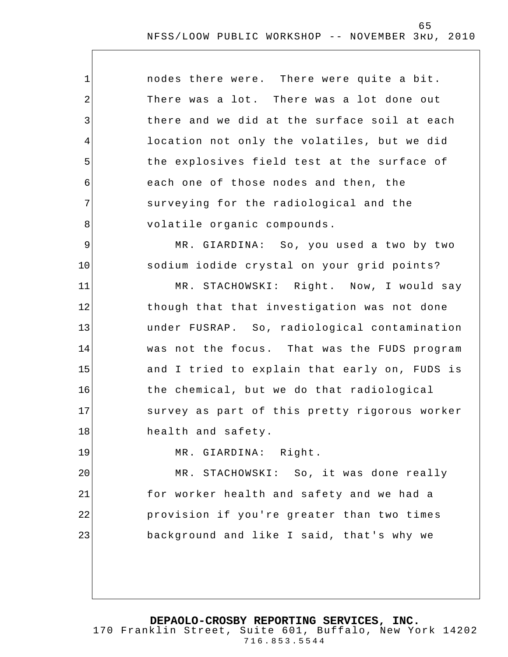| $\mathbf{1}$   | nodes there were. There were quite a bit.     |
|----------------|-----------------------------------------------|
| $\overline{2}$ | There was a lot. There was a lot done out     |
| 3              | there and we did at the surface soil at each  |
| 4              | location not only the volatiles, but we did   |
| 5              | the explosives field test at the surface of   |
| 6              | each one of those nodes and then, the         |
| 7              | surveying for the radiological and the        |
| 8              | volatile organic compounds.                   |
| 9              | MR. GIARDINA: So, you used a two by two       |
| 10             | sodium iodide crystal on your grid points?    |
| 11             | MR. STACHOWSKI: Right. Now, I would say       |
| 12             | though that that investigation was not done   |
| 13             | under FUSRAP. So, radiological contamination  |
| 14             | was not the focus. That was the FUDS program  |
| 15             | and I tried to explain that early on, FUDS is |
| 16             | the chemical, but we do that radiological     |
| 17             | survey as part of this pretty rigorous worker |
| 18             | health and safety.                            |

MR. GIARDINA: Right.

19

20 21 22 23 MR. STACHOWSKI: So, it was done really for worker health and safety and we had a provision if you're greater than two times background and like I said, that's why we

**DEPAOLO-CROSBY REPORTING SERVICES, INC.**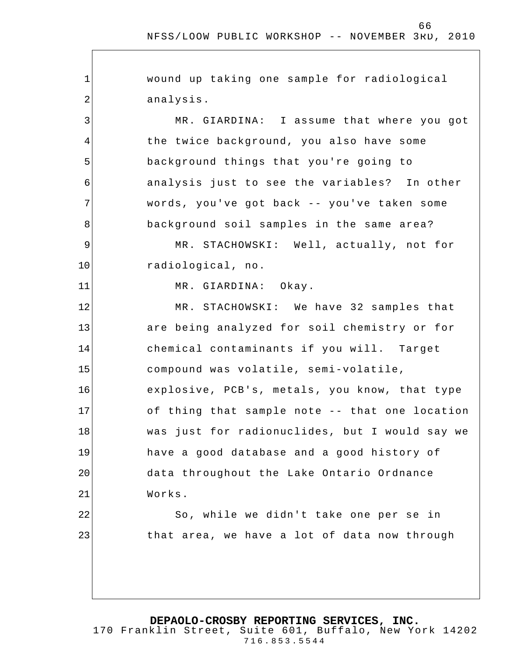1 2 3 4 5 6 7 8 9 10 11 12 13 14 15 16 17 18 19 20 21 22 23 wound up taking one sample for radiological analysis. MR. GIARDINA: I assume that where you got the twice background, you also have some background things that you're going to analysis just to see the variables? In other words, you've got back -- you've taken some background soil samples in the same area? MR. STACHOWSKI: Well, actually, not for radiological, no. MR. GIARDINA: Okay. MR. STACHOWSKI: We have 32 samples that are being analyzed for soil chemistry or for chemical contaminants if you will. Target compound was volatile, semi-volatile, explosive, PCB's, metals, you know, that type of thing that sample note -- that one location was just for radionuclides, but I would say we have a good database and a good history of data throughout the Lake Ontario Ordnance Works. So, while we didn't take one per se in that area, we have a lot of data now through

**DEPAOLO-CROSBY REPORTING SERVICES, INC.**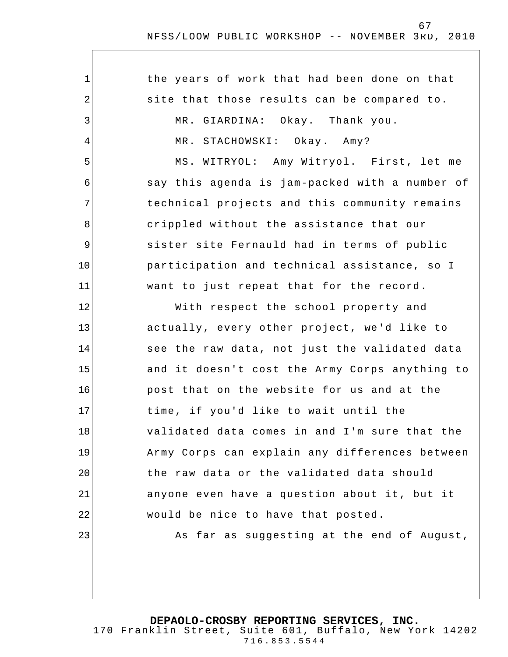| 1           | the years of work that had been done on that   |
|-------------|------------------------------------------------|
| 2           | site that those results can be compared to.    |
| 3           | MR. GIARDINA: Okay. Thank you.                 |
| 4           | MR. STACHOWSKI: Okay. Amy?                     |
| 5           | MS. WITRYOL: Amy Witryol. First, let me        |
| 6           | say this agenda is jam-packed with a number of |
| 7           | technical projects and this community remains  |
| 8           | crippled without the assistance that our       |
| $\mathsf 9$ | sister site Fernauld had in terms of public    |
| 10          | participation and technical assistance, so I   |
| 11          | want to just repeat that for the record.       |
| 12          | With respect the school property and           |
| 13          | actually, every other project, we'd like to    |
| 14          | see the raw data, not just the validated data  |
| 15          | and it doesn't cost the Army Corps anything to |
| 16          | post that on the website for us and at the     |
| 17          | time, if you'd like to wait until the          |
| 18          | validated data comes in and I'm sure that the  |
| 19          | Army Corps can explain any differences between |
| 20          | the raw data or the validated data should      |
| 21          | anyone even have a question about it, but it   |
| 22          | would be nice to have that posted.             |
| 23          | As far as suggesting at the end of August,     |
|             |                                                |

**DEPAOLO-CROSBY REPORTING SERVICES, INC.**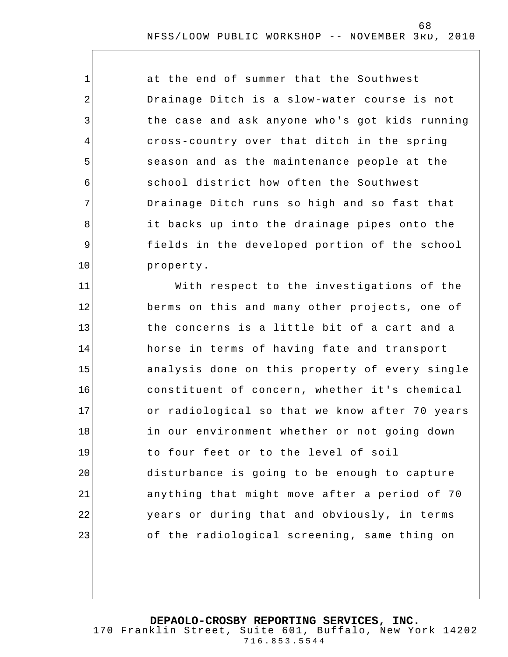at the end of summer that the Southwest Drainage Ditch is a slow-water course is not the case and ask anyone who's got kids running cross-country over that ditch in the spring season and as the maintenance people at the school district how often the Southwest Drainage Ditch runs so high and so fast that it backs up into the drainage pipes onto the fields in the developed portion of the school property.

1

2

3

4

5

6

7

8

9

10

11 12 13 14 15 16 17 18 19 20 21 22 23 With respect to the investigations of the berms on this and many other projects, one of the concerns is a little bit of a cart and a horse in terms of having fate and transport analysis done on this property of every single constituent of concern, whether it's chemical or radiological so that we know after 70 years in our environment whether or not going down to four feet or to the level of soil disturbance is going to be enough to capture anything that might move after a period of 70 years or during that and obviously, in terms of the radiological screening, same thing on

**DEPAOLO-CROSBY REPORTING SERVICES, INC.**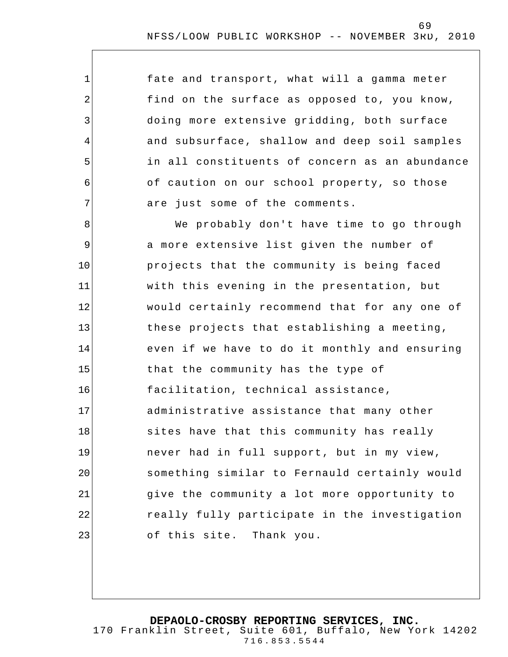fate and transport, what will a gamma meter find on the surface as opposed to, you know, doing more extensive gridding, both surface and subsurface, shallow and deep soil samples in all constituents of concern as an abundance of caution on our school property, so those are just some of the comments.

1

2

3

4

5

6

7

8 9 10 11 12 13 14 15 16 17 18 19 20 21 22 23 We probably don't have time to go through a more extensive list given the number of projects that the community is being faced with this evening in the presentation, but would certainly recommend that for any one of these projects that establishing a meeting, even if we have to do it monthly and ensuring that the community has the type of facilitation, technical assistance, administrative assistance that many other sites have that this community has really never had in full support, but in my view, something similar to Fernauld certainly would give the community a lot more opportunity to really fully participate in the investigation of this site. Thank you.

# **DEPAOLO-CROSBY REPORTING SERVICES, INC.**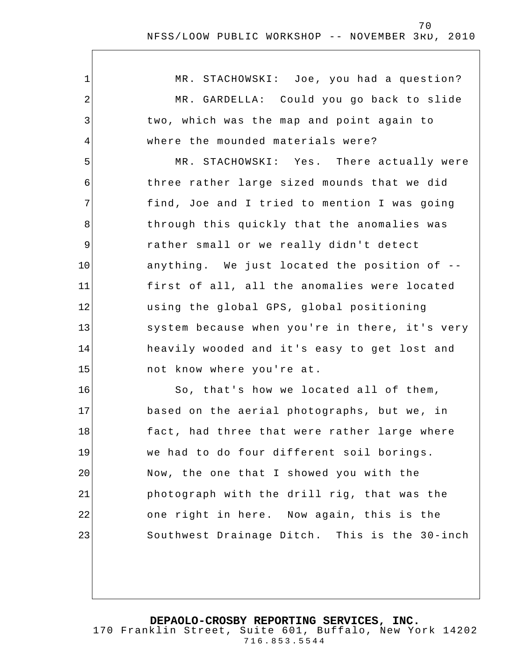| 1  | MR. STACHOWSKI: Joe, you had a question?       |
|----|------------------------------------------------|
| 2  | MR. GARDELLA: Could you go back to slide       |
| 3  | two, which was the map and point again to      |
| 4  | where the mounded materials were?              |
| 5  | MR. STACHOWSKI: Yes. There actually were       |
| 6  | three rather large sized mounds that we did    |
| 7  | find, Joe and I tried to mention I was going   |
| 8  | through this quickly that the anomalies was    |
| 9  | rather small or we really didn't detect        |
| 10 | anything. We just located the position of --   |
| 11 | first of all, all the anomalies were located   |
| 12 | using the global GPS, global positioning       |
| 13 | system because when you're in there, it's very |
| 14 | heavily wooded and it's easy to get lost and   |
| 15 | not know where you're at.                      |
| 16 | So, that's how we located all of them,         |
| 17 | based on the aerial photographs, but we, in    |
| 18 | fact, had three that were rather large where   |
| 19 | we had to do four different soil borings.      |
| 20 | Now, the one that I showed you with the        |
| 21 | photograph with the drill rig, that was the    |
| 22 | one right in here. Now again, this is the      |
| 23 | Southwest Drainage Ditch. This is the 30-inch  |
|    |                                                |

**DEPAOLO-CROSBY REPORTING SERVICES, INC.**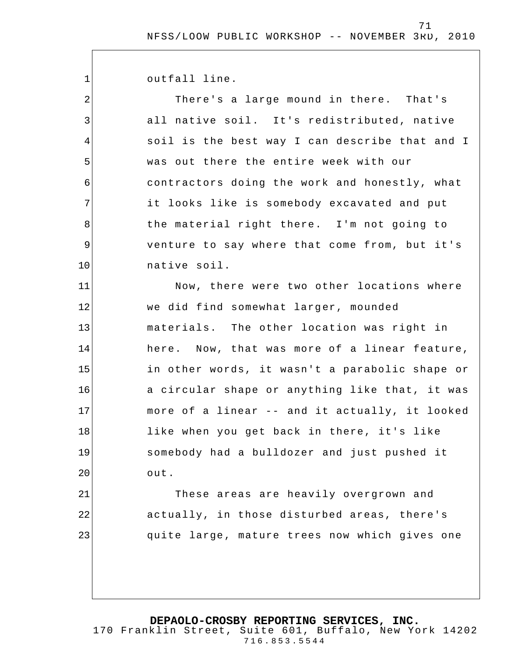outfall line.

1

2

3

4

5

6

7

8

9

10

11

12

13

14

15

16

17

18

19

20

There's a large mound in there. That's all native soil. It's redistributed, native soil is the best way I can describe that and I was out there the entire week with our contractors doing the work and honestly, what it looks like is somebody excavated and put the material right there. I'm not going to venture to say where that come from, but it's native soil. Now, there were two other locations where

we did find somewhat larger, mounded materials. The other location was right in here. Now, that was more of a linear feature, in other words, it wasn't a parabolic shape or a circular shape or anything like that, it was more of a linear -- and it actually, it looked like when you get back in there, it's like somebody had a bulldozer and just pushed it out.

21 22 23 These areas are heavily overgrown and actually, in those disturbed areas, there's quite large, mature trees now which gives one

**DEPAOLO-CROSBY REPORTING SERVICES, INC.**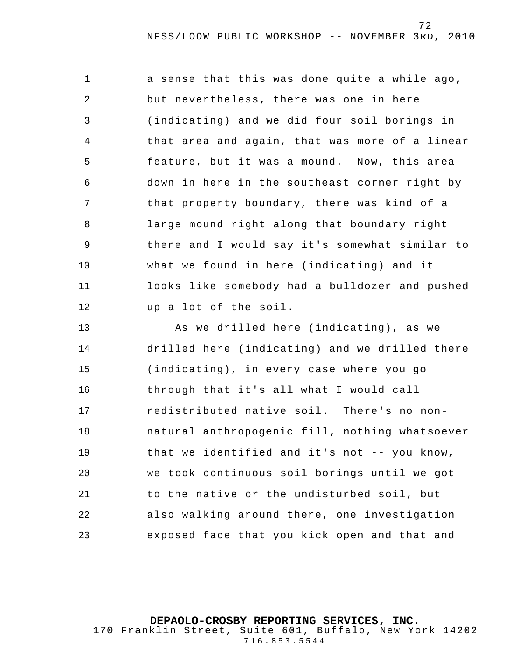| $\mathbf 1$    | a sense that this was done quite a while ago,  |
|----------------|------------------------------------------------|
| 2              | but nevertheless, there was one in here        |
| 3              | (indicating) and we did four soil borings in   |
| 4              | that area and again, that was more of a linear |
| 5              | feature, but it was a mound. Now, this area    |
| 6              | down in here in the southeast corner right by  |
| $\overline{7}$ | that property boundary, there was kind of a    |
| 8              | large mound right along that boundary right    |
| $\overline{9}$ | there and I would say it's somewhat similar to |
| 10             | what we found in here (indicating) and it      |
| 11             | looks like somebody had a bulldozer and pushed |
| 12             | up a lot of the soil.                          |
| 13             | As we drilled here (indicating), as we         |
| 14             | drilled here (indicating) and we drilled there |
| 15             | (indicating), in every case where you go       |
| 16             | through that it's all what I would call        |
| 17             | redistributed native soil. There's no non-     |
| 18             | natural anthropogenic fill, nothing whatsoever |
| 19             | that we identified and it's not -- you know,   |
| 20             | we took continuous soil borings until we got   |
| 21             | to the native or the undisturbed soil, but     |
| 22             | also walking around there, one investigation   |
| 23             | exposed face that you kick open and that and   |
|                |                                                |

**DEPAOLO-CROSBY REPORTING SERVICES, INC.**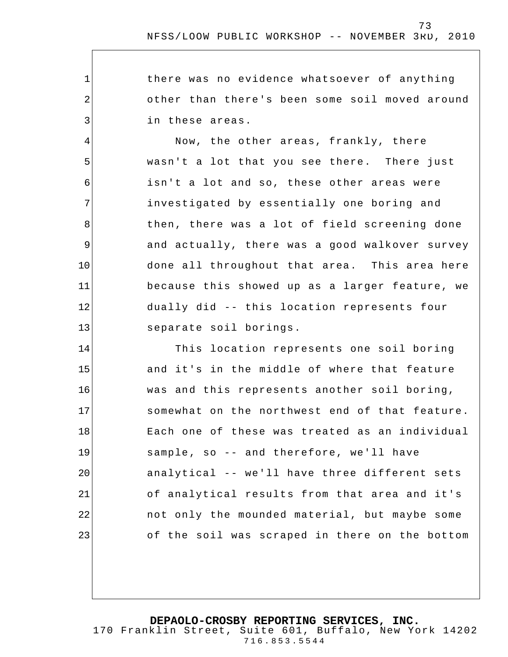there was no evidence whatsoever of anything other than there's been some soil moved around in these areas.

1

2

3

4

5

6

7

8

9

10

11

12

13

Now, the other areas, frankly, there wasn't a lot that you see there. There just isn't a lot and so, these other areas were investigated by essentially one boring and then, there was a lot of field screening done and actually, there was a good walkover survey done all throughout that area. This area here because this showed up as a larger feature, we dually did -- this location represents four separate soil borings.

14 15 16 17 18 19 20 21 22 23 This location represents one soil boring and it's in the middle of where that feature was and this represents another soil boring, somewhat on the northwest end of that feature. Each one of these was treated as an individual sample, so -- and therefore, we'll have analytical -- we'll have three different sets of analytical results from that area and it's not only the mounded material, but maybe some of the soil was scraped in there on the bottom

**DEPAOLO-CROSBY REPORTING SERVICES, INC.**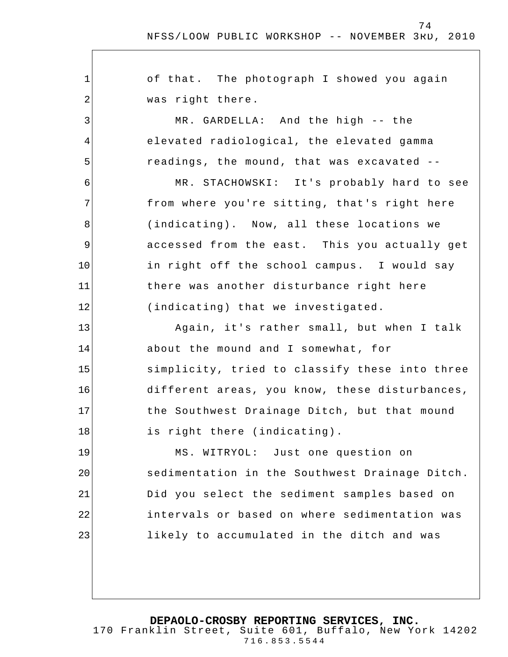74

1 2 3 4 5 6 7 8 9 10 11 12 13 14 15 16 17 18 19 20 21 22 23 of that. The photograph I showed you again was right there. MR. GARDELLA: And the high -- the elevated radiological, the elevated gamma readings, the mound, that was excavated -- MR. STACHOWSKI: It's probably hard to see from where you're sitting, that's right here (indicating). Now, all these locations we accessed from the east. This you actually get in right off the school campus. I would say there was another disturbance right here (indicating) that we investigated. Again, it's rather small, but when I talk about the mound and I somewhat, for simplicity, tried to classify these into three different areas, you know, these disturbances, the Southwest Drainage Ditch, but that mound is right there (indicating). MS. WITRYOL: Just one question on sedimentation in the Southwest Drainage Ditch. Did you select the sediment samples based on intervals or based on where sedimentation was likely to accumulated in the ditch and was

**DEPAOLO-CROSBY REPORTING SERVICES, INC.**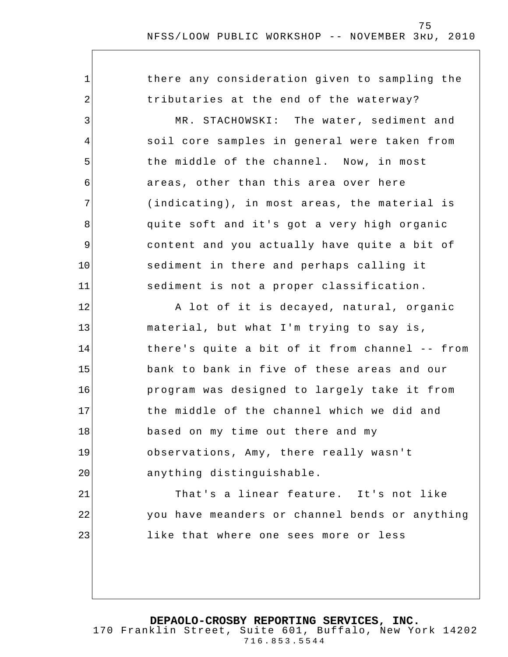1 2 3 4 5 6 7 8 9 10 11 12 13 14 15 16 17 18 19 20 21 22 23 there any consideration given to sampling the tributaries at the end of the waterway? MR. STACHOWSKI: The water, sediment and soil core samples in general were taken from the middle of the channel. Now, in most areas, other than this area over here (indicating), in most areas, the material is quite soft and it's got a very high organic content and you actually have quite a bit of sediment in there and perhaps calling it sediment is not a proper classification . A lot of it is decayed, natural, organic material, but what I'm trying to say is, there's quite a bit of it from channel -- from bank to bank in five of these areas and our program was designed to largely take it from the middle of the channel which we did and based on my time out there and my observations, Amy, there really wasn't anything distinguishable. That's a linear feature. It's not like you have meanders or channel bends or anything like that where one sees more or less

**DEPAOLO-CROSBY REPORTING SERVICES, INC.** 170 Franklin Street, Suite 601, Buffalo, New York 14202 716.853.5544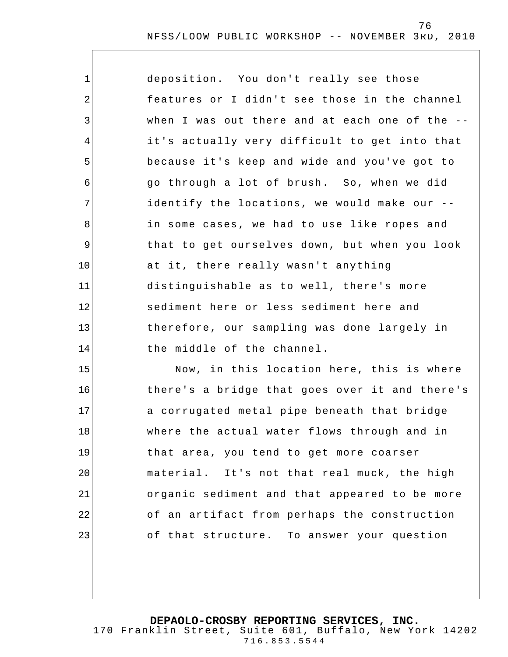| $\mathbf 1$ | deposition. You don't really see those         |
|-------------|------------------------------------------------|
| 2           | features or I didn't see those in the channel  |
| 3           | when I was out there and at each one of the -- |
| 4           | it's actually very difficult to get into that  |
| 5           | because it's keep and wide and you've got to   |
| 6           | go through a lot of brush. So, when we did     |
| 7           | identify the locations, we would make our --   |
| 8           | in some cases, we had to use like ropes and    |
| $\mathsf 9$ | that to get ourselves down, but when you look  |
| 10          | at it, there really wasn't anything            |
| 11          | distinguishable as to well, there's more       |
| 12          | sediment here or less sediment here and        |
| 13          | therefore, our sampling was done largely in    |
| 14          | the middle of the channel.                     |
| 15          | Now, in this location here, this is where      |
| 16          | there's a bridge that goes over it and there's |
| 17          | a corrugated metal pipe beneath that bridge    |
| 18          | where the actual water flows through and in    |
| 19          | that area, you tend to get more coarser        |
| 20          | material. It's not that real muck, the high    |
| 21          | organic sediment and that appeared to be more  |
| 22          | of an artifact from perhaps the construction   |
| 23          | of that structure. To answer your question     |
|             |                                                |

**DEPAOLO-CROSBY REPORTING SERVICES, INC.**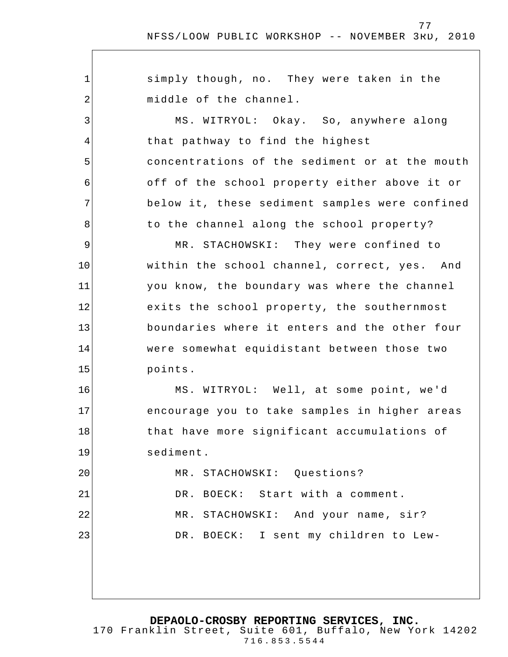77

1 2 3 4 5 6 7 8 9 10 11 12 13 14 15 16 17 18 19 20 21 22 23 simply though, no. They were taken in the middle of the channel. MS. WITRYOL: Okay. So, anywhere along that pathway to find the highest concentrations of the sediment or at the mouth off of the school property either above it or below it, these sediment samples were confined to the channel along the school property? MR. STACHOWSKI: They were confined to within the school channel, correct, yes. And you know, the boundary was where the channel exits the school property, the southernmost boundaries where it enters and the other four were somewhat equidistant between those two points. MS. WITRYOL: Well, at some point, we'd encourage you to take samples in higher areas that have more significant accumulations of sediment. MR. STACHOWSKI: Questions? DR. BOECK: Start with a comment. MR. STACHOWSKI: And your name, sir? DR. BOECK: I sent my children to Lew-

**DEPAOLO-CROSBY REPORTING SERVICES, INC.**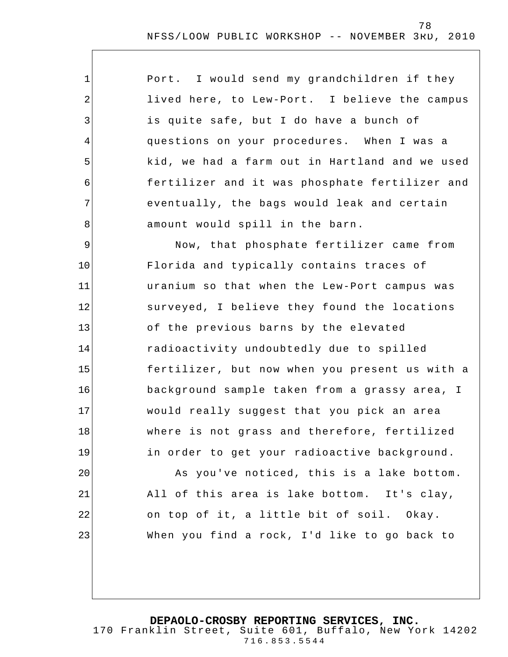| $\mathbf{1}$   | Port. I would send my grandchildren if they    |
|----------------|------------------------------------------------|
| 2              | lived here, to Lew-Port. I believe the campus  |
| $\mathfrak{Z}$ | is quite safe, but I do have a bunch of        |
| 4              | questions on your procedures. When I was a     |
| 5              | kid, we had a farm out in Hartland and we used |
| 6              | fertilizer and it was phosphate fertilizer and |
| 7              | eventually, the bags would leak and certain    |
| 8              | amount would spill in the barn.                |
| $\mathsf 9$    | Now, that phosphate fertilizer came from       |
| 10             | Florida and typically contains traces of       |
| 11             | uranium so that when the Lew-Port campus was   |
| 12             | surveyed, I believe they found the locations   |
| 13             | of the previous barns by the elevated          |
| 14             | radioactivity undoubtedly due to spilled       |
| 15             | fertilizer, but now when you present us with a |
| 16             | background sample taken from a grassy area, I  |
| 17             | would really suggest that you pick an area     |
| 18             | where is not grass and therefore, fertilized   |
| 19             | in order to get your radioactive background.   |
| 20             | As you've noticed, this is a lake bottom.      |
| 21             | All of this area is lake bottom. It's clay,    |
| 22             | on top of it, a little bit of soil. Okay.      |
| 23             | When you find a rock, I'd like to go back to   |
|                |                                                |

**DEPAOLO-CROSBY REPORTING SERVICES, INC.**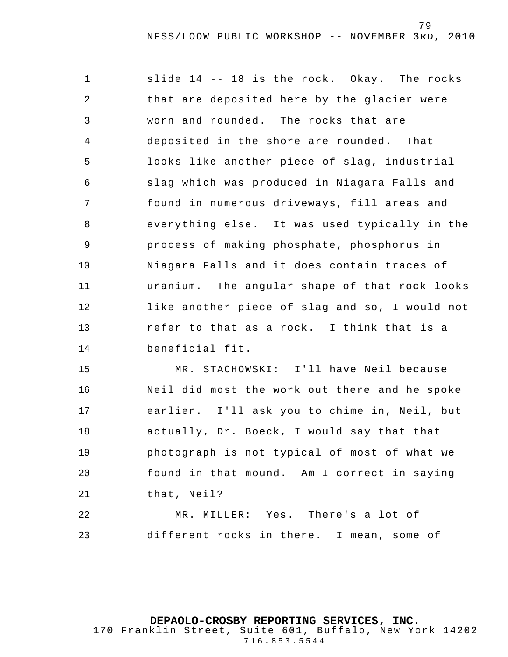1 2 3 4 5 6 7 8 9 10 11 12 13 14 15 slide 14 -- 18 is the rock. Okay. The rocks that are deposited here by the glacier were worn and rounded. The rocks that are deposited in the shore are rounded. That looks like another piece of slag, industrial slag which was produced in Niagara Falls and found in numerous driveways, fill areas and everything else. It was used typically in the process of making phosphate, phosphorus in Niagara Falls and it does contain traces of uranium. The angular shape of that rock looks like another piece of slag and so, I would not refer to that as a rock. I think that is a beneficial fit. MR. STACHOWSKI: I'll have Neil because

16 17 18 Neil did most the work out there and he spoke earlier. I'll ask you to chime in, Neil, but actually, Dr. Boeck, I would say that that photograph is not typical of most of what we found in that mound. Am I correct in saying that, Neil?

19

20

21

22

23

MR. MILLER: Yes. There's a lot of different rocks in there. I mean, some of

**DEPAOLO-CROSBY REPORTING SERVICES, INC.**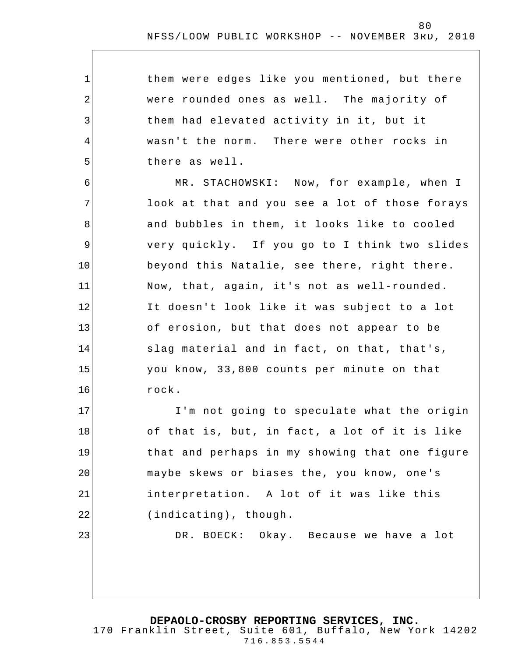| them were edges like you mentioned, but there |
|-----------------------------------------------|
| were rounded ones as well. The majority of    |
| them had elevated activity in it, but it      |
| wasn't the norm. There were other rocks in    |
| there as well.                                |

1

2

3

4

5

6 7 8 9 10 11 12 13 14 15 16 MR. STACHOWSKI: Now, for example, when I look at that and you see a lot of those forays and bubbles in them, it looks like to cooled very quickly. If you go to I think two slides beyond this Natalie, see there, right there. Now, that, again, it's not as well-rounded. It doesn't look like it was subject to a lot of erosion, but that does not appear to be slag material and in fact, on that, that's, you know, 33,800 counts per minute on that rock.

17 18 19 20 21 22 23 I'm not going to speculate what the origin of that is, but, in fact, a lot of it is like that and perhaps in my showing that one figure maybe skews or biases the, you know, one's interpretation. A lot of it was like this (indicating), though.

DR. BOECK: Okay. Because we have a lot

#### **DEPAOLO-CROSBY REPORTING SERVICES, INC.**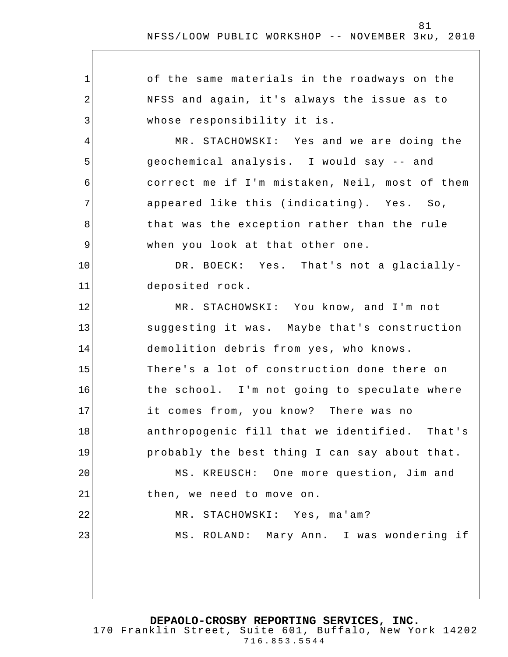| $\mathbf 1$    | of the same materials in the roadways on the     |
|----------------|--------------------------------------------------|
| $\overline{2}$ | NFSS and again, it's always the issue as to      |
| 3              | whose responsibility it is.                      |
| 4              | MR. STACHOWSKI: Yes and we are doing the         |
| 5              | geochemical analysis. I would say -- and         |
| 6              | correct me if I'm mistaken, Neil, most of them   |
| 7              | appeared like this (indicating). Yes. So,        |
| 8              | that was the exception rather than the rule      |
| $\mathsf 9$    | when you look at that other one.                 |
| 10             | DR. BOECK: Yes. That's not a glacially-          |
| 11             | deposited rock.                                  |
| 12             | MR. STACHOWSKI: You know, and I'm not            |
| 13             | suggesting it was. Maybe that's construction     |
| 14             | demolition debris from yes, who knows.           |
| 15             | There's a lot of construction done there on      |
| 16             | the school. I'm not going to speculate where     |
| 17             | it comes from, you know? There was no            |
| 18             | anthropogenic fill that we identified.<br>That's |
| 19             | probably the best thing I can say about that.    |
| 20             | MS. KREUSCH: One more question, Jim and          |
| 21             | then, we need to move on.                        |
| 22             | MR. STACHOWSKI: Yes, ma'am?                      |
| 23             | MS. ROLAND: Mary Ann. I was wondering if         |
|                |                                                  |
|                |                                                  |

**DEPAOLO-CROSBY REPORTING SERVICES, INC.**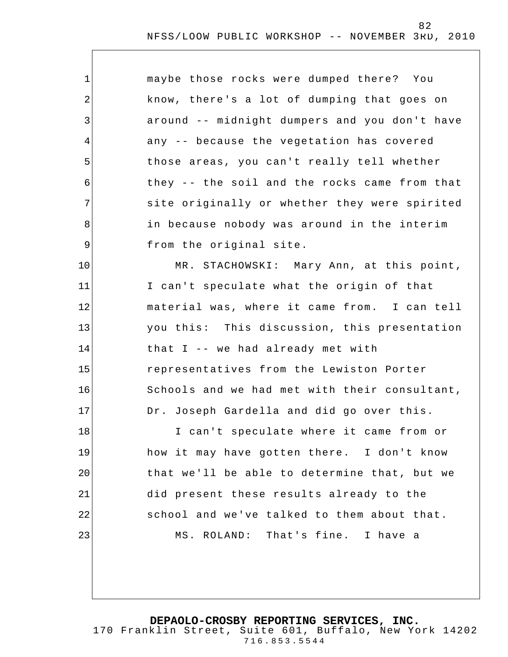| $\mathbf{1}$ | maybe those rocks were dumped there? You      |
|--------------|-----------------------------------------------|
| $\sqrt{2}$   | know, there's a lot of dumping that goes on   |
| 3            | around -- midnight dumpers and you don't have |
| 4            | any -- because the vegetation has covered     |
| 5            | those areas, you can't really tell whether    |
| 6            | they -- the soil and the rocks came from that |
| 7            | site originally or whether they were spirited |
| 8            | in because nobody was around in the interim   |
| 9            | from the original site.                       |
| 10           | MR. STACHOWSKI: Mary Ann, at this point,      |
| 11           | I can't speculate what the origin of that     |
| 12           | material was, where it came from. I can tell  |
| 13           | you this: This discussion, this presentation  |
| 14           | that I -- we had already met with             |
| 15           | representatives from the Lewiston Porter      |
| 16           | Schools and we had met with their consultant, |
| 17           | Dr. Joseph Gardella and did go over this.     |
| 18           | I can't speculate where it came from or       |
| 19           | how it may have gotten there. I don't know    |
| 20           | that we'll be able to determine that, but we  |
| 21           | did present these results already to the      |
| 22           | school and we've talked to them about that.   |
| 23           | MS. ROLAND: That's fine. I have a             |
|              |                                               |
|              |                                               |

**DEPAOLO-CROSBY REPORTING SERVICES, INC.**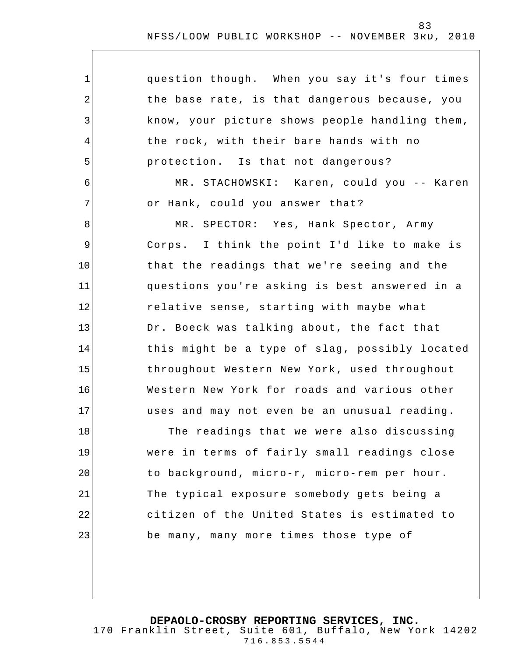| $\mathbf 1$ | question though. When you say it's four times  |
|-------------|------------------------------------------------|
| $\sqrt{2}$  | the base rate, is that dangerous because, you  |
| 3           | know, your picture shows people handling them, |
| 4           | the rock, with their bare hands with no        |
| 5           | protection. Is that not dangerous?             |
| 6           | MR. STACHOWSKI: Karen, could you -- Karen      |
| 7           | or Hank, could you answer that?                |
| 8           | MR. SPECTOR: Yes, Hank Spector, Army           |
| 9           | Corps. I think the point I'd like to make is   |
| 10          | that the readings that we're seeing and the    |
| 11          | questions you're asking is best answered in a  |
| 12          | relative sense, starting with maybe what       |
| 13          | Dr. Boeck was talking about, the fact that     |
| 14          | this might be a type of slag, possibly located |
| 15          | throughout Western New York, used throughout   |
| 16          | Western New York for roads and various other   |
| 17          | uses and may not even be an unusual reading.   |
| 18          | The readings that we were also discussing      |
| 19          | were in terms of fairly small readings close   |
| 20          | to background, micro-r, micro-rem per hour.    |
| 21          | The typical exposure somebody gets being a     |
| 22          | citizen of the United States is estimated to   |
| 23          | be many, many more times those type of         |
|             |                                                |

**DEPAOLO-CROSBY REPORTING SERVICES, INC.**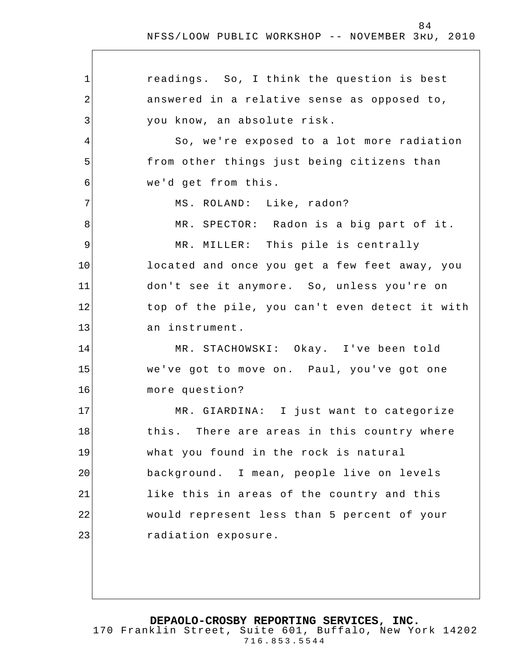1 2 3 4 5 6 7 8 9 10 11 12 13 14 15 16 17 18 19 20 21 22 23 readings. So, I think the question is best answered in a relative sense as opposed to, you know, an absolute risk. So, we're exposed to a lot more radiation from other things just being citizens than we'd get from this. MS. ROLAND: Like, radon? MR. SPECTOR: Radon is a big part of it. MR. MILLER: This pile is centrally located and once you get a few feet away, you don't see it anymore. So, unless you're on top of the pile, you can't even detect it with an instrument. MR. STACHOWSKI: Okay. I've been told we've got to move on. Paul, you've got one more question? MR. GIARDINA: I just want to categorize this. There are areas in this country where what you found in the rock is natural background. I mean, people live on levels like this in areas of the country and this would represent less than 5 percent of your radiation exposure.

**DEPAOLO-CROSBY REPORTING SERVICES, INC.**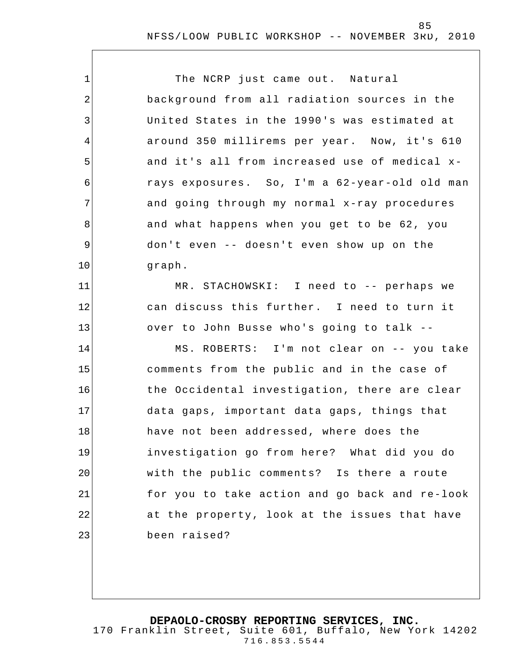| $\mathbf 1$ | The NCRP just came out. Natural                |
|-------------|------------------------------------------------|
| 2           | background from all radiation sources in the   |
| 3           | United States in the 1990's was estimated at   |
| 4           | around 350 millirems per year. Now, it's 610   |
| 5           | and it's all from increased use of medical x-  |
| 6           | rays exposures. So, I'm a 62-year-old old man  |
| 7           | and going through my normal x-ray procedures   |
| 8           | and what happens when you get to be 62, you    |
| 9           | don't even -- doesn't even show up on the      |
| 10          | graph.                                         |
| 11          | MR. STACHOWSKI: I need to -- perhaps we        |
| 12          | can discuss this further. I need to turn it    |
| 13          | over to John Busse who's going to talk --      |
| 14          | MS. ROBERTS: I'm not clear on -- you take      |
| 15          | comments from the public and in the case of    |
| 16          | the Occidental investigation, there are clear  |
| 17          | data gaps, important data gaps, things that    |
| 18          | have not been addressed, where does the        |
| 19          | investigation go from here? What did you do    |
| 20          | with the public comments? Is there a route     |
| 21          | for you to take action and go back and re-look |
| 22          | at the property, look at the issues that have  |
| 23          | been raised?                                   |
|             |                                                |

**DEPAOLO-CROSBY REPORTING SERVICES, INC.**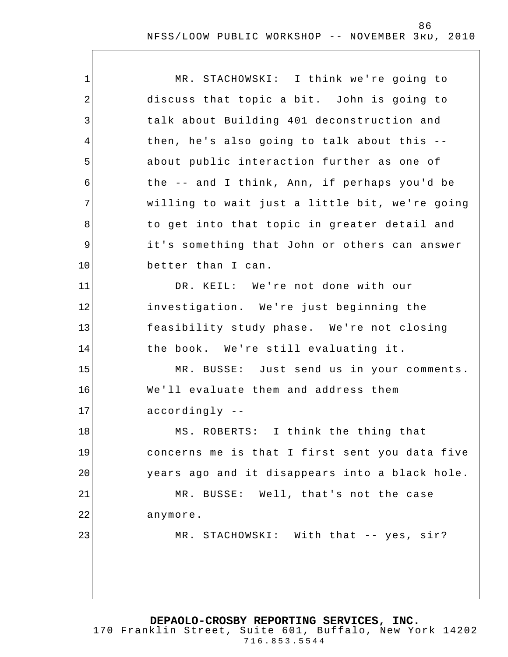| $\mathbf 1$    | MR. STACHOWSKI: I think we're going to         |
|----------------|------------------------------------------------|
| $\overline{2}$ | discuss that topic a bit. John is going to     |
| 3              | talk about Building 401 deconstruction and     |
| $\overline{4}$ | then, he's also going to talk about this --    |
| 5              | about public interaction further as one of     |
| 6              | the -- and I think, Ann, if perhaps you'd be   |
| 7              | willing to wait just a little bit, we're going |
| 8              | to get into that topic in greater detail and   |
| 9              | it's something that John or others can answer  |
| 10             | better than I can.                             |
| 11             | DR. KEIL: We're not done with our              |
| 12             | investigation. We're just beginning the        |
| 13             | feasibility study phase. We're not closing     |
| 14             | the book. We're still evaluating it.           |
| 15             | MR. BUSSE: Just send us in your comments.      |
| 16             | We'll evaluate them and address them           |
| 17             | accordingly --                                 |
| 18             | MS. ROBERTS: I think the thing that            |
| 19             | concerns me is that I first sent you data five |
| 20             | years ago and it disappears into a black hole. |
| 21             | MR. BUSSE: Well, that's not the case           |
| 22             | anymore.                                       |
| 23             | MR. STACHOWSKI: With that -- yes, sir?         |
|                |                                                |
|                |                                                |
|                |                                                |

**DEPAOLO-CROSBY REPORTING SERVICES, INC.**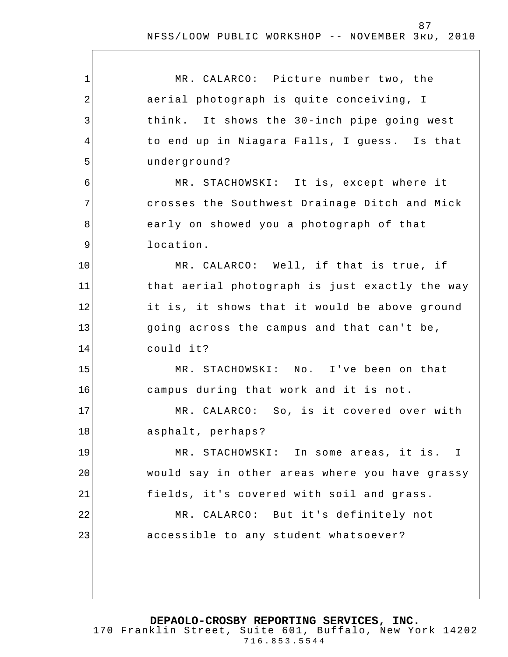| $\mathbf{1}$   | MR. CALARCO: Picture number two, the           |
|----------------|------------------------------------------------|
| $\overline{2}$ | aerial photograph is quite conceiving, I       |
| 3              | think. It shows the 30-inch pipe going west    |
| 4              | to end up in Niagara Falls, I guess. Is that   |
| 5              | underground?                                   |
| 6              | MR. STACHOWSKI: It is, except where it         |
| 7              | crosses the Southwest Drainage Ditch and Mick  |
| 8              | early on showed you a photograph of that       |
| 9              | location.                                      |
| 10             | MR. CALARCO: Well, if that is true, if         |
| 11             | that aerial photograph is just exactly the way |
| 12             | it is, it shows that it would be above ground  |
| 13             | going across the campus and that can't be,     |
| 14             | could it?                                      |
| 15             | MR. STACHOWSKI: No. I've been on that          |
| 16             | campus during that work and it is not.         |
| 17             | MR. CALARCO: So, is it covered over with       |
| 18             | asphalt, perhaps?                              |
| 19             | MR. STACHOWSKI: In some areas, it is. I        |
| 20             | would say in other areas where you have grassy |
| 21             | fields, it's covered with soil and grass.      |
| 22             | MR. CALARCO: But it's definitely not           |
| 23             | accessible to any student whatsoever?          |
|                |                                                |
|                |                                                |

**DEPAOLO-CROSBY REPORTING SERVICES, INC.**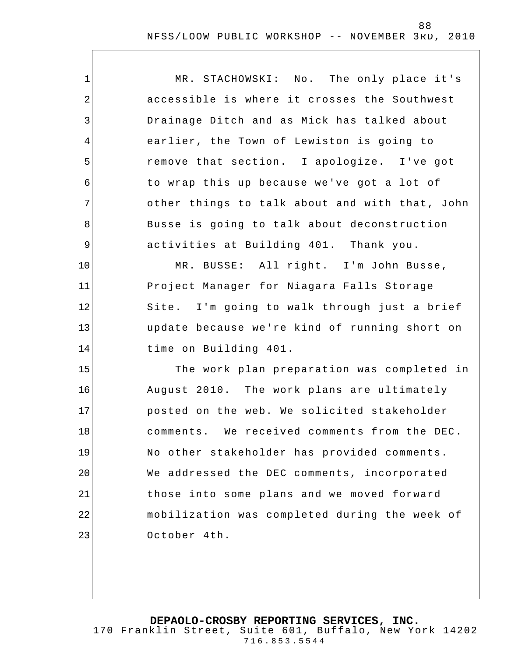| $\mathbf 1$    | MR. STACHOWSKI: No. The only place it's        |
|----------------|------------------------------------------------|
| $\overline{2}$ | accessible is where it crosses the Southwest   |
| 3              | Drainage Ditch and as Mick has talked about    |
| 4              | earlier, the Town of Lewiston is going to      |
| 5              | remove that section. I apologize. I've got     |
| 6              | to wrap this up because we've got a lot of     |
| 7              | other things to talk about and with that, John |
| 8              | Busse is going to talk about deconstruction    |
| $\mathsf 9$    | activities at Building 401. Thank you.         |
| 10             | MR. BUSSE: All right. I'm John Busse,          |
| 11             | Project Manager for Niagara Falls Storage      |
| 12             | Site. I'm going to walk through just a brief   |
| 13             | update because we're kind of running short on  |
| 14             | time on Building 401.                          |
| 15             | The work plan preparation was completed in     |
| 16             | August 2010. The work plans are ultimately     |
| 17             | posted on the web. We solicited stakeholder    |
| 18             | comments. We received comments from the DEC.   |
| 19             | No other stakeholder has provided comments.    |
| 20             | We addressed the DEC comments, incorporated    |
| 21             | those into some plans and we moved forward     |
| 22             | mobilization was completed during the week of  |
| 23             | October 4th.                                   |
|                |                                                |

**DEPAOLO-CROSBY REPORTING SERVICES, INC.** 170 Franklin Street, Suite 601, Buffalo, New York 14202 716.853.5544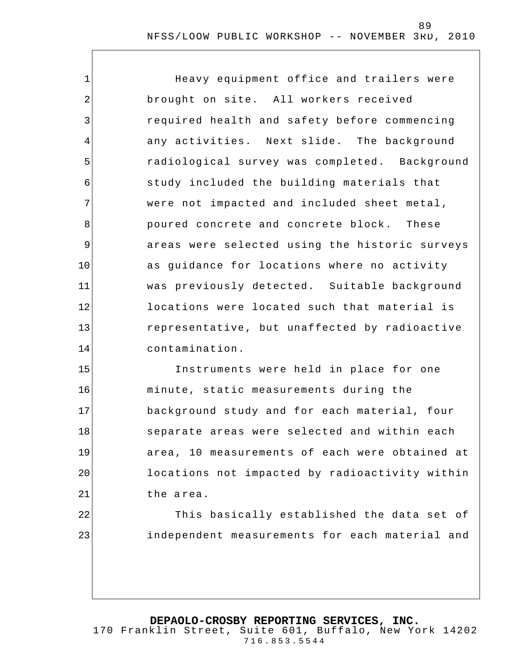1 2 3 4 5 6 7 8 9 10 11 12 13 14 Heavy equipment office and trailers were brought on site. All workers received required health and safety before commencing any activities. Next slide. The background radiological survey was completed. Background study included the building materials that were not impacted and included sheet metal, poured concrete and concrete block. These areas were selected using the historic surveys as guidance for locations where no activity was previously detected. Suitable background locations were located such that material is representative, but unaffected by radioactive contamination.

15 16 17 18 19 20 21 Instruments were held in place for one minute, static measurements during the background study and for each material, four separate areas were selected and within each area, 10 measurements of each were obtained at locations not impacted by radioactivity within the a rea.

22

23

This basically established the data set of independent measurements for each material and

#### **DEPAOLO-CROSBY REPORTING SERVICES, INC.**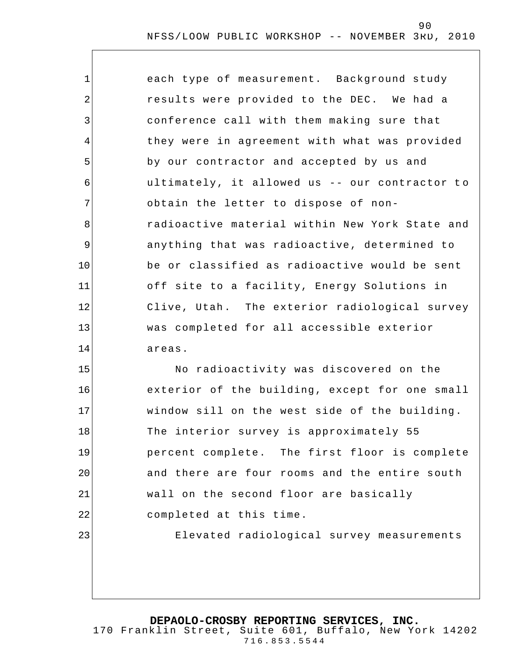| $\mathbf{1}$   | each type of measurement. Background study     |
|----------------|------------------------------------------------|
| $\overline{2}$ | results were provided to the DEC. We had a     |
| 3              | conference call with them making sure that     |
| $\overline{4}$ | they were in agreement with what was provided  |
| 5              | by our contractor and accepted by us and       |
| 6              | ultimately, it allowed us -- our contractor to |
| 7              | obtain the letter to dispose of non-           |
| 8              | radioactive material within New York State and |
| 9              | anything that was radioactive, determined to   |
| 10             | be or classified as radioactive would be sent  |
| 11             | off site to a facility, Energy Solutions in    |
| 12             | Clive, Utah. The exterior radiological survey  |
| 13             | was completed for all accessible exterior      |
| 14             | areas.                                         |
| 15             | No radioactivity was discovered on the         |

16 17 18 19 20 21 22 23 exterior of the building, except for one small window sill on the west side of the building. The interior survey is approximately 55 percent complete. The first floor is complete and there are four rooms and the entire south wall on the second floor are basically completed at this time. Elevated radiological survey measurements

**DEPAOLO-CROSBY REPORTING SERVICES, INC.**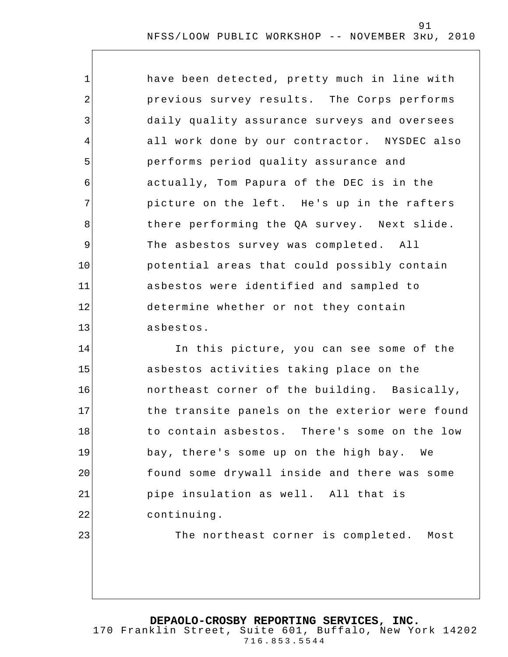1 2 3 4 5 6 7 8 9 10 11 12 13 have been detected, pretty much in line with previous survey results. The Corps performs daily quality assurance surveys and oversees all work done by our contractor. NYSDEC also performs period quality assurance and actually, Tom Papura of the DEC is in the picture on the left. He's up in the rafters there performing the QA survey. Next slide. The asbestos survey was completed. All potential areas that could possibly contain asbestos were identified and sampled to determine whether or not they contain asbestos.

14 15 16 17 18 19 20 21 22 In this picture, you can see some of the asbestos activities taking place on the northeast corner of the building. Basically, the transite panels on the exterior were found to contain asbestos. There's some on the low bay, there's some up on the high bay. We found some drywall inside and there was some pipe insulation as well. All that is continuing.

The northeast corner is completed. Most

**DEPAOLO-CROSBY REPORTING SERVICES, INC.**

23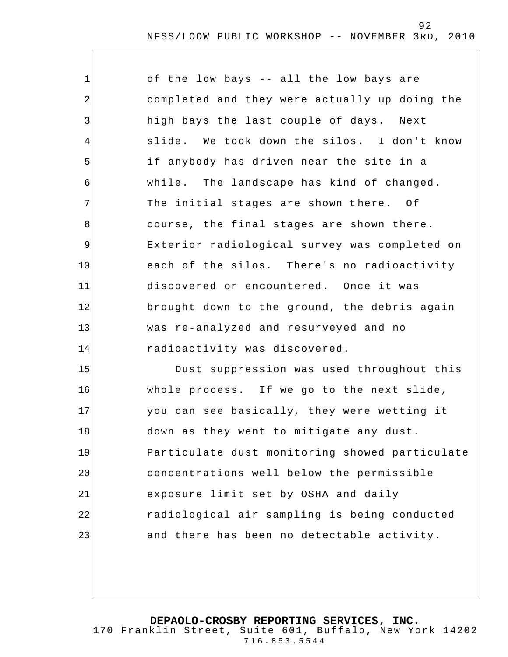| $\mathbf 1$ | of the low bays -- all the low bays are        |
|-------------|------------------------------------------------|
| 2           | completed and they were actually up doing the  |
| 3           | high bays the last couple of days. Next        |
| 4           | slide. We took down the silos. I don't know    |
| 5           | if anybody has driven near the site in a       |
| 6           | while. The landscape has kind of changed.      |
| 7           | The initial stages are shown there. Of         |
| 8           | course, the final stages are shown there.      |
| 9           | Exterior radiological survey was completed on  |
| 10          | each of the silos. There's no radioactivity    |
| 11          | discovered or encountered. Once it was         |
| 12          | brought down to the ground, the debris again   |
| 13          | was re-analyzed and resurveyed and no          |
| 14          | radioactivity was discovered.                  |
| 15          | Dust suppression was used throughout this      |
| 16          | whole process. If we go to the next slide,     |
| 17          | you can see basically, they were wetting it    |
| 18          | down as they went to mitigate any dust.        |
| 19          | Particulate dust monitoring showed particulate |
| 20          | concentrations well below the permissible      |
| 21          | exposure limit set by OSHA and daily           |
| 22          | radiological air sampling is being conducted   |

**DEPAOLO-CROSBY REPORTING SERVICES, INC.**

23

170 Franklin Street, Suite 601, Buffalo, New York 14202 716.853.5544

and there has been no detectable activity.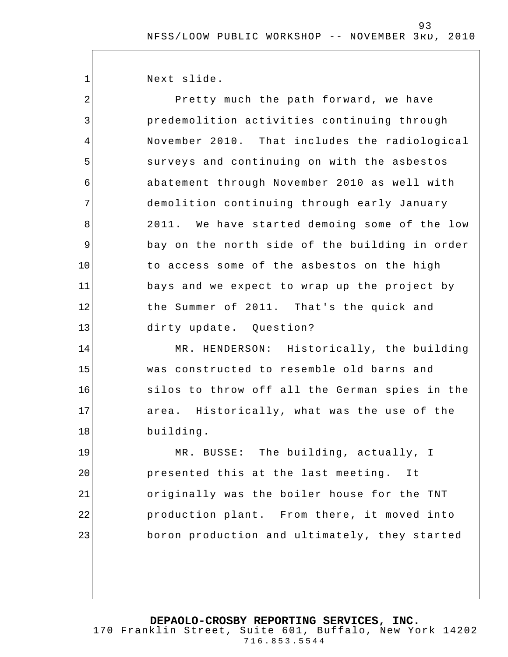Next slide.

1

15

16

17

18

2 3 4 5 6 7 8 9 10 11 12 13 14 Pretty much the path forward, we have predemolition activities continuing through November 2010. That includes the radiological surveys and continuing on with the asbestos abatement through November 2010 as well with demolition continuing through early January 2011. We have started demoing some of the low bay on the north side of the building in order to access some of the asbestos on the high bays and we expect to wrap up the project by the Summer of 2011. That's the quick and dirty update. Question? MR. HENDERSON: Historically, the building

was constructed to resemble old barns and silos to throw off all the German spies in the area. Historically, what was the use of the building.

19 20 21 22 23 MR. BUSSE: The building, actually, I presented this at the last meeting. It originally was the boiler house for the TNT production plant. From there, it moved into boron production and ultimately, they started

**DEPAOLO-CROSBY REPORTING SERVICES, INC.**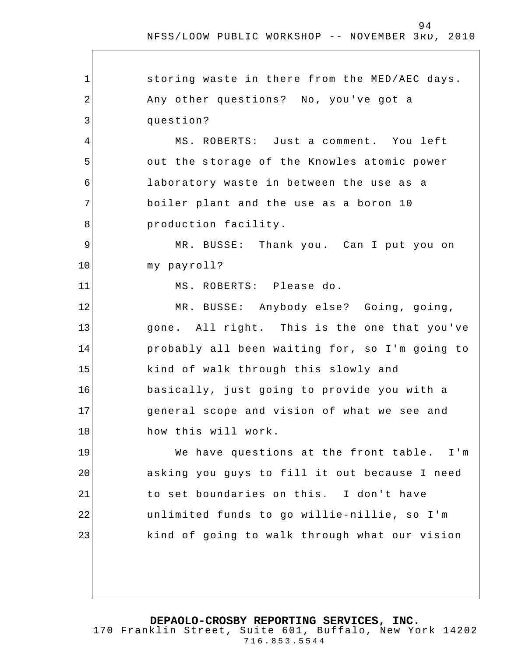1 2 3 4 5 6 7 8 9 10 11 12 13 14 15 16 17 18 19 20 21 22 23 storing waste in there from the MED/AEC days. Any other questions? No, you've got a question? MS. ROBERTS: Just a comment. You left out the storage of the Knowles atomic power laboratory waste in between the use as a boiler plant and the use as a boron 10 production facility. MR. BUSSE: Thank you. Can I put you on my payroll? MS. ROBERTS: Please do. MR. BUSSE: Anybody else? Going, going, gone. All right. This is the one that you've probably all been waiting for, so I'm going to kind of walk through this slowly and basically, just going to provide you with a general scope and vision of what we see and how this will work. We have questions at the front table. I'm asking you guys to fill it out because I need to set boundaries on this. I don't have unlimited funds to go willie-nillie, so I'm kind of going to walk through what our vision

**DEPAOLO-CROSBY REPORTING SERVICES, INC.**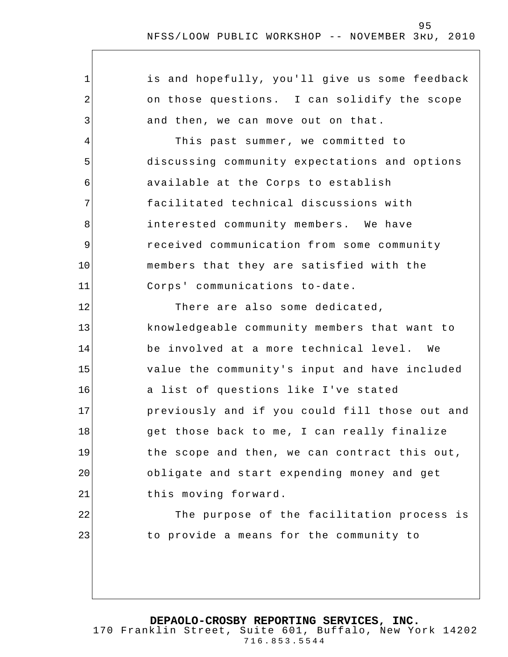| $\mathbf 1$    | is and hopefully, you'll give us some feedback |
|----------------|------------------------------------------------|
| 2              | on those questions. I can solidify the scope   |
| 3              | and then, we can move out on that.             |
| $\overline{4}$ | This past summer, we committed to              |
| 5              | discussing community expectations and options  |
| 6              | available at the Corps to establish            |
| 7              | facilitated technical discussions with         |
| 8              | interested community members. We have          |
| 9              | received communication from some community     |
| 10             | members that they are satisfied with the       |
| 11             | Corps' communications to-date.                 |
| 12             | There are also some dedicated,                 |
| 13             | knowledgeable community members that want to   |
| 14             | be involved at a more technical level. We      |
| 15             | value the community's input and have included  |
| 16             | a list of questions like I've stated           |
| 17             | previously and if you could fill those out and |
| 18             | get those back to me, I can really finalize    |
| 19             | the scope and then, we can contract this out,  |
| 20             | obligate and start expending money and get     |
| 21             | this moving forward.                           |
| 22             | The purpose of the facilitation process is     |
| 23             | to provide a means for the community to        |
|                |                                                |
|                |                                                |
|                |                                                |

**DEPAOLO-CROSBY REPORTING SERVICES, INC.**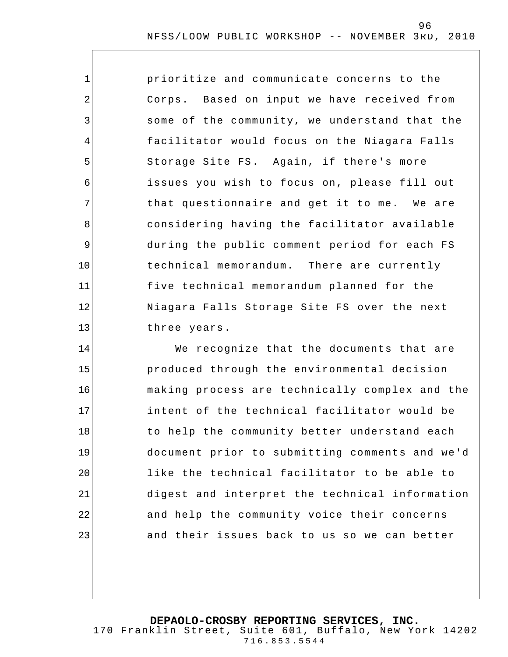1 2 3 4 5 6 7 8 9 10 11 12 13 prioritize and communicate concerns to the Corps. Based on input we have received from some of the community, we understand that the facilitator would focus on the Niagara Falls Storage Site FS. Again, if there's more issues you wish to focus on, please fill out that questionnaire and get it to me. We are considering having the facilitator available during the public comment period for each FS technical memorandum. There are currently five technical memorandum planned for the Niagara Falls Storage Site FS over the next three years.

14 15 16 17 18 19 20 21 22 23 We recognize that the documents that are produced through the environmental decision making process are technically complex and the intent of the technical facilitator would be to help the community better understand each document prior to submitting comments and we'd like the technical facilitator to be able to digest and interpret the technical information and help the community voice their concerns and their issues back to us so we can better

**DEPAOLO-CROSBY REPORTING SERVICES, INC.**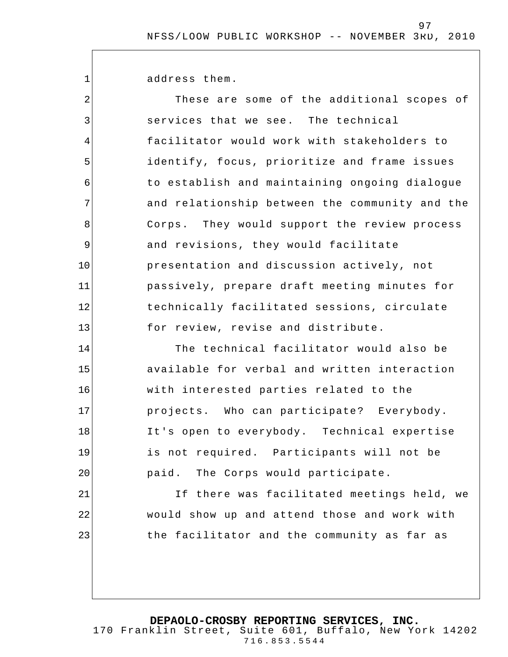address them.

1

| $\overline{2}$ | These are some of the additional scopes of     |
|----------------|------------------------------------------------|
| 3              | services that we see. The technical            |
| 4              | facilitator would work with stakeholders to    |
| 5              | identify, focus, prioritize and frame issues   |
| 6              | to establish and maintaining ongoing dialogue  |
| 7              | and relationship between the community and the |
| 8              | Corps. They would support the review process   |
| 9              | and revisions, they would facilitate           |
| 10             | presentation and discussion actively, not      |
| 11             | passively, prepare draft meeting minutes for   |
| 12             | technically facilitated sessions, circulate    |
| 13             | for review, revise and distribute.             |
| 14             | The technical facilitator would also be        |
| 15             | available for verbal and written interaction   |
| 16             | with interested parties related to the         |
| 17             | projects. Who can participate? Everybody.      |
| 18             | It's open to everybody. Technical expertise    |
| 19             | is not required. Participants will not be      |
| 20             | paid. The Corps would participate.             |
| 21             | If there was facilitated meetings held, we     |
| 22             | would show up and attend those and work with   |
| 23             | the facilitator and the community as far as    |
|                |                                                |
|                |                                                |

**DEPAOLO-CROSBY REPORTING SERVICES, INC.**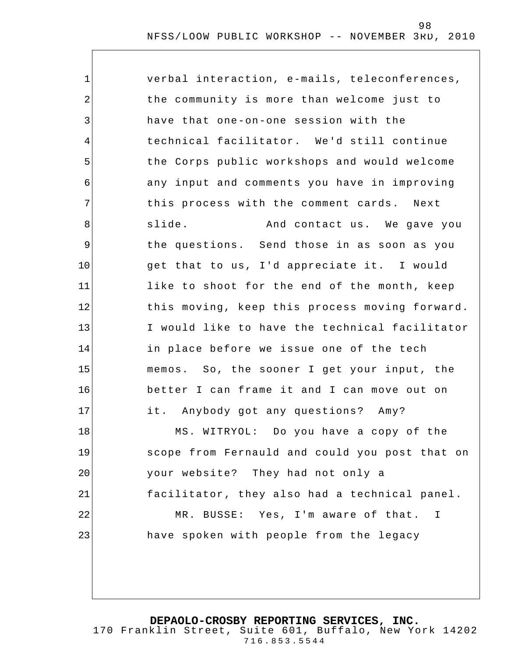| $\mathbf 1$    | verbal interaction, e-mails, teleconferences,  |
|----------------|------------------------------------------------|
| $\overline{2}$ | the community is more than welcome just to     |
| 3              | have that one-on-one session with the          |
| 4              | technical facilitator. We'd still continue     |
| 5              | the Corps public workshops and would welcome   |
| 6              | any input and comments you have in improving   |
| 7              | this process with the comment cards. Next      |
| 8              | slide.<br>And contact us. We gave you          |
| 9              | the questions. Send those in as soon as you    |
| 10             | get that to us, I'd appreciate it. I would     |
| 11             | like to shoot for the end of the month, keep   |
| 12             | this moving, keep this process moving forward. |
| 13             | I would like to have the technical facilitator |
| 14             | in place before we issue one of the tech       |
| 15             | memos. So, the sooner I get your input, the    |
| 16             | better I can frame it and I can move out on    |
| 17             | it. Anybody got any questions? Amy?            |
| 18             | MS. WITRYOL: Do you have a copy of the         |
| 19             | scope from Fernauld and could you post that on |
| 20             | your website? They had not only a              |
| 21             | facilitator, they also had a technical panel.  |
| 22             | MR. BUSSE: Yes, I'm aware of that.<br>I        |
| 23             | have spoken with people from the legacy        |
|                |                                                |
|                |                                                |

**DEPAOLO-CROSBY REPORTING SERVICES, INC.**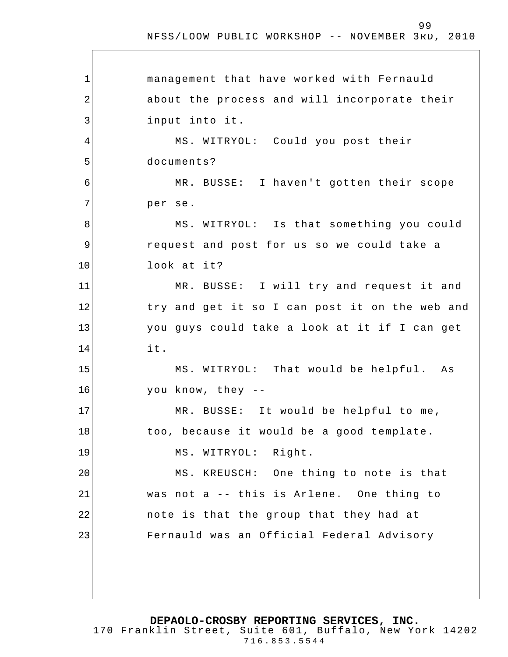99

1 2 3 4 5 6 7 8 9 10 11 12 13 14 15 16 17 18 19 20 21 22 23 management that have worked with Fernauld about the process and will incorporate their input into it. MS. WITRYOL: Could you post their documents? MR. BUSSE: I haven't gotten their scope per se. MS. WITRYOL: Is that something you could request and post for us so we could take a look at it? MR. BUSSE: I will try and request it and try and get it so I can post it on the web and you guys could take a look at it if I can get it. MS. WITRYOL: That would be helpful. As you know, they -- MR. BUSSE: It would be helpful to me, too, because it would be a good template. MS. WITRYOL: Right. MS. KREUSCH: One thing to note is that was not a -- this is Arlene. One thing to note is that the group that they had at Fernauld was an Official Federal Advisory

**DEPAOLO-CROSBY REPORTING SERVICES, INC.**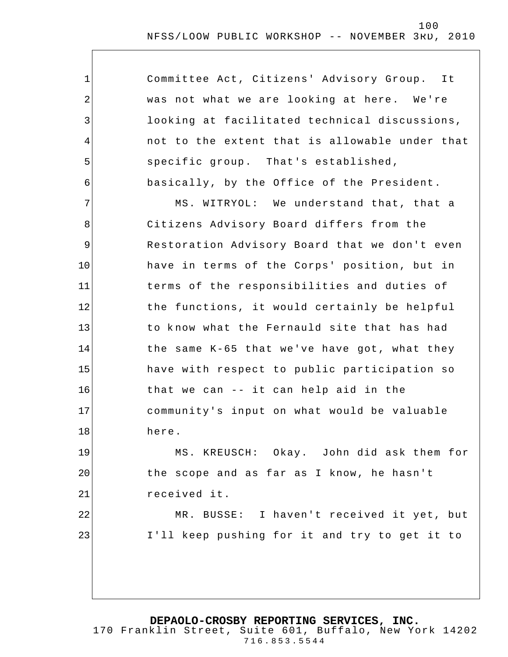| $\mathbf 1$ | Committee Act, Citizens' Advisory Group. It    |
|-------------|------------------------------------------------|
| 2           | was not what we are looking at here. We're     |
| 3           | looking at facilitated technical discussions,  |
| 4           | not to the extent that is allowable under that |
| 5           | specific group. That's established,            |
| 6           | basically, by the Office of the President.     |
| 7           | MS. WITRYOL: We understand that, that a        |
| 8           | Citizens Advisory Board differs from the       |
| 9           | Restoration Advisory Board that we don't even  |
| 10          | have in terms of the Corps' position, but in   |
| 11          | terms of the responsibilities and duties of    |
| 12          | the functions, it would certainly be helpful   |
| 13          | to know what the Fernauld site that has had    |
| 14          | the same K-65 that we've have got, what they   |
| 15          | have with respect to public participation so   |
| 16          | that we can -- it can help aid in the          |
| 17          | community's input on what would be valuable    |
| 18          | here.                                          |
| 19          | MS. KREUSCH: Okay. John did ask them for       |
| 20          | the scope and as far as I know, he hasn't      |
| 21          | received it.                                   |
| 22          | MR. BUSSE: I haven't received it yet, but      |
| 23          | I'll keep pushing for it and try to get it to  |
|             |                                                |
|             |                                                |

**DEPAOLO-CROSBY REPORTING SERVICES, INC.**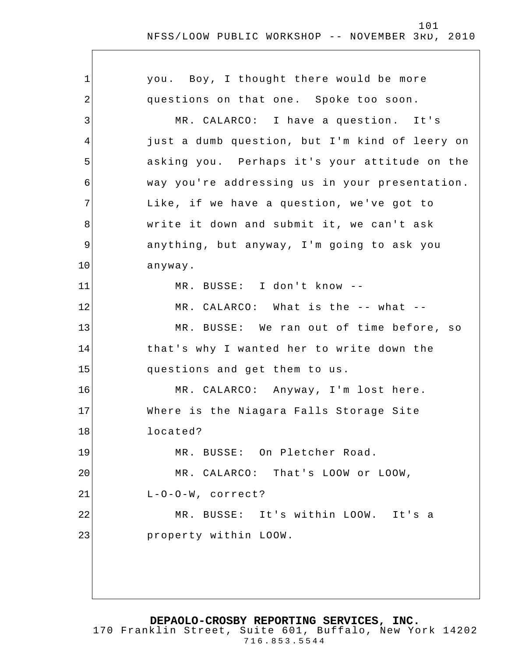1 2 3 4 5 6 7 8 9 10 11 12 13 14 15 16 17 18 19 20 21 22 23 you. Boy, I thought there would be more questions on that one. Spoke too soon. MR. CALARCO: I have a question. It's just a dumb question, but I'm kind of leery on asking you. Perhaps it's your attitude on the way you're addressing us in your presentation. Like, if we have a question, we've got to write it down and submit it, we can't ask anything, but anyway, I'm going to ask you anyway. MR. BUSSE: I don't know -- MR. CALARCO: What is the -- what -- MR. BUSSE: We ran out of time before, so that's why I wanted her to write down the questions and get them to us. MR. CALARCO: Anyway, I'm lost here. Where is the Niagara Falls Storage Site located? MR. BUSSE: On Pletcher Road. MR. CALARCO: That's LOOW or LOOW, L-O-O-W, correct? MR. BUSSE: It's within LOOW. It's a property within LOOW.

**DEPAOLO-CROSBY REPORTING SERVICES, INC.**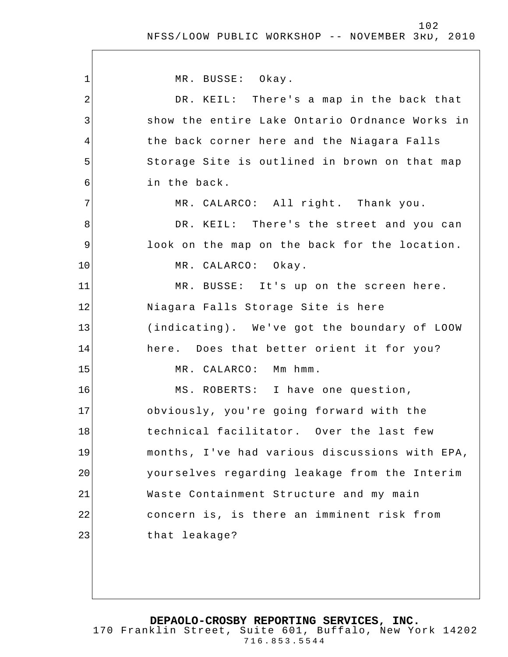$\overline{\phantom{a}}$ 

| 1  | MR. BUSSE: Okay.                               |
|----|------------------------------------------------|
| 2  | DR. KEIL: There's a map in the back that       |
| 3  | show the entire Lake Ontario Ordnance Works in |
| 4  | the back corner here and the Niagara Falls     |
| 5  | Storage Site is outlined in brown on that map  |
| 6  | in the back.                                   |
| 7  | MR. CALARCO: All right. Thank you.             |
| 8  | DR. KEIL: There's the street and you can       |
| 9  | look on the map on the back for the location.  |
| 10 | MR. CALARCO: Okay.                             |
| 11 | MR. BUSSE: It's up on the screen here.         |
| 12 | Niagara Falls Storage Site is here             |
| 13 | (indicating). We've got the boundary of LOOW   |
| 14 | here. Does that better orient it for you?      |
| 15 | MR. CALARCO: Mm hmm.                           |
| 16 | MS. ROBERTS: I have one question,              |
| 17 | obviously, you're going forward with the       |
| 18 | technical facilitator. Over the last few       |
| 19 | months, I've had various discussions with EPA, |
| 20 | yourselves regarding leakage from the Interim  |
| 21 | Waste Containment Structure and my main        |
| 22 | concern is, is there an imminent risk from     |
| 23 | that leakage?                                  |
|    |                                                |
|    |                                                |

**DEPAOLO-CROSBY REPORTING SERVICES, INC.** 170 Franklin Street, Suite 601, Buffalo, New York 14202 716.853.5544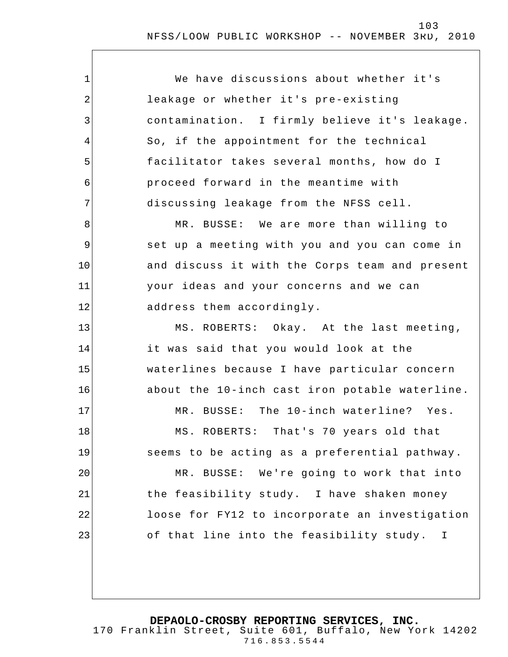1 2 3 4 5 6 7 8 9 10 11 12 13 14 15 16 17 18 19 20 21 22 23 We have discussions about whether it's leakage or whether it's pre-existing contamination. I firmly believe it's leakage. So, if the appointment for the technical facilitator takes several months, how do I proceed forward in the meantime with discussing leakage from the NFSS cell. MR. BUSSE: We are more than willing to set up a meeting with you and you can come in and discuss it with the Corps team and present your ideas and your concerns and we can address them accordingly. MS. ROBERTS: Okay. At the last meeting, it was said that you would look at the waterlines because I have particular concern about the 10-inch cast iron potable waterline. MR. BUSSE: The 10-inch waterline? Yes. MS. ROBERTS: That's 70 years old that seems to be acting as a preferential pathway . MR. BUSSE: We're going to work that into the feasibility study. I have shaken money loose for FY12 to incorporate an investigation of that line into the feasibility study. I

**DEPAOLO-CROSBY REPORTING SERVICES, INC.**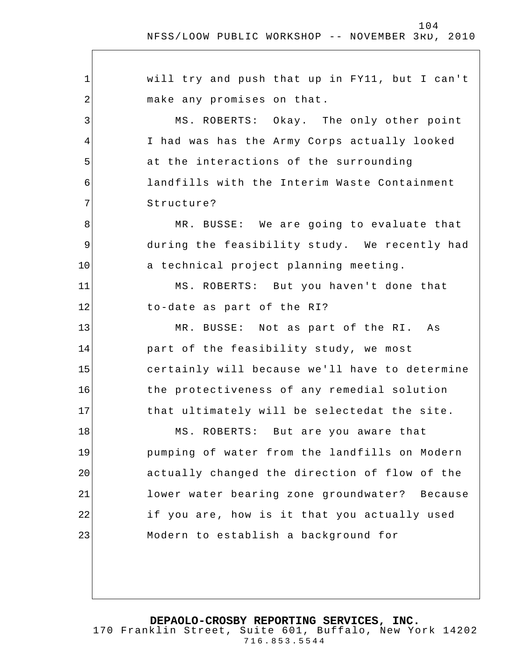$\overline{\phantom{a}}$ 

| 1  | will try and push that up in FY11, but I can't |
|----|------------------------------------------------|
| 2  | make any promises on that.                     |
| 3  | MS. ROBERTS: Okay. The only other point        |
| 4  | I had was has the Army Corps actually looked   |
| 5  | at the interactions of the surrounding         |
| 6  | landfills with the Interim Waste Containment   |
| 7  | Structure?                                     |
| 8  | MR. BUSSE: We are going to evaluate that       |
| 9  | during the feasibility study. We recently had  |
| 10 | a technical project planning meeting.          |
| 11 | MS. ROBERTS: But you haven't done that         |
| 12 | to-date as part of the RI?                     |
| 13 | MR. BUSSE: Not as part of the RI. As           |
| 14 | part of the feasibility study, we most         |
| 15 | certainly will because we'll have to determine |
| 16 | the protectiveness of any remedial solution    |
| 17 | that ultimately will be selectedat the site.   |
| 18 | MS. ROBERTS: But are you aware that            |
| 19 | pumping of water from the landfills on Modern  |
| 20 | actually changed the direction of flow of the  |
| 21 | lower water bearing zone groundwater? Because  |
| 22 | if you are, how is it that you actually used   |
| 23 | Modern to establish a background for           |
|    |                                                |
|    |                                                |

**DEPAOLO-CROSBY REPORTING SERVICES, INC.**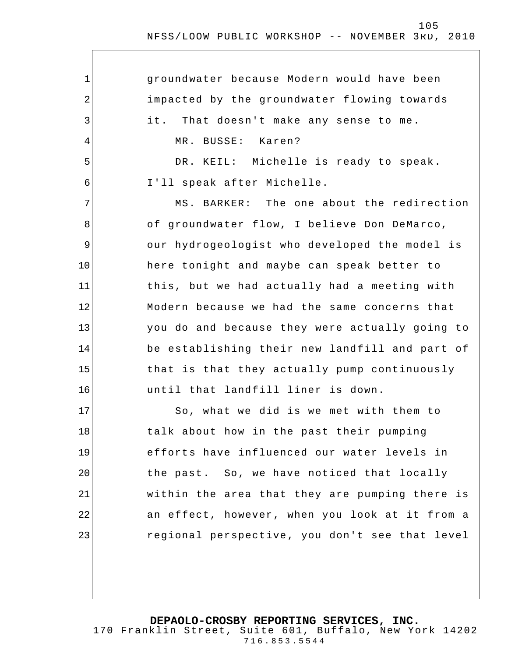| $\mathbf 1$    | groundwater because Modern would have been     |
|----------------|------------------------------------------------|
| $\overline{2}$ | impacted by the groundwater flowing towards    |
| 3              | it.<br>That doesn't make any sense to me.      |
| 4              | MR. BUSSE: Karen?                              |
| 5              | DR. KEIL: Michelle is ready to speak.          |
| 6              | I'll speak after Michelle.                     |
| 7              | MS. BARKER: The one about the redirection      |
| 8              | of groundwater flow, I believe Don DeMarco,    |
| $\mathsf 9$    | our hydrogeologist who developed the model is  |
| 10             | here tonight and maybe can speak better to     |
| 11             | this, but we had actually had a meeting with   |
| 12             | Modern because we had the same concerns that   |
| 13             | you do and because they were actually going to |
| 14             | be establishing their new landfill and part of |
| 15             | that is that they actually pump continuously   |
| 16             | until that landfill liner is down.             |
| 17             | So, what we did is we met with them to         |
| 18             | talk about how in the past their pumping       |
| 19             | efforts have influenced our water levels in    |
| 20             | the past. So, we have noticed that locally     |
| 21             | within the area that they are pumping there is |
| 22             | an effect, however, when you look at it from a |
| 23             | regional perspective, you don't see that level |
|                |                                                |
|                |                                                |

**DEPAOLO-CROSBY REPORTING SERVICES, INC.**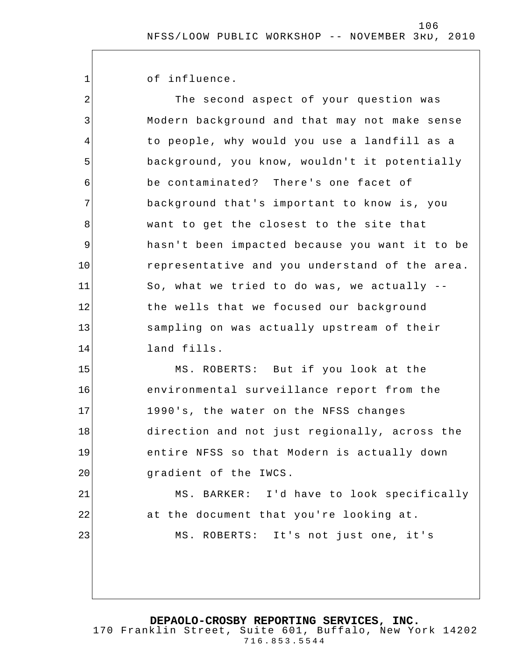of influence.

1

2 3 4 5 6 7 8 9 10 11 12 13 14 15 16 17 18 19 20 21 22 23 The second aspect of your question was Modern background and that may not make sense to people, why would you use a landfill as a background, you know, wouldn't it potentially be contaminated? There's one facet of background that's important to know is, you want to get the closest to the site that hasn't been impacted because you want it to be representative and you understand of the area. So, what we tried to do was, we actually - the wells that we focused our background sampling on was actually upstream of their land fills. MS. ROBERTS: But if you look at the environmental surveillance report from the 1990's, the water on the NFSS changes direction and not just regionally, across the entire NFSS so that Modern is actually down gradient of the IWCS. MS. BARKER: I'd have to look specifically at the document that you're looking at. MS. ROBERTS: It's not just one, it's

**DEPAOLO-CROSBY REPORTING SERVICES, INC.**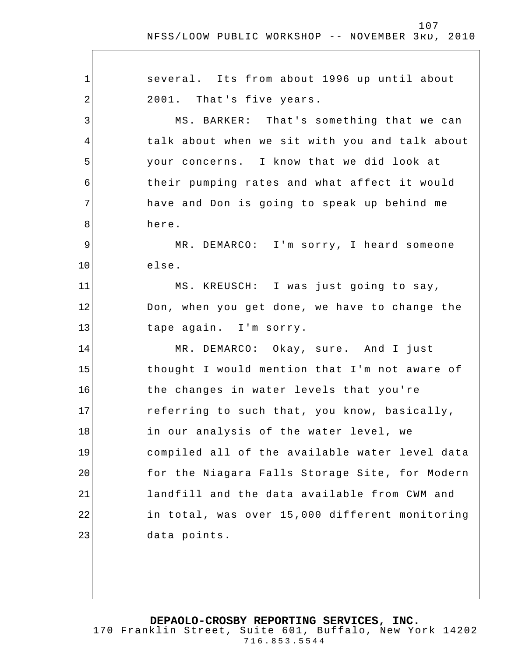1 2 3 4 5 6 7 8 9 10 11 12 13 14 15 16 17 18 19 20 21 22 23 several. Its from about 1996 up until about 2001. That's five years. MS. BARKER: That's something that we can talk about when we sit with you and talk about your concerns. I know that we did look at their pumping rates and what affect it would have and Don is going to speak up behind me here. MR. DEMARCO: I'm sorry, I heard someone else. MS. KREUSCH: I was just going to say, Don, when you get done, we have to change the tape again. I'm sorry. MR. DEMARCO: Okay, sure. And I just thought I would mention that I'm not aware of the changes in water levels that you're referring to such that, you know, basically, in our analysis of the water level, we compiled all of the available water level data for the Niagara Falls Storage Site, for Modern landfill and the data available from CWM and in total, was over 15,000 different monitoring data points.

**DEPAOLO-CROSBY REPORTING SERVICES, INC.** 170 Franklin Street, Suite 601, Buffalo, New York 14202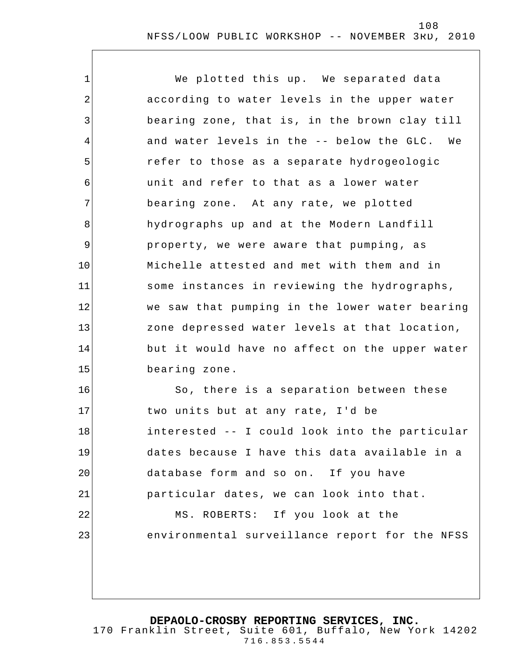1 2 3 4 5 6 7 8 9 10 11 12 13 14 15 16 17 18 19 20 21 22 23 We plotted this up. We separated data according to water levels in the upper water bearing zone, that is, in the brown clay till and water levels in the -- below the GLC. We refer to those as a separate hydrogeologic unit and refer to that as a lower water bearing zone. At any rate, we plotted hydrographs up and at the Modern Landfill property, we were aware that pumping, as Michelle attest ed and met with them and in some instances in reviewing the hydrographs, we saw that pumping in the lower water bearing zone depressed water levels at that location, but it would have no affect on the upper water bearing zone. So, there is a separation between these two units but at any rate, I'd be interested -- I could look into the particular dates because I have this data available in a database form and so on. If you have particular dates, we can look into that. MS. ROBERTS: If you look at the environmental surveillance report for the NFSS

**DEPAOLO-CROSBY REPORTING SERVICES, INC.**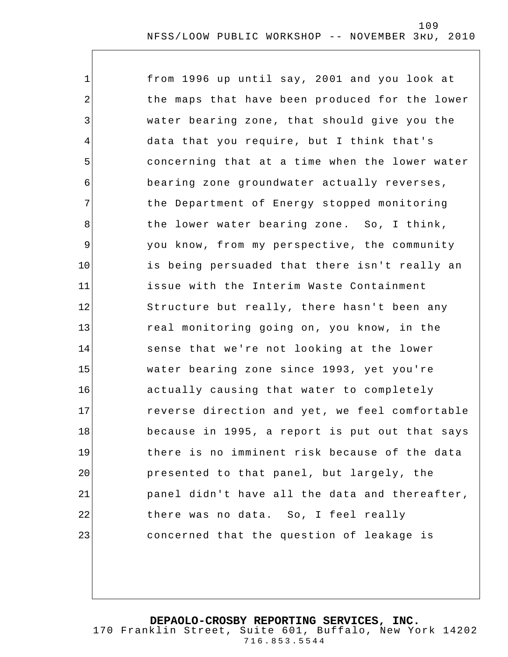| $\mathbf 1$ | from 1996 up until say, 2001 and you look at   |
|-------------|------------------------------------------------|
| 2           | the maps that have been produced for the lower |
| 3           | water bearing zone, that should give you the   |
| 4           | data that you require, but I think that's      |
| 5           | concerning that at a time when the lower water |
| 6           | bearing zone groundwater actually reverses,    |
| 7           | the Department of Energy stopped monitoring    |
| 8           | the lower water bearing zone. So, I think,     |
| 9           | you know, from my perspective, the community   |
| 10          | is being persuaded that there isn't really an  |
| 11          | issue with the Interim Waste Containment       |
| 12          | Structure but really, there hasn't been any    |
| 13          | real monitoring going on, you know, in the     |
| 14          | sense that we're not looking at the lower      |
| 15          | water bearing zone since 1993, yet you're      |
| 16          | actually causing that water to completely      |
| 17          | reverse direction and yet, we feel comfortable |
| 18          | because in 1995, a report is put out that says |
| 19          | there is no imminent risk because of the data  |
| 20          | presented to that panel, but largely, the      |
| 21          | panel didn't have all the data and thereafter, |
| 22          | there was no data. So, I feel really           |
| 23          | concerned that the question of leakage is      |

**DEPAOLO-CROSBY REPORTING SERVICES, INC.**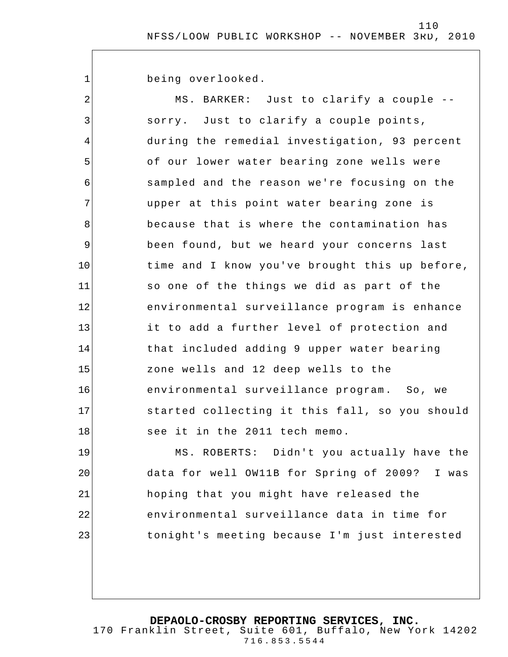being overlooked.

1

21

22

23

2 3 4 5 6 7 8 9 10 11 12 13 14 15 16 17 18 19 20 MS. BARKER: Just to clarify a couple - sorry. Just to clarify a couple points, during the remedial investigation, 93 percent of our lower water bearing zone wells were sampled and the reason we're focusing on the upper at this point water bearing zone is because that is where the contamination has been found, but we heard your concerns last time and I know you've brought this up before, so one of the things we did as part of the environmental surveillance program is enhance it to add a further level of protection and that included adding 9 upper water bearing zone wells and 12 deep wells to the environmental surveillance program. So, we started collecting it this fall, so you should see it in the 2011 tech memo. MS. ROBERTS: Didn't you actually have the

data for well OW11B for Spring of 2009? I was hoping that you might have released the environmental surveillance data in time for tonight's meeting because I'm just interested

**DEPAOLO-CROSBY REPORTING SERVICES, INC.**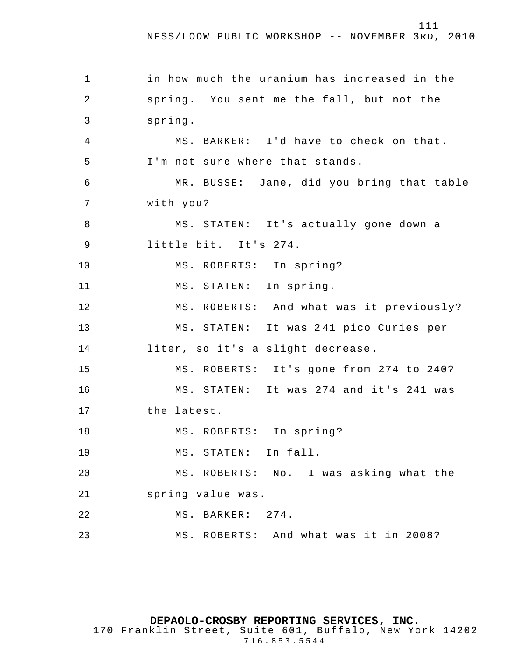1 2 3 4 5 6 7 8 9 10 11 12 13 14 15 16 17 18 19 20 21 22 23 in how much the uranium has increased in the spring. You sent me the fall, but not the spring. MS. BARKER: I'd have to check on that. I'm not sure where that stands. MR. BUSSE: Jane, did you bring that table with you? MS. STATEN: It's actually gone down a little bit. It's 274. MS. ROBERTS: In spring? MS. STATEN: In spring. MS. ROBERTS: And what was it previously? MS. STATEN: It was 2 41 pico Curies per liter, so it's a slight decrease. MS. ROBERTS: It's gone from 274 to 240? MS. STATEN: It was 274 and it's 241 was the latest. MS. ROBERTS: In spring? MS. STATEN: In fall. MS. ROBERTS: No. I was asking what the spring value was. MS. BARKER: 274. MS. ROBERTS: And what was it in 2008?

**DEPAOLO-CROSBY REPORTING SERVICES, INC.**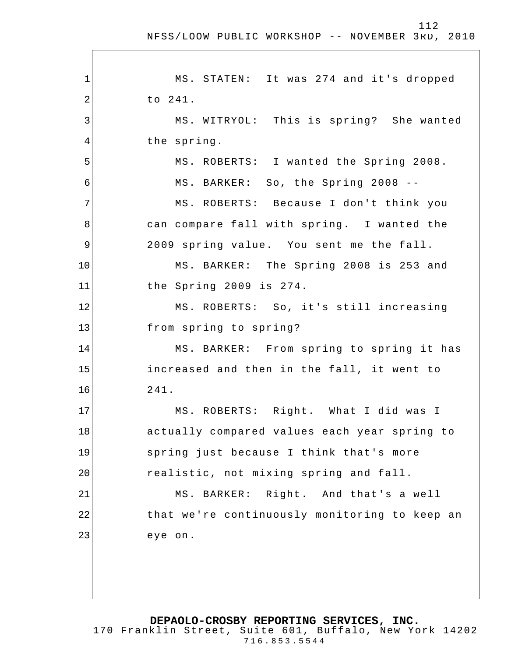# 112

| MS. STATEN: It was 274 and it's dropped       |
|-----------------------------------------------|
| to 241.                                       |
| MS. WITRYOL: This is spring? She wanted       |
| the spring.                                   |
| MS. ROBERTS: I wanted the Spring 2008.        |
| MS. BARKER: So, the Spring 2008 --            |
| MS. ROBERTS: Because I don't think you        |
| can compare fall with spring. I wanted the    |
| 2009 spring value. You sent me the fall.      |
| MS. BARKER: The Spring 2008 is 253 and        |
| the Spring 2009 is 274.                       |
| MS. ROBERTS: So, it's still increasing        |
| from spring to spring?                        |
| MS. BARKER: From spring to spring it has      |
| increased and then in the fall, it went to    |
| 241.                                          |
| MS. ROBERTS: Right. What I did was I          |
| actually compared values each year spring to  |
| spring just because I think that's more       |
| realistic, not mixing spring and fall.        |
| MS. BARKER: Right. And that's a well          |
|                                               |
| that we're continuously monitoring to keep an |
| eye on.                                       |
|                                               |

**DEPAOLO-CROSBY REPORTING SERVICES, INC.**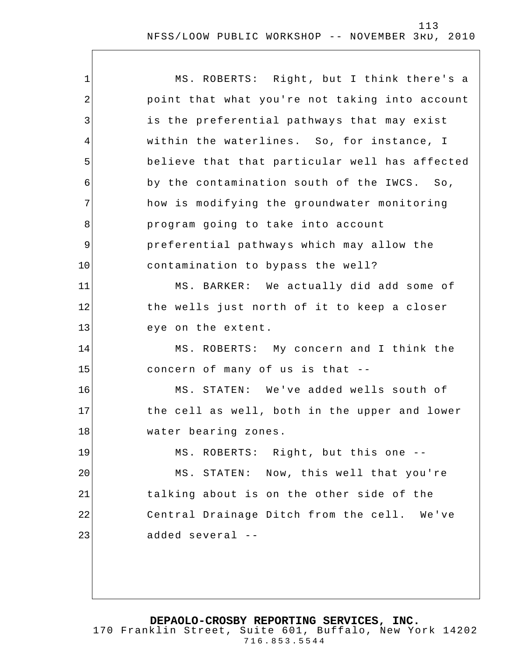| $\mathbf 1$    | MS. ROBERTS: Right, but I think there's a      |
|----------------|------------------------------------------------|
| $\overline{2}$ | point that what you're not taking into account |
| 3              | is the preferential pathways that may exist    |
| 4              | within the waterlines. So, for instance, I     |
| 5              | believe that that particular well has affected |
| 6              | by the contamination south of the IWCS. So,    |
| 7              | how is modifying the groundwater monitoring    |
| 8              | program going to take into account             |
| 9              | preferential pathways which may allow the      |
| 10             | contamination to bypass the well?              |
| 11             | MS. BARKER: We actually did add some of        |
| 12             | the wells just north of it to keep a closer    |
| 13             | eye on the extent.                             |
| 14             | MS. ROBERTS: My concern and I think the        |
| 15             | concern of many of us is that --               |
| 16             | MS. STATEN: We've added wells south of         |
| 17             | the cell as well, both in the upper and lower  |
| 18             | water bearing zones.                           |
| 19             | MS. ROBERTS: Right, but this one --            |
| 20             | MS. STATEN: Now, this well that you're         |
| 21             | talking about is on the other side of the      |
| 22             | Central Drainage Ditch from the cell. We've    |
| 23             | added several --                               |
|                |                                                |
|                |                                                |

**DEPAOLO-CROSBY REPORTING SERVICES, INC.**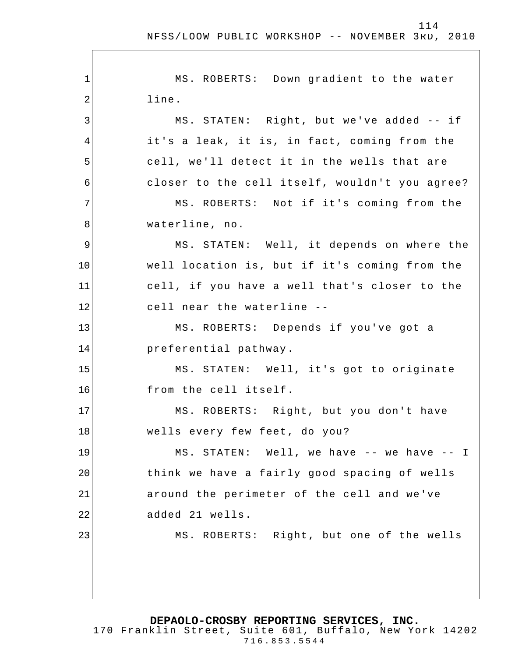| 1  | MS. ROBERTS: Down gradient to the water        |
|----|------------------------------------------------|
| 2  | line.                                          |
| 3  | MS. STATEN: Right, but we've added -- if       |
| 4  | it's a leak, it is, in fact, coming from the   |
| 5  | cell, we'll detect it in the wells that are    |
| 6  | closer to the cell itself, wouldn't you agree? |
| 7  | MS. ROBERTS: Not if it's coming from the       |
| 8  | waterline, no.                                 |
| 9  | MS. STATEN: Well, it depends on where the      |
| 10 | well location is, but if it's coming from the  |
| 11 | cell, if you have a well that's closer to the  |
| 12 | cell near the waterline --                     |
| 13 | MS. ROBERTS: Depends if you've got a           |
| 14 | preferential pathway.                          |
| 15 | MS. STATEN: Well, it's got to originate        |
| 16 | from the cell itself.                          |
| 17 | MS. ROBERTS: Right, but you don't have         |
| 18 | wells every few feet, do you?                  |
| 19 | MS. STATEN: Well, we have -- we have -- I      |
| 20 | think we have a fairly good spacing of wells   |
| 21 | around the perimeter of the cell and we've     |
| 22 | added 21 wells.                                |
| 23 | MS. ROBERTS: Right, but one of the wells       |
|    |                                                |
|    |                                                |
|    |                                                |

**DEPAOLO-CROSBY REPORTING SERVICES, INC.**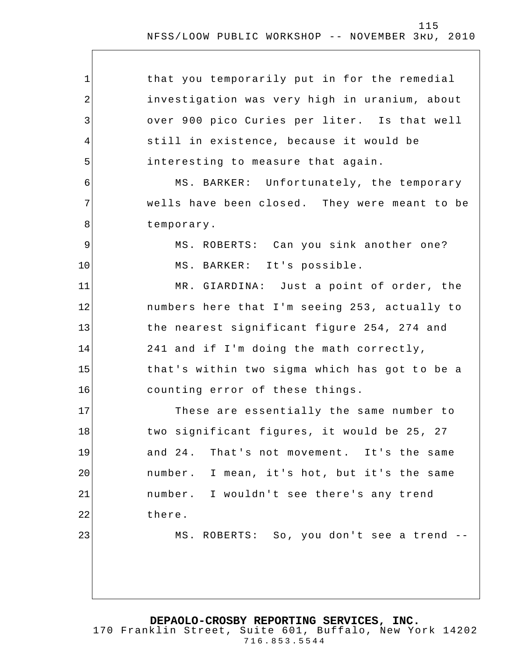| 1              | that you temporarily put in for the remedial  |
|----------------|-----------------------------------------------|
| $\overline{2}$ | investigation was very high in uranium, about |
| 3              | over 900 pico Curies per liter. Is that well  |
| 4              | still in existence, because it would be       |
| 5              | interesting to measure that again.            |
| 6              | MS. BARKER: Unfortunately, the temporary      |
| 7              | wells have been closed. They were meant to be |
| 8              | temporary.                                    |
| 9              | MS. ROBERTS: Can you sink another one?        |
| 10             | MS. BARKER: It's possible.                    |
| 11             | MR. GIARDINA: Just a point of order, the      |
| 12             | numbers here that I'm seeing 253, actually to |
| 13             | the nearest significant figure 254, 274 and   |
| 14             | 241 and if I'm doing the math correctly,      |
| 15             | that's within two sigma which has got to be a |
| 16             | counting error of these things.               |
| 17             | These are essentially the same number to      |
| 18             | two significant figures, it would be 25, 27   |
| 19             | and 24. That's not movement. It's the same    |
| 20             | number. I mean, it's hot, but it's the same   |
| 21             | number. I wouldn't see there's any trend      |
| 22             | there.                                        |
| 23             | MS. ROBERTS: So, you don't see a trend --     |
|                |                                               |
|                |                                               |
|                |                                               |

**DEPAOLO-CROSBY REPORTING SERVICES, INC.**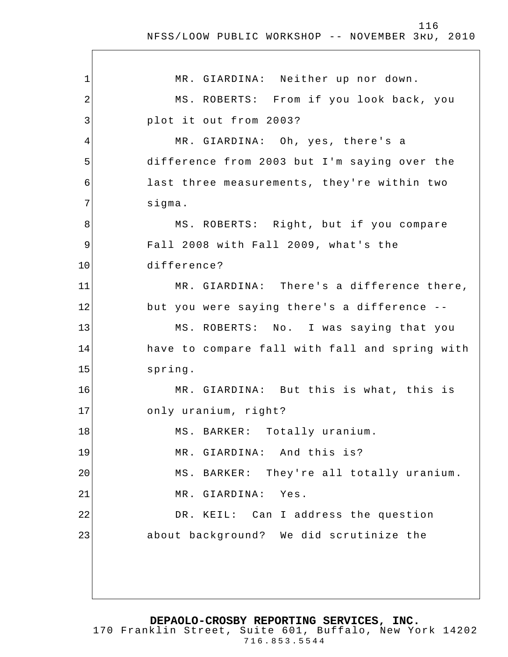1 2 3 4 5 6 7 8 9 10 11 12 13 14 15 16 17 18 19 20 21 22 23 MR. GIARDINA: Neither up nor down. MS. ROBERTS: From if you look back, you plot it out from 2003? MR. GIARDINA: Oh, yes, there's a difference from 2003 but I'm saying over the last three measurements, they're within two sigma. MS. ROBERTS: Right, but if you compare Fall 2008 with Fall 2009, what's the difference? MR. GIARDINA: There's a difference there, but you were saying there's a difference -- MS. ROBERTS: No. I was saying that you have to compare fall with fall and spring with spring. MR. GIARDINA: But this is what, this is only uranium, right? MS. BARKER: Totally uranium. MR. GIARDINA: And this is? MS. BARKER: They're all totally uranium. MR. GIARDINA: Yes. DR. KEIL: Can I address the question about background? We did scrutinize the

**DEPAOLO-CROSBY REPORTING SERVICES, INC.**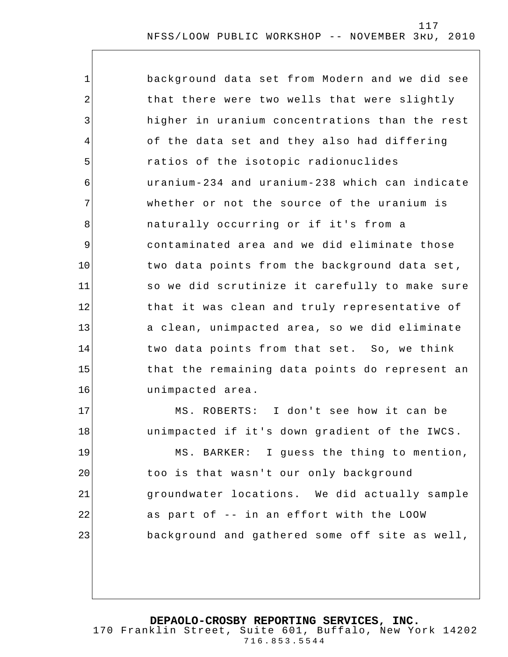| $\mathbf 1$ | background data set from Modern and we did see |
|-------------|------------------------------------------------|
| 2           | that there were two wells that were slightly   |
| 3           | higher in uranium concentrations than the rest |
| 4           | of the data set and they also had differing    |
| 5           | ratios of the isotopic radionuclides           |
| 6           | uranium-234 and uranium-238 which can indicate |
| 7           | whether or not the source of the uranium is    |
| 8           | naturally occurring or if it's from a          |
| $\mathsf 9$ | contaminated area and we did eliminate those   |
| 10          | two data points from the background data set,  |
| 11          | so we did scrutinize it carefully to make sure |
| 12          | that it was clean and truly representative of  |
| 13          | a clean, unimpacted area, so we did eliminate  |
| 14          | two data points from that set. So, we think    |
| 15          | that the remaining data points do represent an |
| 16          | unimpacted area.                               |
| 17          | MS. ROBERTS: I don't see how it can be         |
| 18          | unimpacted if it's down gradient of the IWCS.  |
| 19          | MS. BARKER: I guess the thing to mention,      |
| 20          | too is that wasn't our only background         |
| 21          | groundwater locations. We did actually sample  |
| 22          | as part of -- in an effort with the LOOW       |
| 23          | background and gathered some off site as well, |
|             |                                                |

**DEPAOLO-CROSBY REPORTING SERVICES, INC.**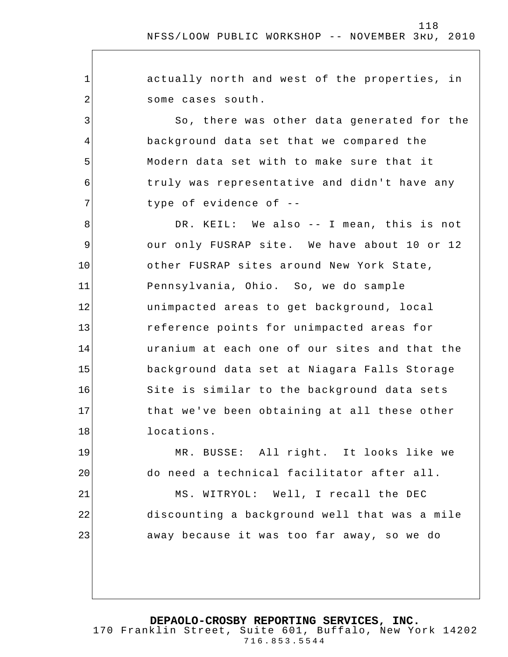1 2 3 4 5 6 7 8 9 10 11 12 13 14 15 16 17 18 19 20 21 22 23 actually north and west of the properties, in some cases south. So, there was other data generated for the background data set that we compared the Modern data set with to make sure that it truly was representative and didn't have any type of evidence of -- DR. KEIL: We also -- I mean, this is not our only FUSRAP site. We have about 10 or 12 other FUSRAP sites around New York State, Pennsylvania, Ohio. So, we do sample unimpacted areas to get background, local reference points for unimpacted areas for uranium at each one of our sites and that the background data set at Niagara Falls Storage Site is similar to the background data sets that we've been obtaining at all these other locations. MR. BUSSE: All right. It looks like we do need a technical facilitator after all. MS. WITRYOL: Well, I recall the DEC discounting a background well that was a mile away because it was too far away, so we do

**DEPAOLO-CROSBY REPORTING SERVICES, INC.**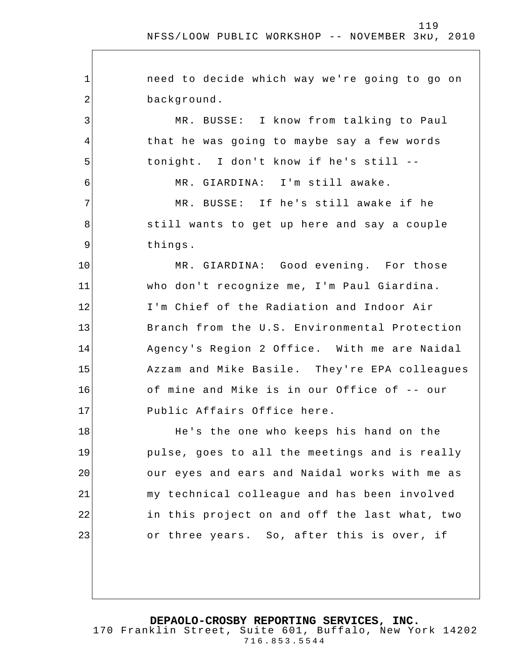1 2 3 4 5 6 7 8 9 10 11 12 13 14 15 16 17 18 19 20 21 22 23 need to decide which way we're going to go on background. MR. BUSSE: I know from talking to Paul that he was going to maybe say a few words tonight. I don't know if he's still -- MR. GIARDINA: I'm still awake. MR. BUSSE: If he's still awake if he still wants to get up here and say a couple things. MR. GIARDINA: Good evening. For those who don't recognize me, I'm Paul Giardina. I'm Chief of the Radiation and Indoor Air Branch from the U.S. Environmental Protection Agency's Region 2 Office. With me are Naidal Azzam and Mike Basile. They're EPA colleagues of mine and Mike is in our Office of -- our Public Affairs Office here. He's the one who keeps his hand on the pulse, goes to all the meetings and is really our eyes and ears and Naidal works with me as my technical colleague and has been involved in this project on and off the last what, two or three years. So, after this is over, if

**DEPAOLO-CROSBY REPORTING SERVICES, INC.**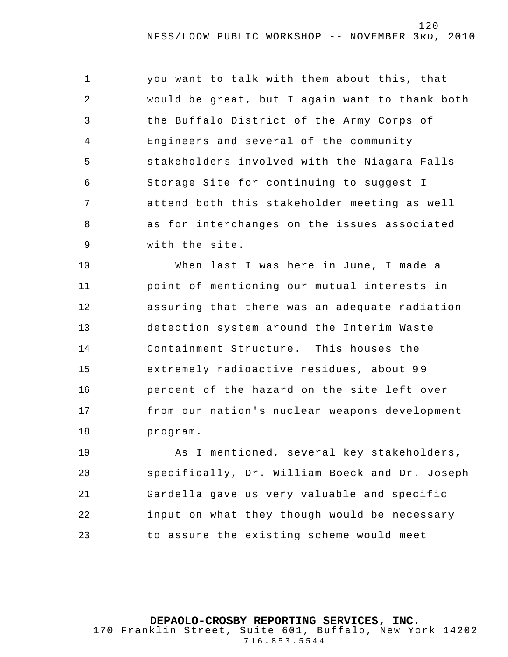| $\mathbf 1$    | you want to talk with them about this, that    |
|----------------|------------------------------------------------|
| $\overline{2}$ | would be great, but I again want to thank both |
| 3              | the Buffalo District of the Army Corps of      |
| 4              | Engineers and several of the community         |
| 5              | stakeholders involved with the Niagara Falls   |
| 6              | Storage Site for continuing to suggest I       |
| 7              | attend both this stakeholder meeting as well   |
| 8              | as for interchanges on the issues associated   |
| 9              | with the site.                                 |
| 10             | When last I was here in June, I made a         |
| 11             | point of mentioning our mutual interests in    |
| 12             | assuring that there was an adequate radiation  |
| 13             | detection system around the Interim Waste      |
| 14             | Containment Structure. This houses the         |
| 15             | extremely radioactive residues, about 99       |
| 16             | percent of the hazard on the site left over    |
| 17             | from our nation's nuclear weapons development  |
| 18             | program.                                       |
| 19             | As I mentioned, several key stakeholders,      |
| 20             | specifically, Dr. William Boeck and Dr. Joseph |
| 21             | Gardella gave us very valuable and specific    |
| 22             | input on what they though would be necessary   |
| 23             | to assure the existing scheme would meet       |
|                |                                                |

**DEPAOLO-CROSBY REPORTING SERVICES, INC.** 170 Franklin Street, Suite 601, Buffalo, New York 14202 716.853.5544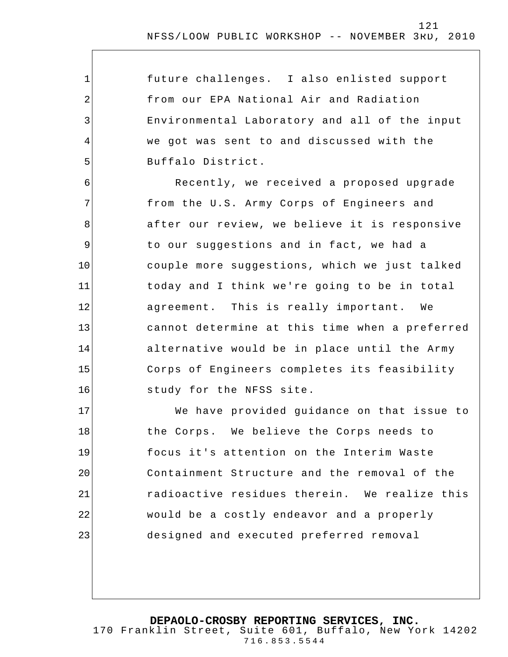future challenges. I also enlisted support from our EPA National Air and Radiation Environmental Laboratory and all of the input we got was sent to and discussed with the Buffalo District.

1

2

3

4

5

6 7 8 9 10 11 12 13 14 15 16 Recently, we received a proposed upgrade from the U.S. Army Corps of Engineers and after our review, we believe it is responsive to our suggestions and in fact, we had a couple more suggestions, which we just talked today and I think we're going to be in total agreement. This is really important. We cannot determine at this time when a preferred alternative would be in place until the Army Corps of Engineers completes its feasibility study for the NFSS site.

17 18 19 20 21 22 23 We have provided guidance on that issue to the Corps. We believe the Corps needs to focus it's attention on the Interim Waste Containment Structure and the removal of the radioactive residues therein. We realize this would be a costly endeavor and a properly designed and executed preferred removal

**DEPAOLO-CROSBY REPORTING SERVICES, INC.**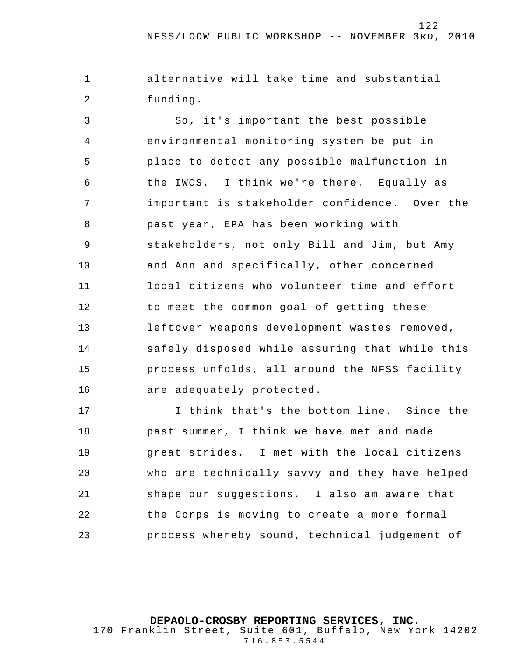alternative will take time and substantial funding.

1

2

3 4 5 6 7 8 9 10 11 12 13 14 15 16 So, it's important the best possible environmental monitoring system be put in place to detect any possible malfunction in the IWCS. I think we're there. Equally as important is s takeholder confidence. Over the past year, EPA has been working with stakeholders, not only Bill and Jim, but Amy and Ann and specifically, other concerned local citizens who volunteer time and effort to meet the common goal of getting these leftover weapons development wastes removed, safely disposed while assuring that while this process unfolds, all around the NFSS facility are adequately protected.

17 18 19 20 21 22 23 I think that's the bottom line. Since the past summer, I think we have met and made great strides. I met with the local citizens who are technically savvy and they have helped shape our suggestions. I also am aware that the Corps is moving to create a more formal process whereby sound, technical judgement of

**DEPAOLO-CROSBY REPORTING SERVICES, INC.**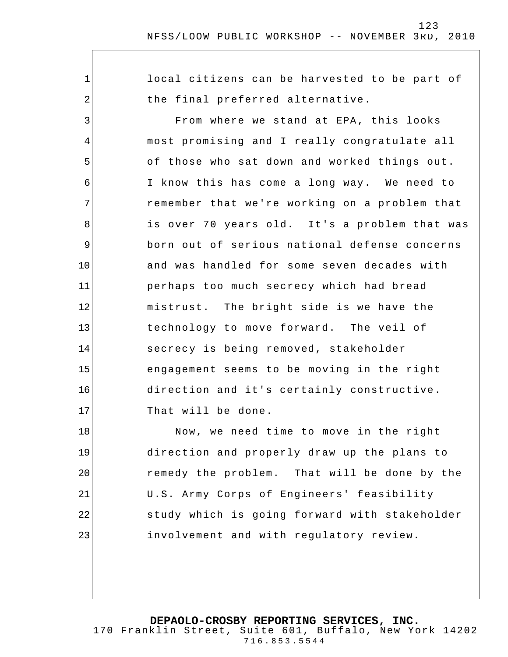1 2 3 4 5 6 7 8 9 10 11 12 13 14 15 16 17 18 19 20 local citizens can be harvested to be part of the final preferred alternative. From where we stand at EPA, this looks most promising and I really congratulate all of those who sat down and worked things out. I know this has come a long way. We need to remember that we're working on a problem that is over 70 years old. It's a problem that was born out of serious national defense concerns and was handled for some seven decades with perhaps too much secrecy which had bread mistrust. The bright side is we have the technology to move forward. The veil of secrecy is being removed, stakeholder engagement seems to be moving in the right direction and it's certainly constructive. That will be done. Now, we need time to move in the right direction and properly draw up the plans to remedy the problem. That will be done by the

> U.S. Army Corps of Engineers' feasibility study which is going forward with stakeholder involvement and with regulatory review.

21

22

23

**DEPAOLO-CROSBY REPORTING SERVICES, INC.**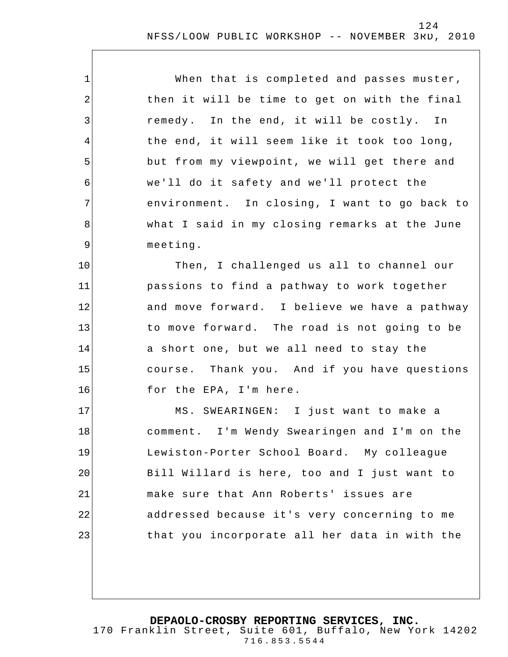| $\mathbf 1$    | When that is completed and passes muster,     |
|----------------|-----------------------------------------------|
| $\overline{2}$ | then it will be time to get on with the final |
| 3              | remedy. In the end, it will be costly. In     |
| 4              | the end, it will seem like it took too long,  |
| 5              | but from my viewpoint, we will get there and  |
| 6              | we'll do it safety and we'll protect the      |
| $\overline{7}$ | environment. In closing, I want to go back to |
| 8              | what I said in my closing remarks at the June |
| $\mathsf 9$    | meeting.                                      |
| 10             | Then, I challenged us all to channel our      |
| 11             | passions to find a pathway to work together   |
| 12             | and move forward. I believe we have a pathway |
| 13             | to move forward. The road is not going to be  |
| 14             | a short one, but we all need to stay the      |
| 15             | course. Thank you. And if you have questions  |
| 16             | for the EPA, I'm here.                        |
| 17             | MS. SWEARINGEN: I just want to make a         |
| 18             | comment. I'm Wendy Swearingen and I'm on the  |
| 19             | Lewiston-Porter School Board. My colleague    |
| 20             | Bill Willard is here, too and I just want to  |
| 21             | make sure that Ann Roberts' issues are        |
| 22             | addressed because it's very concerning to me  |
| 23             | that you incorporate all her data in with the |
|                |                                               |

**DEPAOLO-CROSBY REPORTING SERVICES, INC.**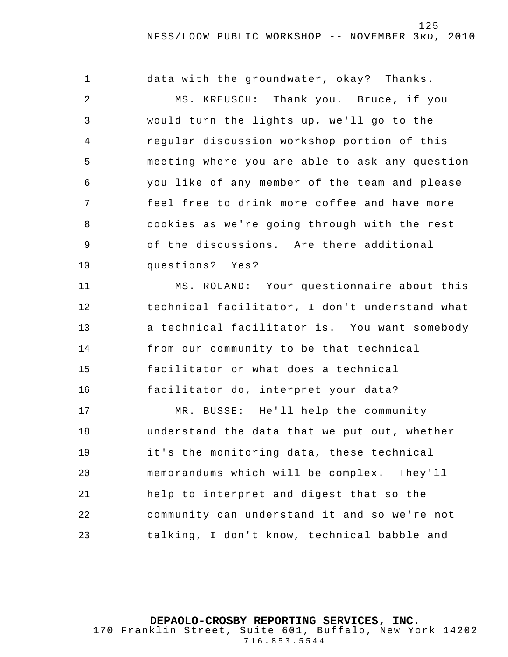| 1              | data with the groundwater, okay? Thanks.       |
|----------------|------------------------------------------------|
| $\overline{2}$ | MS. KREUSCH: Thank you. Bruce, if you          |
| 3              | would turn the lights up, we'll go to the      |
| 4              | regular discussion workshop portion of this    |
| 5              | meeting where you are able to ask any question |
| 6              | you like of any member of the team and please  |
| 7              | feel free to drink more coffee and have more   |
| 8              | cookies as we're going through with the rest   |
| 9              | of the discussions. Are there additional       |
| 10             | questions? Yes?                                |
| 11             | MS. ROLAND: Your questionnaire about this      |
| 12             | technical facilitator, I don't understand what |
| 13             | a technical facilitator is. You want somebody  |
| 14             | from our community to be that technical        |
| 15             | facilitator or what does a technical           |
| 16             | facilitator do, interpret your data?           |
| 17             | MR. BUSSE: He'll help the community            |
| 18             | understand the data that we put out, whether   |
| 19             | it's the monitoring data, these technical      |
| 20             | memorandums which will be complex. They'll     |
| 21             | help to interpret and digest that so the       |
| 22             | community can understand it and so we're not   |
| 23             | talking, I don't know, technical babble and    |

**DEPAOLO-CROSBY REPORTING SERVICES, INC.**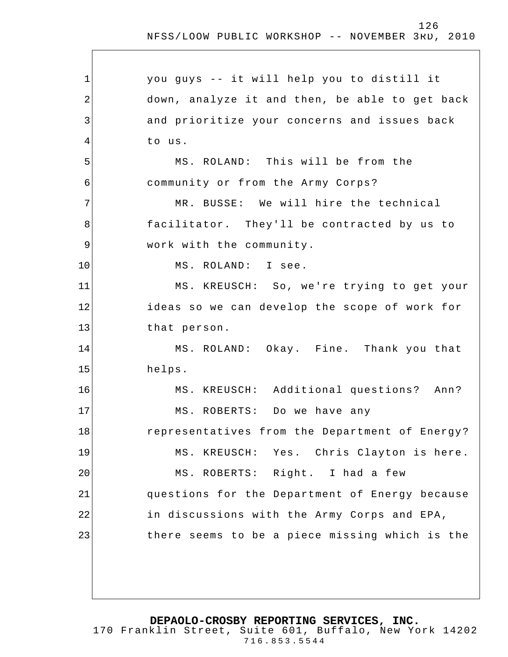$\overline{\phantom{a}}$ 

| 1  | you guys -- it will help you to distill it     |
|----|------------------------------------------------|
| 2  | down, analyze it and then, be able to get back |
| 3  | and prioritize your concerns and issues back   |
| 4  | to us.                                         |
| 5  | MS. ROLAND: This will be from the              |
| 6  | community or from the Army Corps?              |
| 7  | MR. BUSSE: We will hire the technical          |
| 8  | facilitator. They'll be contracted by us to    |
| 9  | work with the community.                       |
| 10 | MS. ROLAND: I see.                             |
| 11 | MS. KREUSCH: So, we're trying to get your      |
| 12 | ideas so we can develop the scope of work for  |
| 13 | that person.                                   |
| 14 | MS. ROLAND: Okay. Fine. Thank you that         |
| 15 | helps.                                         |
| 16 | MS. KREUSCH: Additional questions? Ann?        |
| 17 | MS. ROBERTS: Do we have any                    |
| 18 | representatives from the Department of Energy? |
| 19 | MS. KREUSCH: Yes. Chris Clayton is here.       |
| 20 | MS. ROBERTS: Right. I had a few                |
| 21 | questions for the Department of Energy because |
| 22 | in discussions with the Army Corps and EPA,    |
| 23 | there seems to be a piece missing which is the |
|    |                                                |
|    |                                                |

**DEPAOLO-CROSBY REPORTING SERVICES, INC.**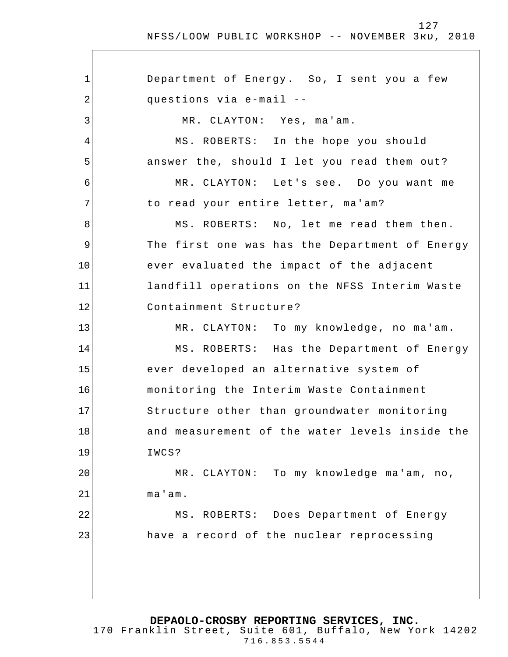1 2 3 4 5 6 7 8 9 10 11 12 13 14 15 16 17 18 19 20 21 22 23 Department of Energy. So, I sent you a few questions via e-mail -- MR. CLAYTON: Yes, ma'am. MS. ROBERTS: In the hope you should answer the, should I let you read them out? MR. CLAYTON: Let's see. Do you want me to read your entire letter, ma'am? MS. ROBERTS: No, let me read them then. The first one was has the Department of Energy ever evaluated the impact of the adjacent landfill operations on the NFSS Interim Waste Containment Structure? MR. CLAYTON: To my knowledge, no ma'am. MS. ROBERTS: Has the Department of Energy ever developed an alternative system of monitoring the Interim Waste Containment Structure other than groundwater monitoring and measurement of the water levels inside the IWCS? MR. CLAYTON: To my knowledge ma'am, no, ma'am. MS. ROBERTS: Does Department of Energy have a record of the nuclear reprocessing

**DEPAOLO-CROSBY REPORTING SERVICES, INC.** 170 Franklin Street, Suite 601, Buffalo, New York 14202

716.853.5544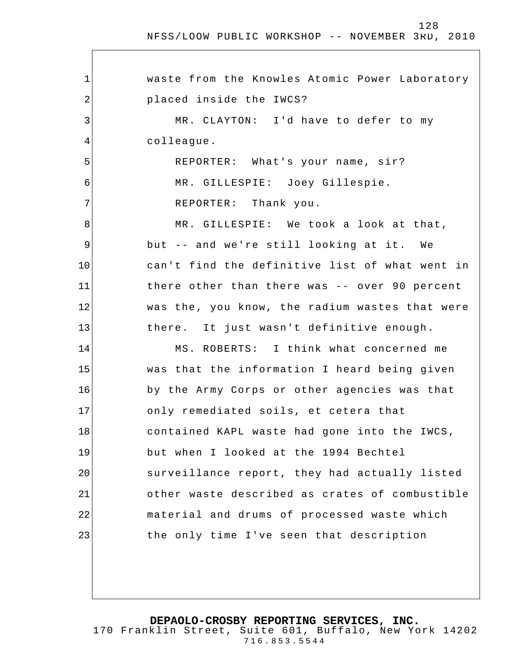$\Gamma$ 

| $\mathbf 1$ | waste from the Knowles Atomic Power Laboratory |
|-------------|------------------------------------------------|
| 2           | placed inside the IWCS?                        |
| 3           | MR. CLAYTON: I'd have to defer to my           |
| 4           | colleague.                                     |
| 5           | REPORTER: What's your name, sir?               |
| 6           | MR. GILLESPIE: Joey Gillespie.                 |
| 7           | REPORTER: Thank you.                           |
| 8           | MR. GILLESPIE: We took a look at that,         |
| 9           | but -- and we're still looking at it. We       |
| 10          | can't find the definitive list of what went in |
| 11          | there other than there was -- over 90 percent  |
| 12          | was the, you know, the radium wastes that were |
| 13          | there. It just wasn't definitive enough.       |
| 14          | MS. ROBERTS: I think what concerned me         |
| 15          | was that the information I heard being given   |
| 16          | by the Army Corps or other agencies was that   |
| 17          | only remediated soils, et cetera that          |
| 18          | contained KAPL waste had gone into the IWCS,   |
| 19          | but when I looked at the 1994 Bechtel          |
| 20          | surveillance report, they had actually listed  |
| 21          | other waste described as crates of combustible |
| 22          | material and drums of processed waste which    |
| 23          | the only time I've seen that description       |
|             |                                                |

**DEPAOLO-CROSBY REPORTING SERVICES, INC.**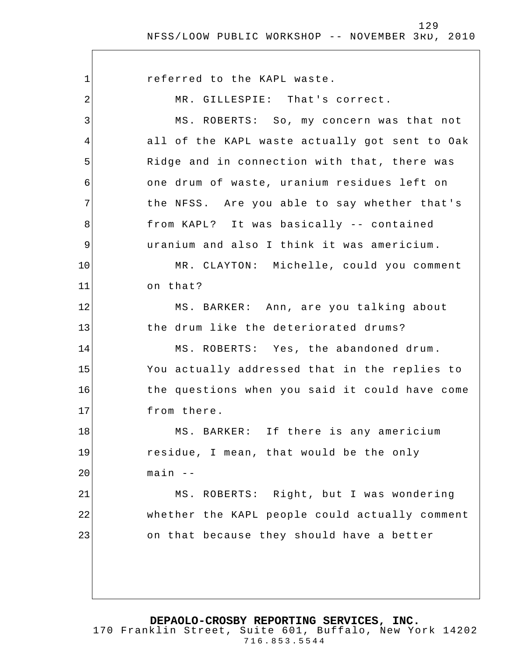1 2 3 4 5 6 7 8 9 10 11 12 13 14 15 16 17 18 19 20 21 22 23 referred to the KAPL waste. MR. GILLESPIE: That's correct. MS. ROBERTS: So, my concern was that not all of the KAPL waste actually got sent to Oak Ridge and in connection with that, there was one drum of waste, uranium residues left on the NFSS. Are you able to say whether that's from KAPL? It was basically -- contained uranium and also I think it was americium. MR. CLAYTON: Michelle, could you comment on that? MS. BARKER: Ann, are you talking about the drum like the deteriorated drums? MS. ROBERTS: Yes, the abandoned drum . You actually addressed that in the replies to the questions when you said it could have come from there. MS. BARKER: If there is any americium residue, I mean, that would be the only  $main$   $--$ MS. ROBERTS: Right, but I was wondering whether the KAPL people could actually comment on that because they should have a better

**DEPAOLO-CROSBY REPORTING SERVICES, INC.**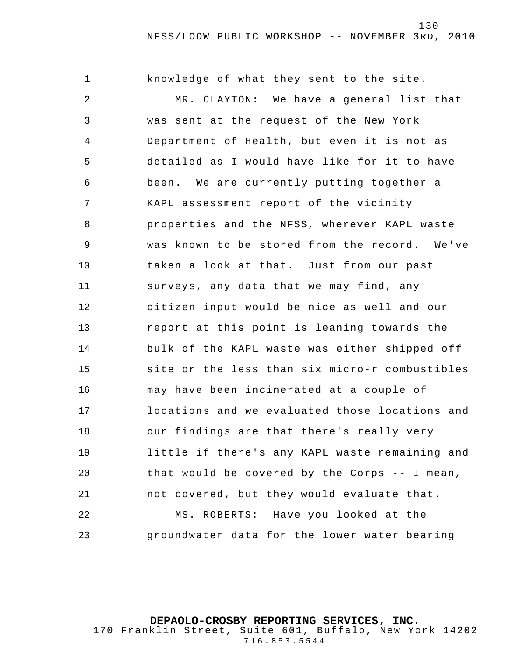| 1              | knowledge of what they sent to the site.       |
|----------------|------------------------------------------------|
| 2              | MR. CLAYTON: We have a general list that       |
| $\mathfrak{Z}$ | was sent at the request of the New York        |
| 4              | Department of Health, but even it is not as    |
| 5              | detailed as I would have like for it to have   |
| 6              | been. We are currently putting together a      |
| 7              | KAPL assessment report of the vicinity         |
| 8              | properties and the NFSS, wherever KAPL waste   |
| $\mathsf 9$    | was known to be stored from the record. We've  |
| 10             | taken a look at that. Just from our past       |
| 11             | surveys, any data that we may find, any        |
| 12             | citizen input would be nice as well and our    |
| 13             | report at this point is leaning towards the    |
| 14             | bulk of the KAPL waste was either shipped off  |
| 15             | site or the less than six micro-r combustibles |
| 16             | may have been incinerated at a couple of       |
| 17             | locations and we evaluated those locations and |
| 18             | our findings are that there's really very      |
| 19             | little if there's any KAPL waste remaining and |
| 20             | that would be covered by the Corps -- I mean,  |
| 21             | not covered, but they would evaluate that.     |
| 22             | MS. ROBERTS: Have you looked at the            |
| 23             | groundwater data for the lower water bearing   |
|                |                                                |

**DEPAOLO-CROSBY REPORTING SERVICES, INC.**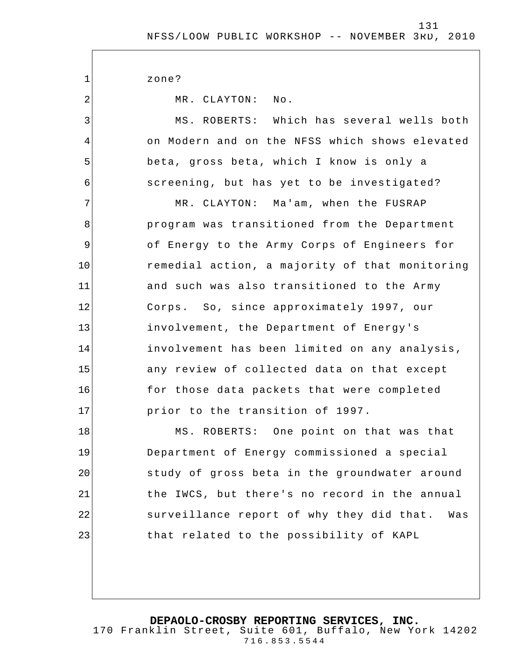zone?

1

2

3

4

5

6

MR. CLAYTON: No.

MS. ROBERTS: Which has several wells both on Modern and on the NFSS which shows elevated beta, gross beta, which I know is only a screening, but has yet to be investigated?

7 8 9 10 11 12 13 14 15 16 17 MR. CLAYTON: Ma'am, when the FUSRAP program was transitioned from the Department of Energy to the Army Corps of Engineers for remedial action, a majority of that monitoring and such was also transitioned to the Army Corps. So, since approximately 1997, our involvement, the Department of Energy's involvement has been limited on any analysis, any review of collected data on that except for those data packets that were completed prior to the transition of 1997.

18 19 20 21 22 23 MS. ROBERTS: One point on that was that Department of Energy commissioned a special study of gross beta in the groundwater around the IWCS, but there's no record in the annual surveillance report of why they did that. Was that related to the possibility of KAPL

**DEPAOLO-CROSBY REPORTING SERVICES, INC.**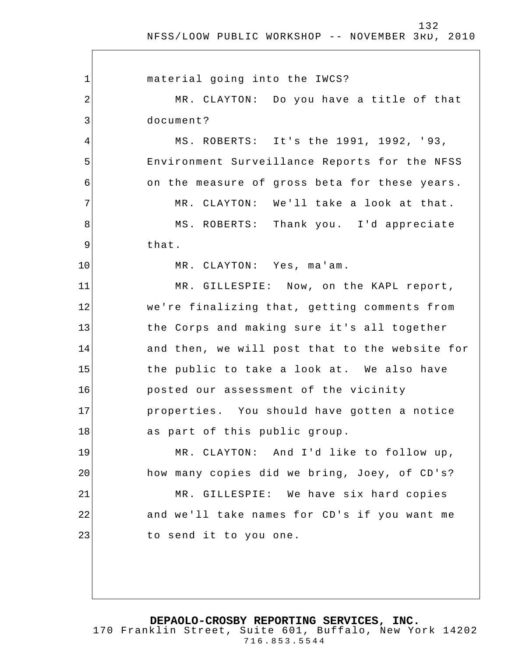| $\mathbf{1}$   | material going into the IWCS?                  |
|----------------|------------------------------------------------|
| $\overline{2}$ | MR. CLAYTON: Do you have a title of that       |
| 3              | document?                                      |
| $\overline{4}$ | MS. ROBERTS: It's the 1991, 1992, '93,         |
| 5              | Environment Surveillance Reports for the NFSS  |
| 6              | on the measure of gross beta for these years.  |
| 7              | MR. CLAYTON: We'll take a look at that.        |
| 8              | MS. ROBERTS: Thank you. I'd appreciate         |
| 9              | that.                                          |
| 10             | MR. CLAYTON: Yes, ma'am.                       |
| 11             | MR. GILLESPIE: Now, on the KAPL report,        |
| 12             | we're finalizing that, getting comments from   |
| 13             | the Corps and making sure it's all together    |
| 14             | and then, we will post that to the website for |
| 15             | the public to take a look at. We also have     |
| 16             | posted our assessment of the vicinity          |
| 17             | properties. You should have gotten a notice    |
| 18             | as part of this public group.                  |
| 19             | MR. CLAYTON: And I'd like to follow up,        |
| 20             | how many copies did we bring, Joey, of CD's?   |
| 21             | MR. GILLESPIE: We have six hard copies         |
| 22             | and we'll take names for CD's if you want me   |
| 23             | to send it to you one.                         |
|                |                                                |
|                |                                                |

**DEPAOLO-CROSBY REPORTING SERVICES, INC.**